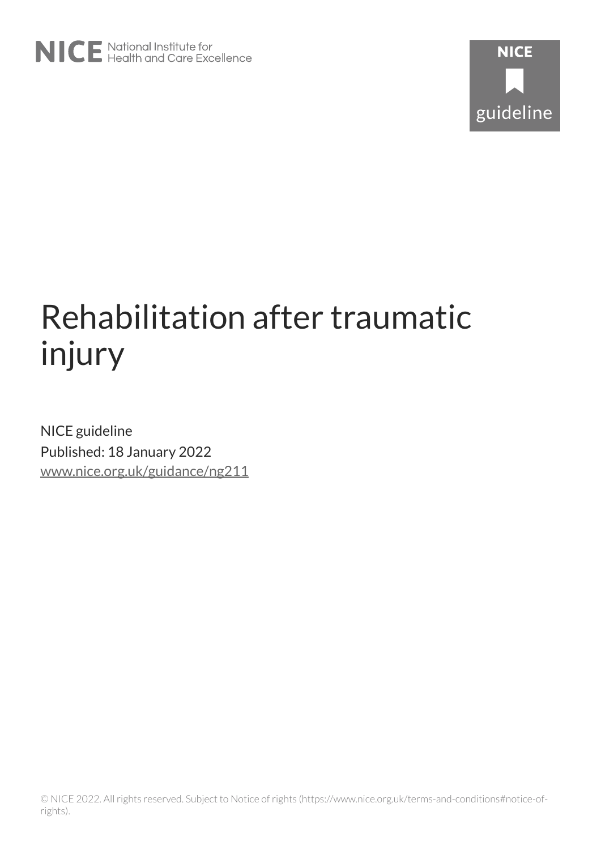

# Rehabilitation after traumatic injury

NICE guideline Published: 18 January 2022 [www.nice.org.uk/guidance/ng211](https://www.nice.org.uk/guidance/ng211)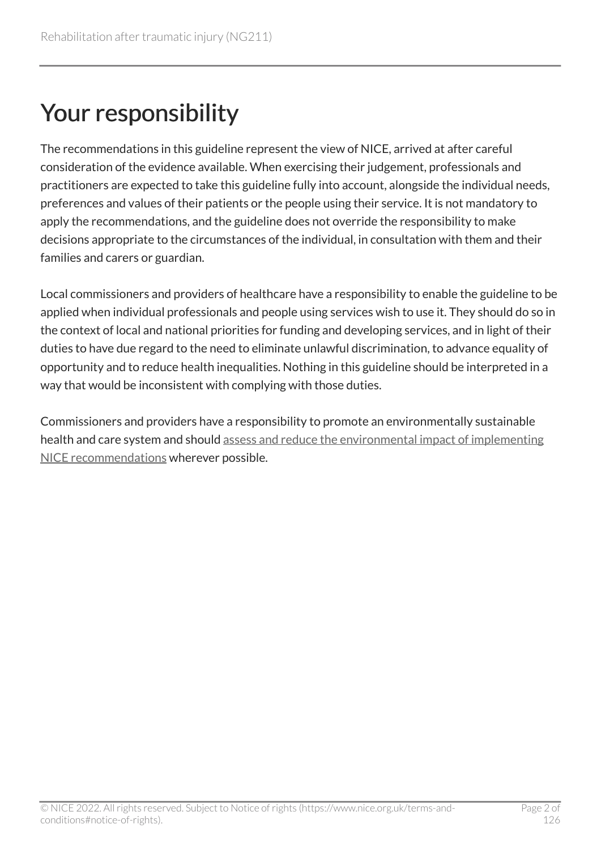## Your responsibility

The recommendations in this guideline represent the view of NICE, arrived at after careful consideration of the evidence available. When exercising their judgement, professionals and practitioners are expected to take this guideline fully into account, alongside the individual needs, preferences and values of their patients or the people using their service. It is not mandatory to apply the recommendations, and the guideline does not override the responsibility to make decisions appropriate to the circumstances of the individual, in consultation with them and their families and carers or guardian.

Local commissioners and providers of healthcare have a responsibility to enable the guideline to be applied when individual professionals and people using services wish to use it. They should do so in the context of local and national priorities for funding and developing services, and in light of their duties to have due regard to the need to eliminate unlawful discrimination, to advance equality of opportunity and to reduce health inequalities. Nothing in this guideline should be interpreted in a way that would be inconsistent with complying with those duties.

Commissioners and providers have a responsibility to promote an environmentally sustainable health and care system and should [assess and reduce the environmental impact of implementing](https://www.nice.org.uk/about/who-we-are/sustainability)  [NICE recommendations](https://www.nice.org.uk/about/who-we-are/sustainability) wherever possible.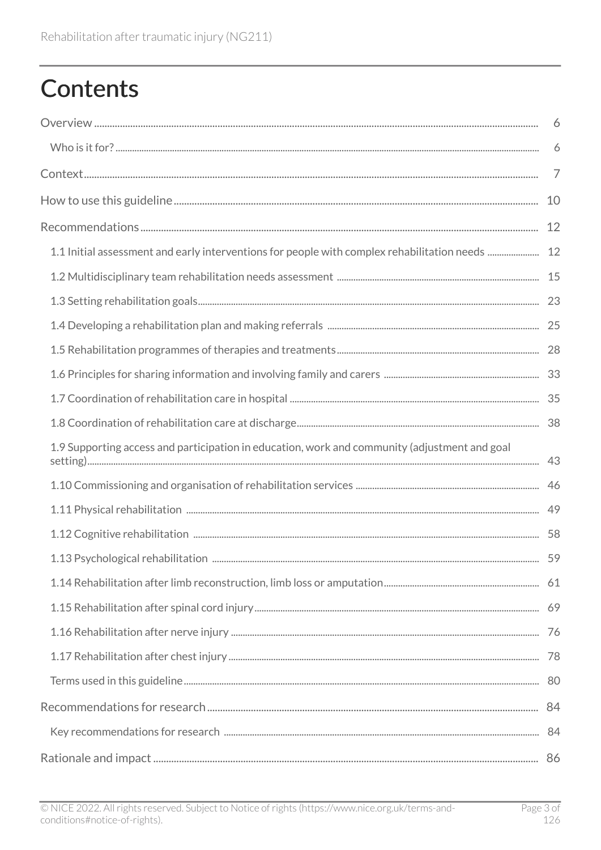## **Contents**

|                                                                                                 | 6              |
|-------------------------------------------------------------------------------------------------|----------------|
|                                                                                                 | 6              |
|                                                                                                 | $\overline{7}$ |
|                                                                                                 | 10             |
|                                                                                                 | 12             |
| 1.1 Initial assessment and early interventions for people with complex rehabilitation needs  12 |                |
|                                                                                                 |                |
|                                                                                                 |                |
|                                                                                                 |                |
|                                                                                                 |                |
|                                                                                                 |                |
|                                                                                                 |                |
|                                                                                                 |                |
| 1.9 Supporting access and participation in education, work and community (adjustment and goal   |                |
|                                                                                                 |                |
|                                                                                                 |                |
|                                                                                                 |                |
|                                                                                                 |                |
|                                                                                                 |                |
|                                                                                                 |                |
|                                                                                                 |                |
|                                                                                                 |                |
|                                                                                                 |                |
|                                                                                                 |                |
|                                                                                                 |                |
|                                                                                                 |                |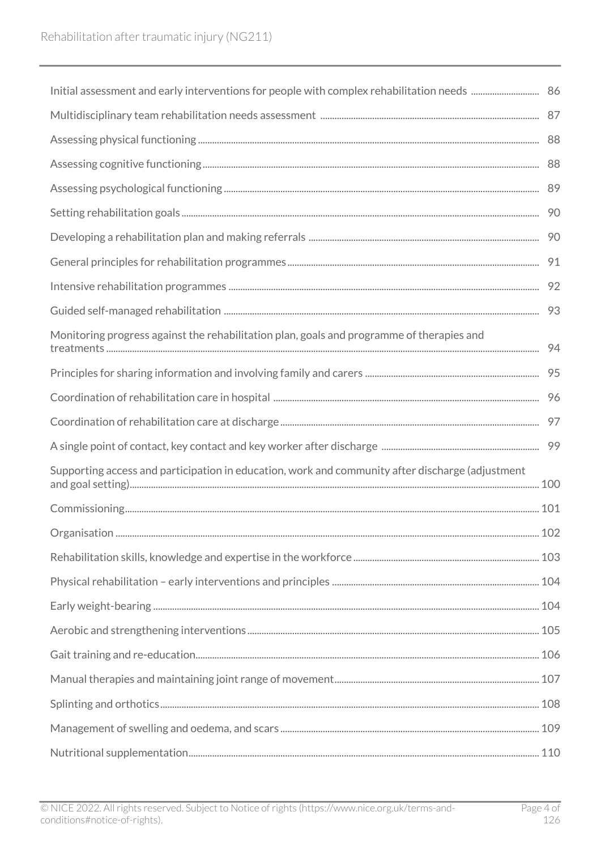| Monitoring progress against the rehabilitation plan, goals and programme of therapies and        |  |
|--------------------------------------------------------------------------------------------------|--|
|                                                                                                  |  |
|                                                                                                  |  |
|                                                                                                  |  |
|                                                                                                  |  |
| Supporting access and participation in education, work and community after discharge (adjustment |  |
|                                                                                                  |  |
|                                                                                                  |  |
|                                                                                                  |  |
|                                                                                                  |  |
|                                                                                                  |  |
|                                                                                                  |  |
|                                                                                                  |  |
|                                                                                                  |  |
|                                                                                                  |  |
|                                                                                                  |  |
|                                                                                                  |  |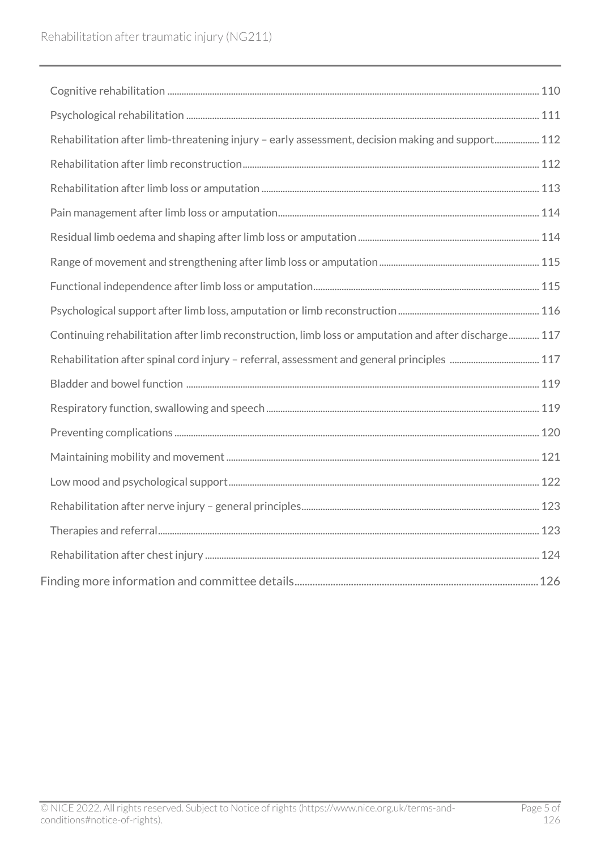| Rehabilitation after limb-threatening injury - early assessment, decision making and support 112     |  |
|------------------------------------------------------------------------------------------------------|--|
|                                                                                                      |  |
|                                                                                                      |  |
|                                                                                                      |  |
|                                                                                                      |  |
|                                                                                                      |  |
|                                                                                                      |  |
|                                                                                                      |  |
| Continuing rehabilitation after limb reconstruction, limb loss or amputation and after discharge 117 |  |
|                                                                                                      |  |
|                                                                                                      |  |
|                                                                                                      |  |
|                                                                                                      |  |
|                                                                                                      |  |
|                                                                                                      |  |
|                                                                                                      |  |
|                                                                                                      |  |
|                                                                                                      |  |
|                                                                                                      |  |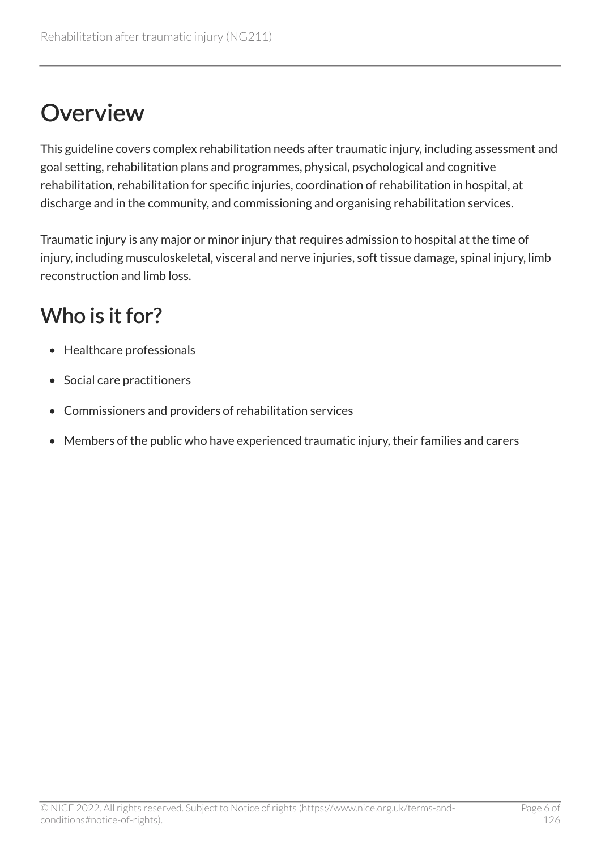## <span id="page-5-0"></span>**Overview**

This guideline covers complex rehabilitation needs after traumatic injury, including assessment and goal setting, rehabilitation plans and programmes, physical, psychological and cognitive rehabilitation, rehabilitation for specific injuries, coordination of rehabilitation in hospital, at discharge and in the community, and commissioning and organising rehabilitation services.

Traumatic injury is any major or minor injury that requires admission to hospital at the time of injury, including musculoskeletal, visceral and nerve injuries, soft tissue damage, spinal injury, limb reconstruction and limb loss.

### <span id="page-5-1"></span>Who is it for?

- Healthcare professionals
- Social care practitioners
- Commissioners and providers of rehabilitation services
- Members of the public who have experienced traumatic injury, their families and carers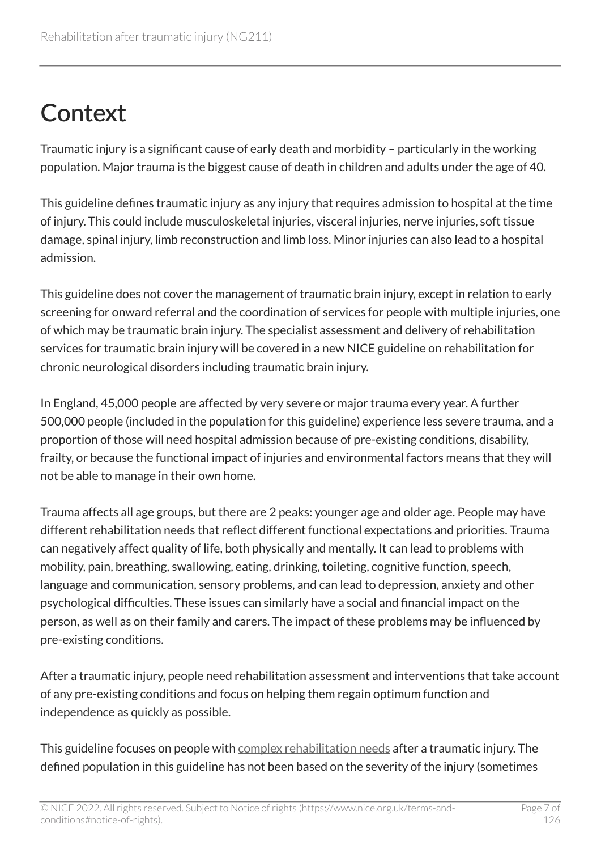## <span id="page-6-0"></span>**Context**

Traumatic injury is a significant cause of early death and morbidity – particularly in the working population. Major trauma is the biggest cause of death in children and adults under the age of 40.

This guideline defines traumatic injury as any injury that requires admission to hospital at the time of injury. This could include musculoskeletal injuries, visceral injuries, nerve injuries, soft tissue damage, spinal injury, limb reconstruction and limb loss. Minor injuries can also lead to a hospital admission.

This guideline does not cover the management of traumatic brain injury, except in relation to early screening for onward referral and the coordination of services for people with multiple injuries, one of which may be traumatic brain injury. The specialist assessment and delivery of rehabilitation services for traumatic brain injury will be covered in a new NICE guideline on rehabilitation for chronic neurological disorders including traumatic brain injury.

In England, 45,000 people are affected by very severe or major trauma every year. A further 500,000 people (included in the population for this guideline) experience less severe trauma, and a proportion of those will need hospital admission because of pre-existing conditions, disability, frailty, or because the functional impact of injuries and environmental factors means that they will not be able to manage in their own home.

Trauma affects all age groups, but there are 2 peaks: younger age and older age. People may have different rehabilitation needs that reflect different functional expectations and priorities. Trauma can negatively affect quality of life, both physically and mentally. It can lead to problems with mobility, pain, breathing, swallowing, eating, drinking, toileting, cognitive function, speech, language and communication, sensory problems, and can lead to depression, anxiety and other psychological difficulties. These issues can similarly have a social and financial impact on the person, as well as on their family and carers. The impact of these problems may be influenced by pre-existing conditions.

After a traumatic injury, people need rehabilitation assessment and interventions that take account of any pre-existing conditions and focus on helping them regain optimum function and independence as quickly as possible.

This guideline focuses on people with [complex rehabilitation needs](#page-79-1) after a traumatic injury. The defined population in this guideline has not been based on the severity of the injury (sometimes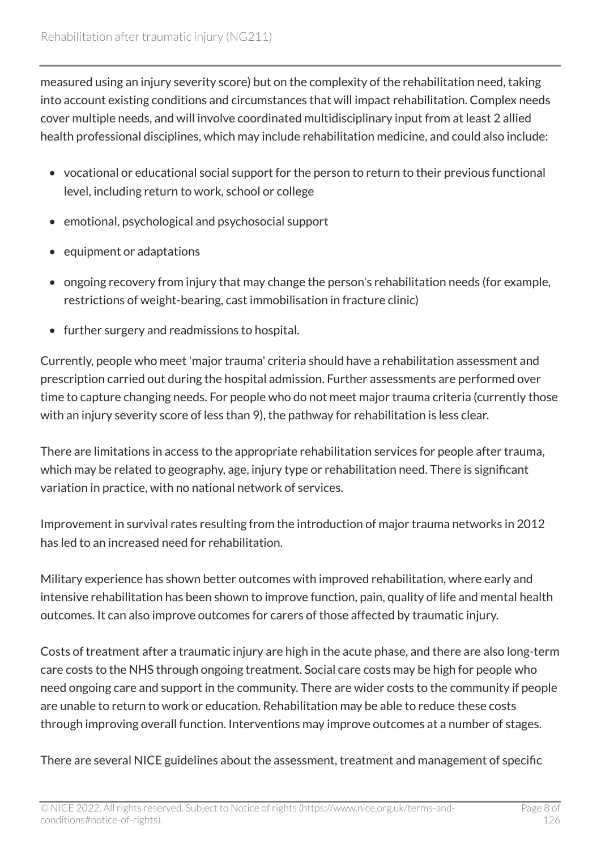measured using an injury severity score) but on the complexity of the rehabilitation need, taking into account existing conditions and circumstances that will impact rehabilitation. Complex needs cover multiple needs, and will involve coordinated multidisciplinary input from at least 2 allied health professional disciplines, which may include rehabilitation medicine, and could also include:

- vocational or educational social support for the person to return to their previous functional level, including return to work, school or college
- emotional, psychological and psychosocial support
- equipment or adaptations
- ongoing recovery from injury that may change the person's rehabilitation needs (for example, restrictions of weight-bearing, cast immobilisation in fracture clinic)
- further surgery and readmissions to hospital.

Currently, people who meet 'major trauma' criteria should have a rehabilitation assessment and prescription carried out during the hospital admission. Further assessments are performed over time to capture changing needs. For people who do not meet major trauma criteria (currently those with an injury severity score of less than 9), the pathway for rehabilitation is less clear.

There are limitations in access to the appropriate rehabilitation services for people after trauma, which may be related to geography, age, injury type or rehabilitation need. There is significant variation in practice, with no national network of services.

Improvement in survival rates resulting from the introduction of major trauma networks in 2012 has led to an increased need for rehabilitation.

Military experience has shown better outcomes with improved rehabilitation, where early and intensive rehabilitation has been shown to improve function, pain, quality of life and mental health outcomes. It can also improve outcomes for carers of those affected by traumatic injury.

Costs of treatment after a traumatic injury are high in the acute phase, and there are also long-term care costs to the NHS through ongoing treatment. Social care costs may be high for people who need ongoing care and support in the community. There are wider costs to the community if people are unable to return to work or education. Rehabilitation may be able to reduce these costs through improving overall function. Interventions may improve outcomes at a number of stages.

There are several NICE guidelines about the assessment, treatment and management of specific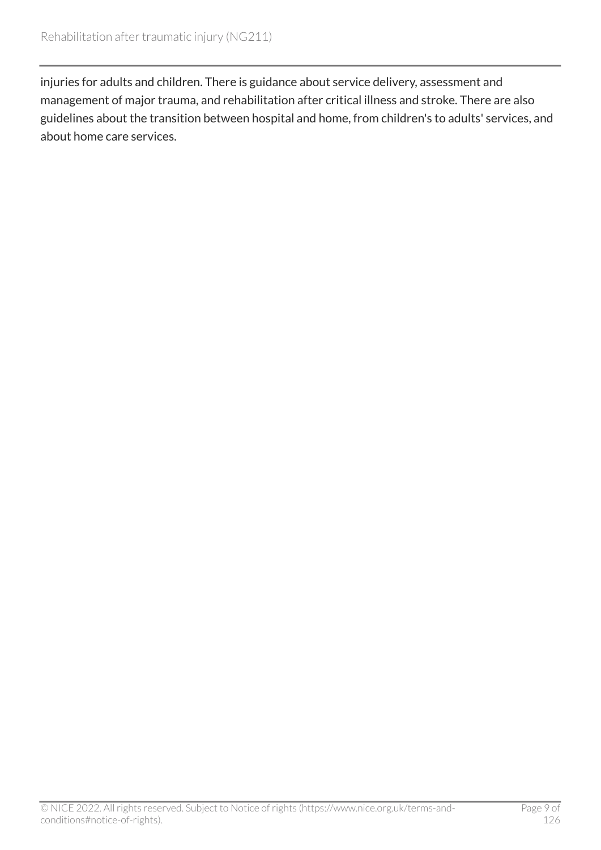injuries for adults and children. There is guidance about service delivery, assessment and management of major trauma, and rehabilitation after critical illness and stroke. There are also guidelines about the transition between hospital and home, from children's to adults' services, and about home care services.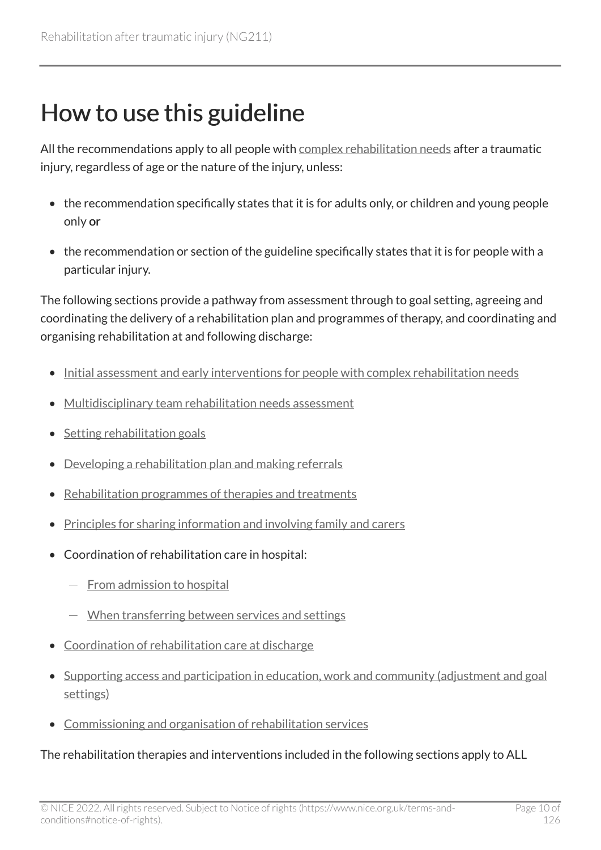## <span id="page-9-0"></span>How to use this guideline

All the recommendations apply to all people with [complex rehabilitation needs](#page-79-1) after a traumatic injury, regardless of age or the nature of the injury, unless:

- the recommendation specifically states that it is for adults only, or children and young people only or
- the recommendation or section of the guideline specifically states that it is for people with a particular injury.

The following sections provide a pathway from assessment through to goal setting, agreeing and coordinating the delivery of a rehabilitation plan and programmes of therapy, and coordinating and organising rehabilitation at and following discharge:

- [Initial assessment and early interventions for people with complex rehabilitation needs](#page-11-1)
- [Multidisciplinary team rehabilitation needs assessment](#page-14-0)
- Setting rehabilitation goals
- [Developing a rehabilitation plan and making referrals](#page-24-0)
- [Rehabilitation programmes of therapies and treatments](#page-27-0)
- [Principles for sharing information and involving family and carers](#page-32-0)
- Coordination of rehabilitation care in hospital:
	- From admission to hospital
	- When transferring between services and settings
- [Coordination of rehabilitation care at discharge](#page-37-0)
- [Supporting access and participation in education, work and community \(adjustment and goal](#page-42-0) [settings\)](#page-42-0)
- [Commissioning and organisation of rehabilitation services](#page-45-0)

#### The rehabilitation therapies and interventions included in the following sections apply to ALL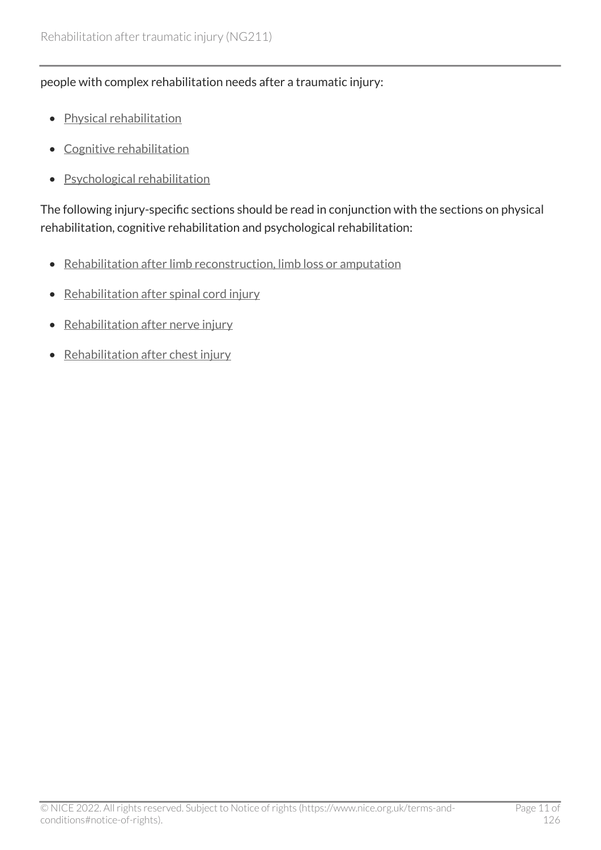#### people with complex rehabilitation needs after a traumatic injury:

- [Physical rehabilitation](#page-48-0)
- [Cognitive rehabilitation](#page-57-0)
- [Psychological rehabilitation](#page-58-0)

The following injury-specific sections should be read in conjunction with the sections on physical rehabilitation, cognitive rehabilitation and psychological rehabilitation:

- [Rehabilitation after limb reconstruction, limb loss or amputation](#page-60-0)
- [Rehabilitation after spinal cord injury](#page-68-0)
- Rehabilitation after nerve injury
- Rehabilitation after chest injury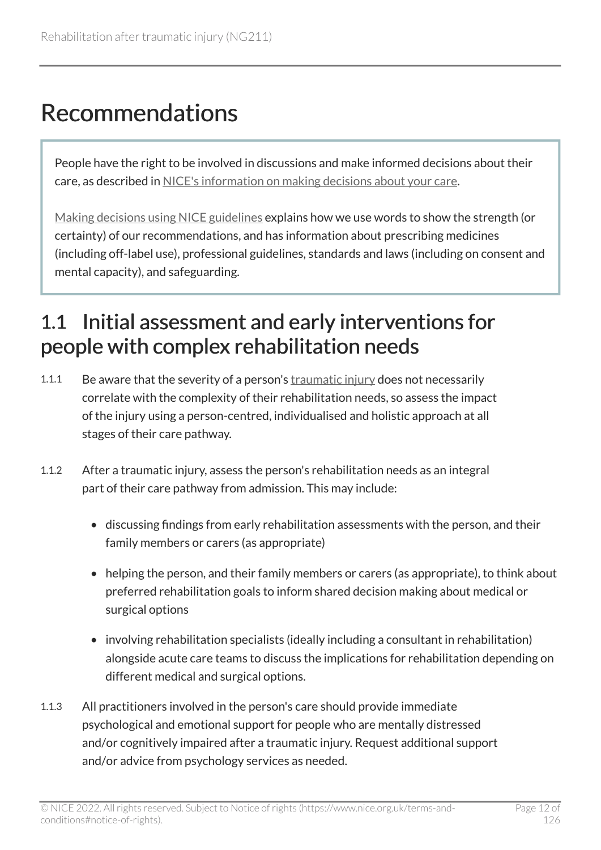## <span id="page-11-0"></span>Recommendations

People have the right to be involved in discussions and make informed decisions about their care, as described in [NICE's information on making decisions about your care](https://www.nice.org.uk/about/nice-communities/nice-and-the-public/making-decisions-about-your-care).

[Making decisions using NICE guidelines](https://www.nice.org.uk/about/what-we-do/our-programmes/nice-guidance/nice-guidelines/using-NICE-guidelines-to-make-decisions) explains how we use words to show the strength (or certainty) of our recommendations, and has information about prescribing medicines (including off-label use), professional guidelines, standards and laws (including on consent and mental capacity), and safeguarding.

#### <span id="page-11-1"></span>1.1 Initial assessment and early interventions for people with complex rehabilitation needs

- 1.1.1 Be aware that the severity of a person's [traumatic injury](#page-82-0) does not necessarily correlate with the complexity of their rehabilitation needs, so assess the impact of the injury using a person-centred, individualised and holistic approach at all stages of their care pathway.
- 1.1.2 After a traumatic injury, assess the person's rehabilitation needs as an integral part of their care pathway from admission. This may include:
	- discussing findings from early rehabilitation assessments with the person, and their family members or carers (as appropriate)
	- helping the person, and their family members or carers (as appropriate), to think about preferred rehabilitation goals to inform shared decision making about medical or surgical options
	- involving rehabilitation specialists (ideally including a consultant in rehabilitation) alongside acute care teams to discuss the implications for rehabilitation depending on different medical and surgical options.
- 1.1.3 All practitioners involved in the person's care should provide immediate psychological and emotional support for people who are mentally distressed and/or cognitively impaired after a traumatic injury. Request additional support and/or advice from psychology services as needed.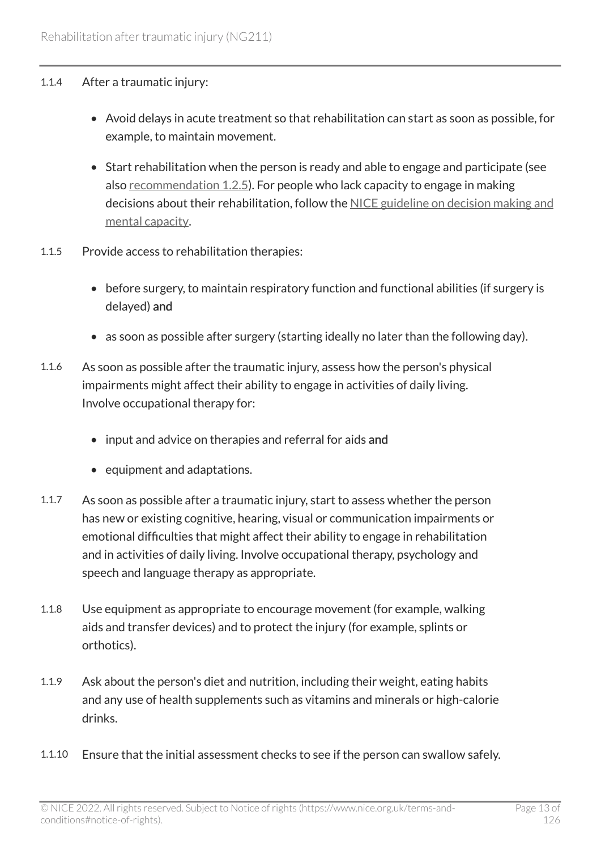#### 1.1.4 After a traumatic injury:

- Avoid delays in acute treatment so that rehabilitation can start as soon as possible, for example, to maintain movement.
- Start rehabilitation when the person is ready and able to engage and participate (see also [recommendation 1.2.5\)](#page-14-0). For people who lack capacity to engage in making decisions about their rehabilitation, follow the [NICE guideline on decision making and](https://www.nice.org.uk/guidance/ng108)  [mental capacity](https://www.nice.org.uk/guidance/ng108).
- 1.1.5 Provide access to rehabilitation therapies:
	- before surgery, to maintain respiratory function and functional abilities (if surgery is delayed) and
	- as soon as possible after surgery (starting ideally no later than the following day).
- 1.1.6 As soon as possible after the traumatic injury, assess how the person's physical impairments might affect their ability to engage in activities of daily living. Involve occupational therapy for:
	- input and advice on therapies and referral for aids and
	- equipment and adaptations.
- 1.1.7 As soon as possible after a traumatic injury, start to assess whether the person has new or existing cognitive, hearing, visual or communication impairments or emotional difficulties that might affect their ability to engage in rehabilitation and in activities of daily living. Involve occupational therapy, psychology and speech and language therapy as appropriate.
- 1.1.8 Use equipment as appropriate to encourage movement (for example, walking aids and transfer devices) and to protect the injury (for example, splints or orthotics).
- 1.1.9 Ask about the person's diet and nutrition, including their weight, eating habits and any use of health supplements such as vitamins and minerals or high-calorie drinks.
- 1.1.10 Ensure that the initial assessment checks to see if the person can swallow safely.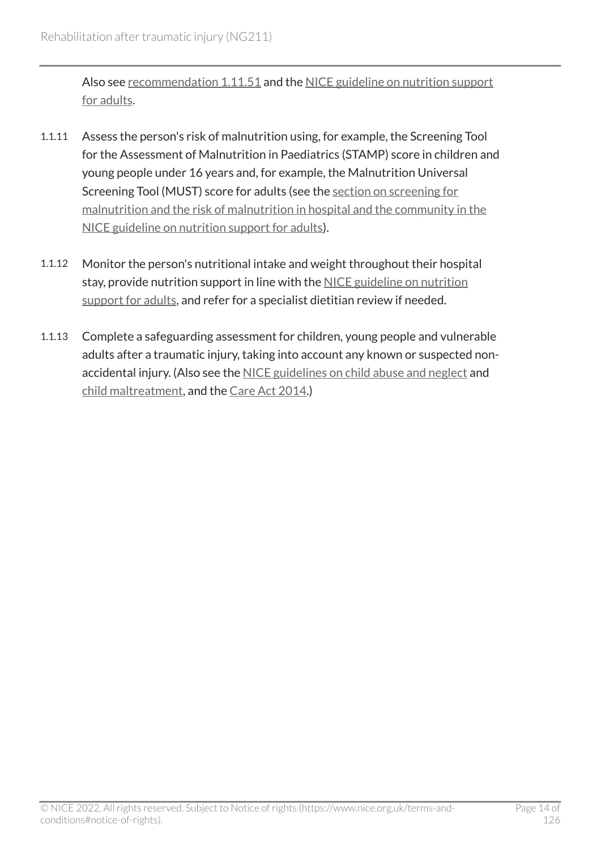Also see [recommendation 1.11.51](#page-55-0) and the NICE guideline on nutrition support [for adults](https://www.nice.org.uk/guidance/cg32).

- 1.1.11 Assess the person's risk of malnutrition using, for example, the Screening Tool for the Assessment of Malnutrition in Paediatrics (STAMP) score in children and young people under 16 years and, for example, the Malnutrition Universal Screening Tool (MUST) score for adults (see the [section on screening for](https://www.nice.org.uk/guidance/cg32/chapter/1-Guidance#screening-for-malnutrition-and-the-risk-of-malnutrition-in-hospital-and-the-community) [malnutrition and the risk of malnutrition in hospital and the community in the](https://www.nice.org.uk/guidance/cg32/chapter/1-Guidance#screening-for-malnutrition-and-the-risk-of-malnutrition-in-hospital-and-the-community) [NICE guideline on nutrition support for adults\)](https://www.nice.org.uk/guidance/cg32/chapter/1-Guidance#screening-for-malnutrition-and-the-risk-of-malnutrition-in-hospital-and-the-community).
- 1.1.12 Monitor the person's nutritional intake and weight throughout their hospital stay, provide nutrition support in line with the [NICE guideline on nutrition](https://www.nice.org.uk/guidance/cg32)  [support for adults,](https://www.nice.org.uk/guidance/cg32) and refer for a specialist dietitian review if needed.
- 1.1.13 Complete a safeguarding assessment for children, young people and vulnerable adults after a traumatic injury, taking into account any known or suspected nonaccidental injury. (Also see the [NICE guidelines on child abuse and neglect](https://www.nice.org.uk/guidance/ng76) and [child maltreatment](https://www.nice.org.uk/guidance/cg89), and the [Care Act](https://www.legislation.gov.uk/ukpga/2014/23/contents/enacted) 2014.)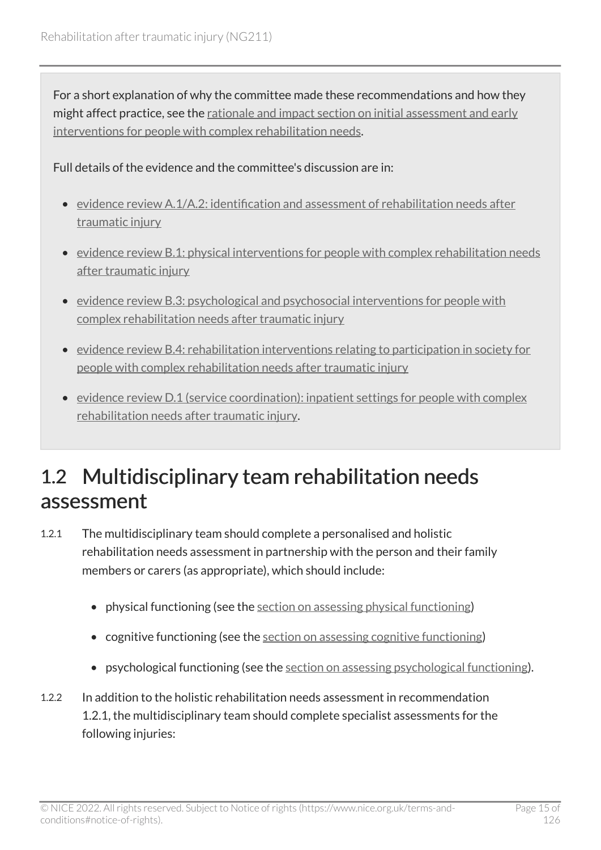For a short explanation of why the committee made these recommendations and how they might affect practice, see the [rationale and impact section on initial assessment and early](#page-85-1) [interventions for people with complex rehabilitation needs.](#page-85-1)

Full details of the evidence and the committee's discussion are in:

- [evidence review A.1/A.2: identification and assessment of rehabilitation needs after](https://www.nice.org.uk/guidance/ng211/evidence/a.1a.2-identification-and-assessment-of-rehabilitation-needs-after-traumatic-injury-pdf-10947883502)  [traumatic injury](https://www.nice.org.uk/guidance/ng211/evidence/a.1a.2-identification-and-assessment-of-rehabilitation-needs-after-traumatic-injury-pdf-10947883502)
- [evidence review B.1: physical interventions for people with complex rehabilitation needs](https://www.nice.org.uk/guidance/ng211/evidence/b.1-physical-interventions-for-people-with-complex-rehabilitation-needs-after-traumatic-injury-pdf-10947883503)  [after traumatic injury](https://www.nice.org.uk/guidance/ng211/evidence/b.1-physical-interventions-for-people-with-complex-rehabilitation-needs-after-traumatic-injury-pdf-10947883503)
- [evidence review B.3: psychological and psychosocial interventions for people with](https://www.nice.org.uk/guidance/ng211/evidence/b.3-psychological-and-psychosocial-interventions-for-people-with-complex-rehabilitation-needs-after-traumatic-injury-pdf-10947883505) [complex rehabilitation needs after traumatic injury](https://www.nice.org.uk/guidance/ng211/evidence/b.3-psychological-and-psychosocial-interventions-for-people-with-complex-rehabilitation-needs-after-traumatic-injury-pdf-10947883505)
- [evidence review B.4: rehabilitation interventions relating to participation in society for](https://www.nice.org.uk/guidance/ng211/evidence/b.4-rehabilitation-interventions-relating-to-participation-in-society-for-people-with-complex-rehabilitation-needs-after-traumatic-injury-pdf-10947883506)  [people with complex rehabilitation needs after traumatic injury](https://www.nice.org.uk/guidance/ng211/evidence/b.4-rehabilitation-interventions-relating-to-participation-in-society-for-people-with-complex-rehabilitation-needs-after-traumatic-injury-pdf-10947883506)
- [evidence review D.1 \(service coordination\): inpatient settings for people with complex](https://www.nice.org.uk/guidance/ng211/evidence/d.1-service-coordination-inpatient-settings-for-people-with-complex-rehabilitation-needs-after-traumatic-injury-pdf-394123806037) [rehabilitation needs after traumatic injury.](https://www.nice.org.uk/guidance/ng211/evidence/d.1-service-coordination-inpatient-settings-for-people-with-complex-rehabilitation-needs-after-traumatic-injury-pdf-394123806037)

### <span id="page-14-0"></span>1.2 Multidisciplinary team rehabilitation needs assessment

- 1.2.1 The multidisciplinary team should complete a personalised and holistic rehabilitation needs assessment in partnership with the person and their family members or carers (as appropriate), which should include:
	- physical functioning (see the [section on assessing physical functioning](#page-18-0))
	- cognitive functioning (see the [section on assessing cognitive functioning\)](#page-20-0)
	- psychological functioning (see the [section on assessing psychological functioning\)](#page-21-0).
- 1.2.2 In addition to the holistic rehabilitation needs assessment in recommendation 1.2.1, the multidisciplinary team should complete specialist assessments for the following injuries: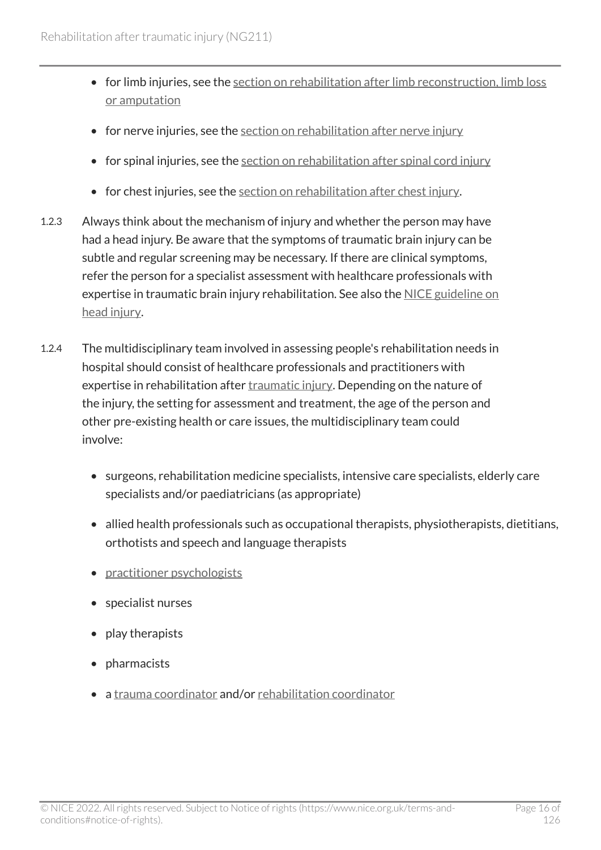- for limb injuries, see the [section on rehabilitation after limb reconstruction, limb loss](#page-60-0) [or amputation](#page-60-0)
- for nerve injuries, see the section on rehabilitation after nerve injury
- for spinal injuries, see the [section on rehabilitation after spinal cord injury](#page-68-0)
- for chest injuries, see the [section on rehabilitation after chest injury](#page-77-0).
- 1.2.3 Always think about the mechanism of injury and whether the person may have had a head injury. Be aware that the symptoms of traumatic brain injury can be subtle and regular screening may be necessary. If there are clinical symptoms, refer the person for a specialist assessment with healthcare professionals with expertise in traumatic brain injury rehabilitation. See also the [NICE guideline on](https://www.nice.org.uk/guidance/cg176) [head injury.](https://www.nice.org.uk/guidance/cg176)
- 1.2.4 The multidisciplinary team involved in assessing people's rehabilitation needs in hospital should consist of healthcare professionals and practitioners with expertise in rehabilitation after [traumatic injury.](#page-82-0) Depending on the nature of the injury, the setting for assessment and treatment, the age of the person and other pre-existing health or care issues, the multidisciplinary team could involve:
	- surgeons, rehabilitation medicine specialists, intensive care specialists, elderly care specialists and/or paediatricians (as appropriate)
	- allied health professionals such as occupational therapists, physiotherapists, dietitians, orthotists and speech and language therapists
	- practitioner psychologists
	- specialist nurses
	- play therapists
	- pharmacists
	- a [trauma coordinator](#page-81-0) and/or [rehabilitation coordinator](#page-80-1)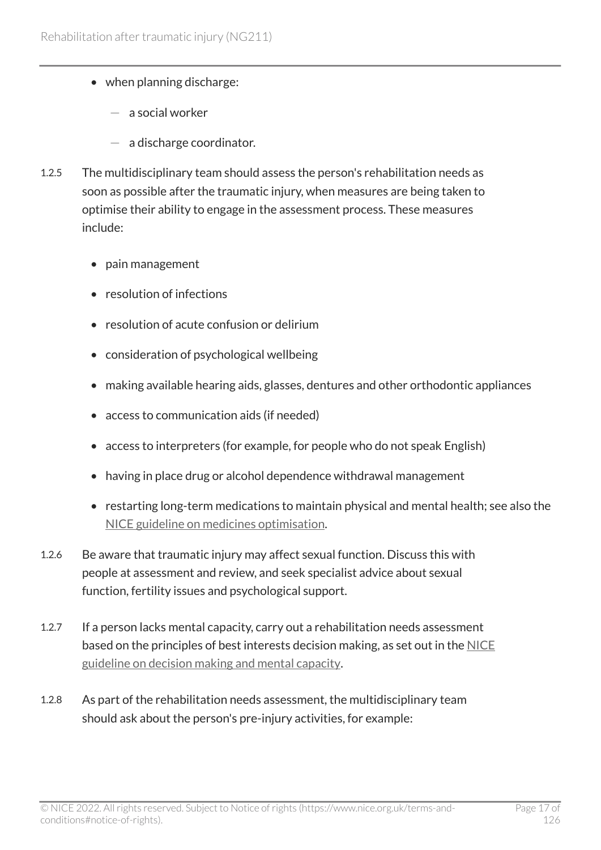- when planning discharge:
	- a social worker
	- $-$  a discharge coordinator.
- 1.2.5 The multidisciplinary team should assess the person's rehabilitation needs as soon as possible after the traumatic injury, when measures are being taken to optimise their ability to engage in the assessment process. These measures include:
	- pain management
	- resolution of infections
	- resolution of acute confusion or delirium
	- consideration of psychological wellbeing
	- making available hearing aids, glasses, dentures and other orthodontic appliances
	- access to communication aids (if needed)
	- access to interpreters (for example, for people who do not speak English)
	- having in place drug or alcohol dependence withdrawal management
	- restarting long-term medications to maintain physical and mental health; see also the [NICE guideline on medicines optimisation.](https://www.nice.org.uk/guidance/ng5)
- 1.2.6 Be aware that traumatic injury may affect sexual function. Discuss this with people at assessment and review, and seek specialist advice about sexual function, fertility issues and psychological support.
- 1.2.7 If a person lacks mental capacity, carry out a rehabilitation needs assessment based on the principles of best interests decision making, as set out in the [NICE](https://www.nice.org.uk/guidance/ng108)  [guideline on decision making and mental capacity](https://www.nice.org.uk/guidance/ng108).
- 1.2.8 As part of the rehabilitation needs assessment, the multidisciplinary team should ask about the person's pre-injury activities, for example: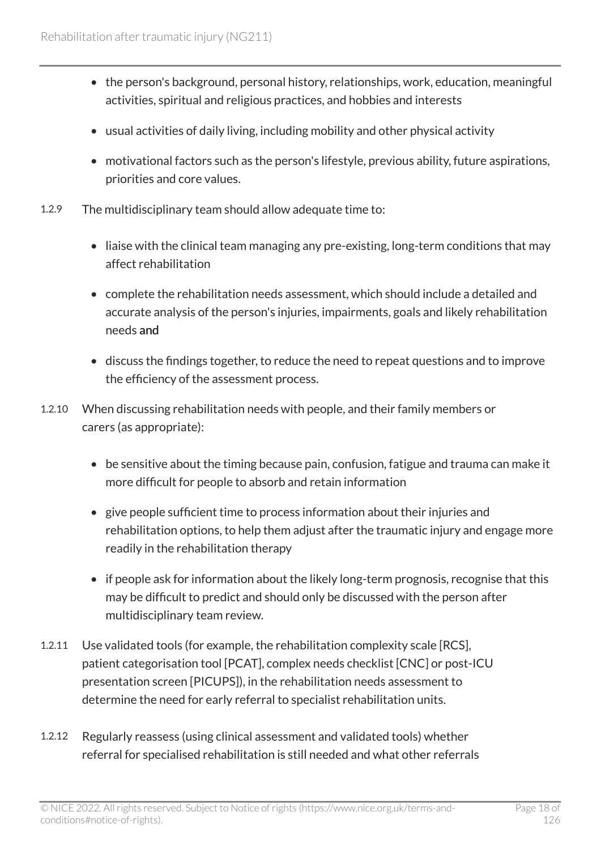- the person's background, personal history, relationships, work, education, meaningful activities, spiritual and religious practices, and hobbies and interests
- usual activities of daily living, including mobility and other physical activity
- motivational factors such as the person's lifestyle, previous ability, future aspirations, priorities and core values.
- 1.2.9 The multidisciplinary team should allow adequate time to:
	- liaise with the clinical team managing any pre-existing, long-term conditions that may affect rehabilitation
	- complete the rehabilitation needs assessment, which should include a detailed and accurate analysis of the person's injuries, impairments, goals and likely rehabilitation needs and
	- discuss the findings together, to reduce the need to repeat questions and to improve the efficiency of the assessment process.
- 1.2.10 When discussing rehabilitation needs with people, and their family members or carers (as appropriate):
	- be sensitive about the timing because pain, confusion, fatigue and trauma can make it more difficult for people to absorb and retain information
	- give people sufficient time to process information about their injuries and rehabilitation options, to help them adjust after the traumatic injury and engage more readily in the rehabilitation therapy
	- if people ask for information about the likely long-term prognosis, recognise that this may be difficult to predict and should only be discussed with the person after multidisciplinary team review.
- 1.2.11 Use validated tools (for example, the rehabilitation complexity scale [RCS], patient categorisation tool [PCAT], complex needs checklist [CNC] or post-ICU presentation screen [PICUPS]), in the rehabilitation needs assessment to determine the need for early referral to specialist rehabilitation units.
- 1.2.12 Regularly reassess (using clinical assessment and validated tools) whether referral for specialised rehabilitation is still needed and what other referrals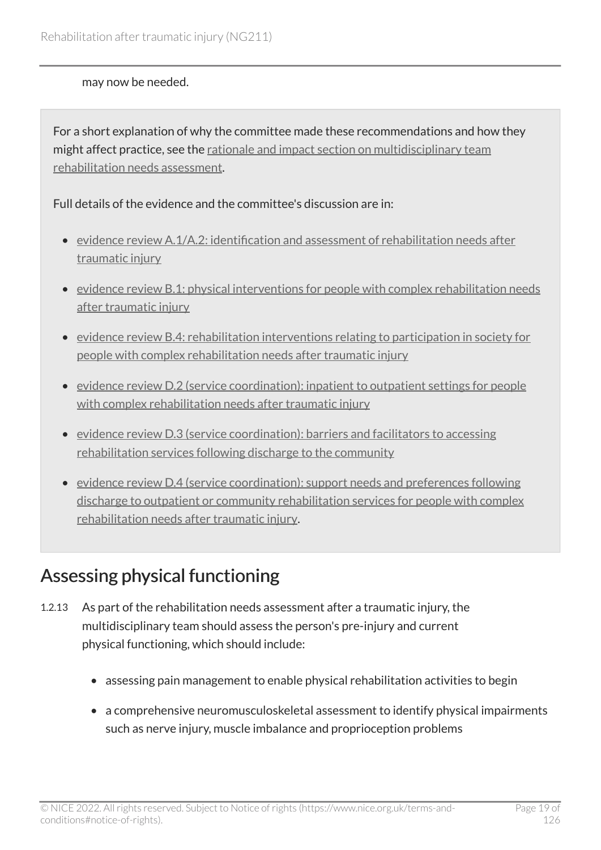#### may now be needed.

For a short explanation of why the committee made these recommendations and how they might affect practice, see the [rationale and impact section on multidisciplinary team](#page-86-0)  [rehabilitation needs assessment](#page-86-0).

#### Full details of the evidence and the committee's discussion are in:

- [evidence review A.1/A.2: identification and assessment of rehabilitation needs after](https://www.nice.org.uk/guidance/ng211/evidence/a.1a.2-identification-and-assessment-of-rehabilitation-needs-after-traumatic-injury-pdf-10947883502)  [traumatic injury](https://www.nice.org.uk/guidance/ng211/evidence/a.1a.2-identification-and-assessment-of-rehabilitation-needs-after-traumatic-injury-pdf-10947883502)
- [evidence review B.1: physical interventions for people with complex rehabilitation needs](https://www.nice.org.uk/guidance/ng211/evidence/b.1-physical-interventions-for-people-with-complex-rehabilitation-needs-after-traumatic-injury-pdf-10947883503)  [after traumatic injury](https://www.nice.org.uk/guidance/ng211/evidence/b.1-physical-interventions-for-people-with-complex-rehabilitation-needs-after-traumatic-injury-pdf-10947883503)
- [evidence review B.4: rehabilitation interventions relating to participation in society for](https://www.nice.org.uk/guidance/ng211/evidence/b.4-rehabilitation-interventions-relating-to-participation-in-society-for-people-with-complex-rehabilitation-needs-after-traumatic-injury-pdf-10947883506)  [people with complex rehabilitation needs after traumatic injury](https://www.nice.org.uk/guidance/ng211/evidence/b.4-rehabilitation-interventions-relating-to-participation-in-society-for-people-with-complex-rehabilitation-needs-after-traumatic-injury-pdf-10947883506)
- [evidence review D.2 \(service coordination\): inpatient to outpatient settings for people](https://www.nice.org.uk/guidance/ng211/evidence/d.2-service-coordination-inpatient-to-outpatient-settings-for-people-with-complex-rehabilitation-needs-after-traumatic-injury-pdf-394123806038)  with complex rehabilitation needs after traumatic injury
- [evidence review D.3 \(service coordination\): barriers and facilitators to accessing](https://www.nice.org.uk/guidance/ng211/evidence/d.3-service-coordination-barriers-and-facilitators-to-accessing-rehabilitation-services-following-discharge-to-the-community-pdf-394123806039)  [rehabilitation services following discharge to the community](https://www.nice.org.uk/guidance/ng211/evidence/d.3-service-coordination-barriers-and-facilitators-to-accessing-rehabilitation-services-following-discharge-to-the-community-pdf-394123806039)
- [evidence review D.4 \(service coordination\): support needs and preferences following](https://www.nice.org.uk/guidance/ng211/evidence/d.4-service-coordination-support-needs-and-preferences-following-discharge-to-outpatient-or-community-rehabilitation-services-for-people-with-complex-rehabilitation-needs-after-traumatic-injury-pdf-394123806040)  [discharge to outpatient or community rehabilitation services for people with complex](https://www.nice.org.uk/guidance/ng211/evidence/d.4-service-coordination-support-needs-and-preferences-following-discharge-to-outpatient-or-community-rehabilitation-services-for-people-with-complex-rehabilitation-needs-after-traumatic-injury-pdf-394123806040) [rehabilitation needs after traumatic injury.](https://www.nice.org.uk/guidance/ng211/evidence/d.4-service-coordination-support-needs-and-preferences-following-discharge-to-outpatient-or-community-rehabilitation-services-for-people-with-complex-rehabilitation-needs-after-traumatic-injury-pdf-394123806040)

#### <span id="page-18-0"></span>Assessing physical functioning

- 1.2.13 As part of the rehabilitation needs assessment after a traumatic injury, the multidisciplinary team should assess the person's pre-injury and current physical functioning, which should include:
	- assessing pain management to enable physical rehabilitation activities to begin
	- a comprehensive neuromusculoskeletal assessment to identify physical impairments such as nerve injury, muscle imbalance and proprioception problems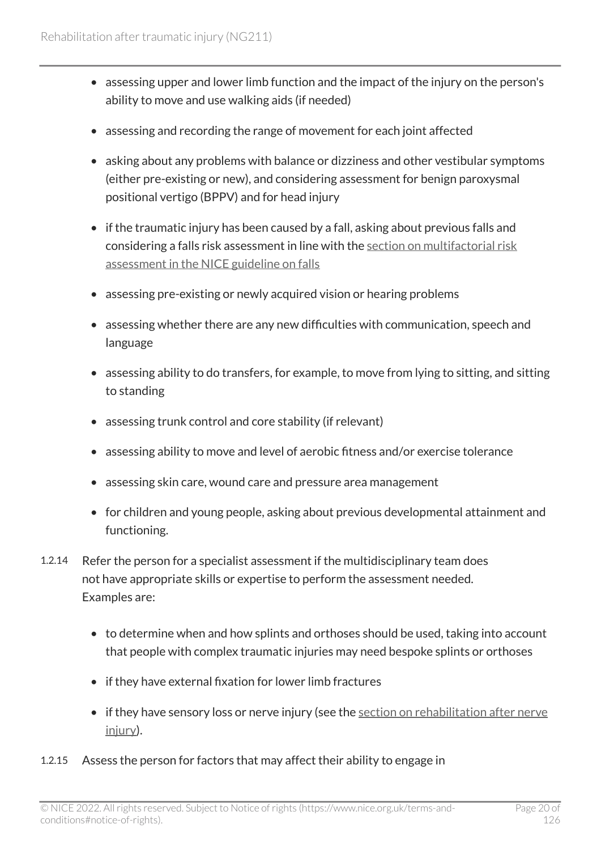- assessing upper and lower limb function and the impact of the injury on the person's ability to move and use walking aids (if needed)
- assessing and recording the range of movement for each joint affected
- asking about any problems with balance or dizziness and other vestibular symptoms (either pre-existing or new), and considering assessment for benign paroxysmal positional vertigo (BPPV) and for head injury
- if the traumatic injury has been caused by a fall, asking about previous falls and considering a falls risk assessment in line with the [section on multifactorial risk](https://www.nice.org.uk/guidance/cg161/chapter/1-Recommendations#multifactorial-falls-risk-assessment) [assessment in the NICE guideline on falls](https://www.nice.org.uk/guidance/cg161/chapter/1-Recommendations#multifactorial-falls-risk-assessment)
- assessing pre-existing or newly acquired vision or hearing problems
- assessing whether there are any new difficulties with communication, speech and language
- assessing ability to do transfers, for example, to move from lying to sitting, and sitting to standing
- assessing trunk control and core stability (if relevant)
- assessing ability to move and level of aerobic fitness and/or exercise tolerance
- assessing skin care, wound care and pressure area management
- for children and young people, asking about previous developmental attainment and functioning.
- 1.2.14 Refer the person for a specialist assessment if the multidisciplinary team does not have appropriate skills or expertise to perform the assessment needed. Examples are:
	- to determine when and how splints and orthoses should be used, taking into account that people with complex traumatic injuries may need bespoke splints or orthoses
	- if they have external fixation for lower limb fractures
	- if they have sensory loss or nerve injury (see the section on rehabilitation after nerve [injury](#page-75-0)).
- 1.2.15 Assess the person for factors that may affect their ability to engage in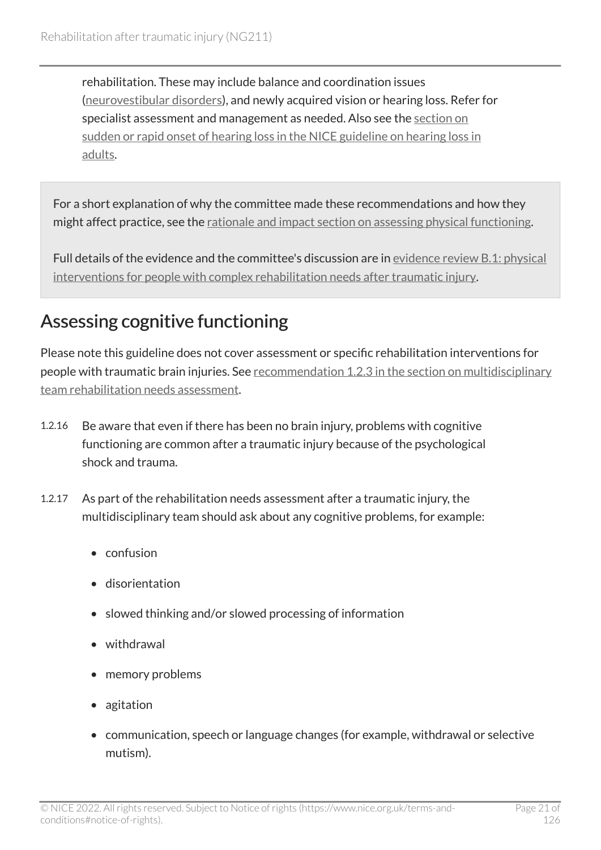rehabilitation. These may include balance and coordination issues ([neurovestibular disorders](#page-80-2)), and newly acquired vision or hearing loss. Refer for specialist assessment and management as needed. Also see the [section on](https://www.nice.org.uk/guidance/ng98/chapter/Recommendations#sudden-or-rapid-onset-of-hearing-loss)  [sudden or rapid onset of hearing loss in the NICE guideline on hearing loss in](https://www.nice.org.uk/guidance/ng98/chapter/Recommendations#sudden-or-rapid-onset-of-hearing-loss)  [adults](https://www.nice.org.uk/guidance/ng98/chapter/Recommendations#sudden-or-rapid-onset-of-hearing-loss).

For a short explanation of why the committee made these recommendations and how they might affect practice, see the [rationale and impact section on assessing physical functioning](#page-87-0).

Full details of the evidence and the committee's discussion are in [evidence review](https://www.nice.org.uk/guidance/ng211/evidence/b.1-physical-interventions-for-people-with-complex-rehabilitation-needs-after-traumatic-injury-pdf-10947883503) B.1: physical [interventions for people with complex rehabilitation needs after traumatic injury.](https://www.nice.org.uk/guidance/ng211/evidence/b.1-physical-interventions-for-people-with-complex-rehabilitation-needs-after-traumatic-injury-pdf-10947883503)

#### <span id="page-20-0"></span>Assessing cognitive functioning

Please note this guideline does not cover assessment or specific rehabilitation interventions for people with traumatic brain injuries. See [recommendation 1.2.3 in the section on multidisciplinary](#page-14-0)  [team rehabilitation needs assessment.](#page-14-0)

- 1.2.16 Be aware that even if there has been no brain injury, problems with cognitive functioning are common after a traumatic injury because of the psychological shock and trauma.
- 1.2.17 As part of the rehabilitation needs assessment after a traumatic injury, the multidisciplinary team should ask about any cognitive problems, for example:
	- confusion
	- disorientation
	- slowed thinking and/or slowed processing of information
	- withdrawal
	- memory problems
	- agitation
	- communication, speech or language changes (for example, withdrawal or selective mutism).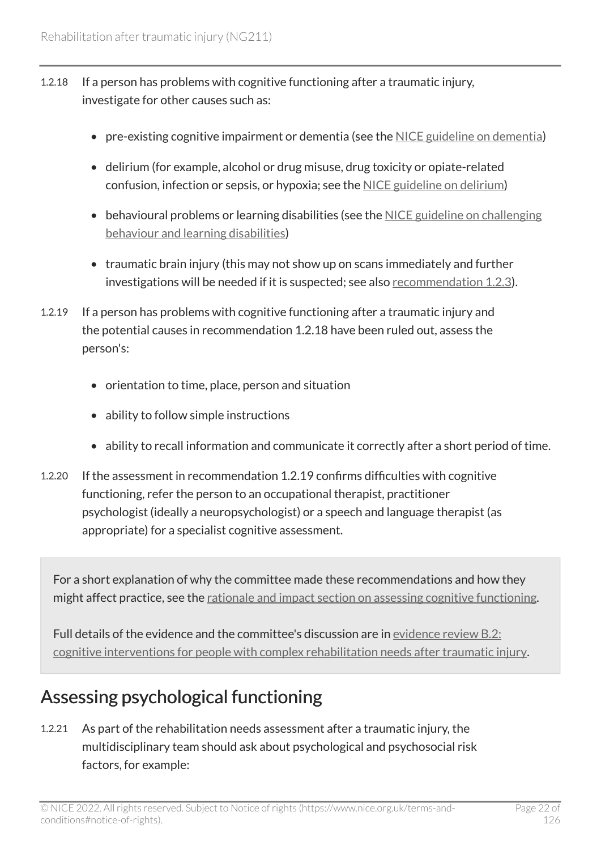- 1.2.18 If a person has problems with cognitive functioning after a traumatic injury, investigate for other causes such as:
	- pre-existing cognitive impairment or dementia (see the [NICE guideline on dementia\)](https://www.nice.org.uk/guidance/ng97)
	- delirium (for example, alcohol or drug misuse, drug toxicity or opiate-related confusion, infection or sepsis, or hypoxia; see the [NICE guideline on delirium](https://www.nice.org.uk/guidance/cg103))
	- behavioural problems or learning disabilities (see the [NICE guideline on challenging](https://www.nice.org.uk/guidance/ng11)  [behaviour and learning disabilities\)](https://www.nice.org.uk/guidance/ng11)
	- traumatic brain injury (this may not show up on scans immediately and further investigations will be needed if it is suspected; see also [recommendation](#page-14-0) 1.2.3).
- 1.2.19 If a person has problems with cognitive functioning after a traumatic injury and the potential causes in recommendation 1.2.18 have been ruled out, assess the person's:
	- orientation to time, place, person and situation
	- ability to follow simple instructions
	- ability to recall information and communicate it correctly after a short period of time.
- 1.2.20 If the assessment in recommendation 1.2.19 confirms difficulties with cognitive functioning, refer the person to an occupational therapist, practitioner psychologist (ideally a neuropsychologist) or a speech and language therapist (as appropriate) for a specialist cognitive assessment.

For a short explanation of why the committee made these recommendations and how they might affect practice, see the [rationale and impact section on assessing cognitive functioning.](#page-87-1)

Full details of the evidence and the committee's discussion are in [evidence review](https://www.nice.org.uk/guidance/ng211/evidence/b.2-cognitive-interventions-for-people-with-complex-rehabilitation-needs-after-traumatic-injury-pdf-10947883504) B.2: [cognitive interventions for people with complex rehabilitation needs after traumatic injury](https://www.nice.org.uk/guidance/ng211/evidence/b.2-cognitive-interventions-for-people-with-complex-rehabilitation-needs-after-traumatic-injury-pdf-10947883504).

#### <span id="page-21-0"></span>Assessing psychological functioning

1.2.21 As part of the rehabilitation needs assessment after a traumatic injury, the multidisciplinary team should ask about psychological and psychosocial risk factors, for example: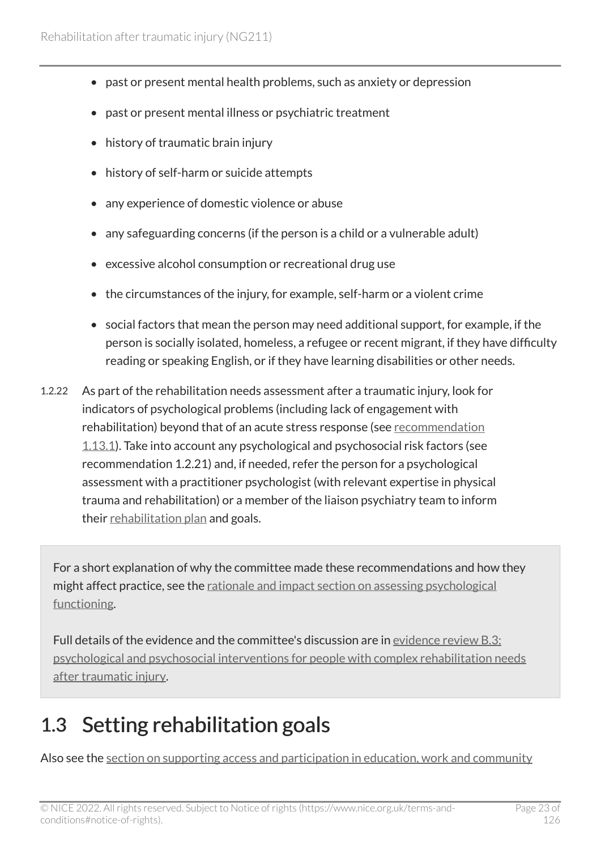- past or present mental health problems, such as anxiety or depression
- past or present mental illness or psychiatric treatment
- history of traumatic brain injury
- history of self-harm or suicide attempts
- any experience of domestic violence or abuse
- any safeguarding concerns (if the person is a child or a vulnerable adult)
- excessive alcohol consumption or recreational drug use
- the circumstances of the injury, for example, self-harm or a violent crime
- social factors that mean the person may need additional support, for example, if the person is socially isolated, homeless, a refugee or recent migrant, if they have difficulty reading or speaking English, or if they have learning disabilities or other needs.
- 1.2.22 As part of the rehabilitation needs assessment after a traumatic injury, look for indicators of psychological problems (including lack of engagement with rehabilitation) beyond that of an acute stress response (see [recommendation](#page-58-0) [1.13.1](#page-58-0)). Take into account any psychological and psychosocial risk factors (see recommendation 1.2.21) and, if needed, refer the person for a psychological assessment with a practitioner psychologist (with relevant expertise in physical trauma and rehabilitation) or a member of the liaison psychiatry team to inform their [rehabilitation plan](#page-80-3) and goals.

For a short explanation of why the committee made these recommendations and how they might affect practice, see the <u>rationale and impact section on assessing psychological</u> [functioning.](#page-88-0)

Full details of the evidence and the committee's discussion are in [evidence review](https://www.nice.org.uk/guidance/ng211/evidence/b.3-psychological-and-psychosocial-interventions-for-people-with-complex-rehabilitation-needs-after-traumatic-injury-pdf-10947883505) B.3: [psychological and psychosocial interventions for people with complex rehabilitation needs](https://www.nice.org.uk/guidance/ng211/evidence/b.3-psychological-and-psychosocial-interventions-for-people-with-complex-rehabilitation-needs-after-traumatic-injury-pdf-10947883505) [after traumatic injury](https://www.nice.org.uk/guidance/ng211/evidence/b.3-psychological-and-psychosocial-interventions-for-people-with-complex-rehabilitation-needs-after-traumatic-injury-pdf-10947883505).

## <span id="page-22-0"></span>1.3 Setting rehabilitation goals

Also see the [section on supporting access and participation in education, work and community](#page-42-0)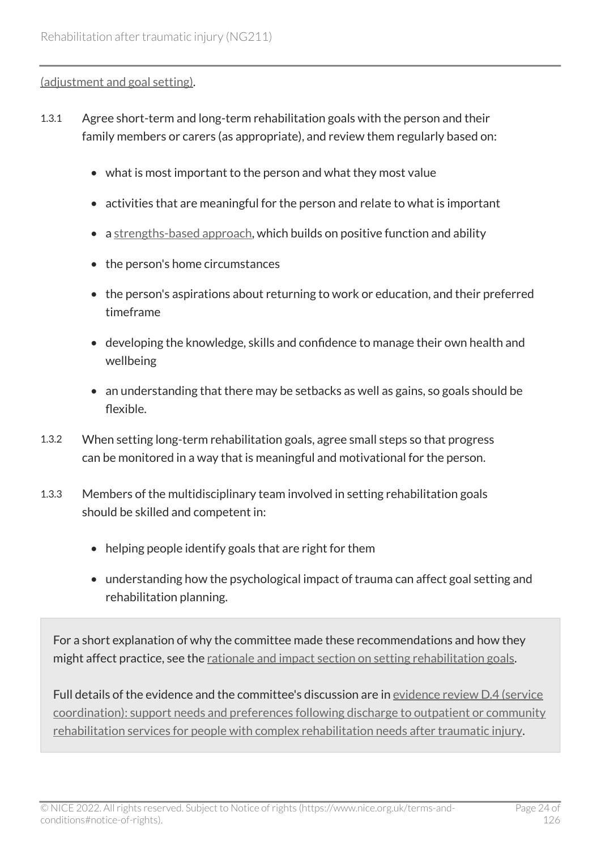[\(adjustment and goal setting\)](#page-42-0).

- 1.3.1 Agree short-term and long-term rehabilitation goals with the person and their family members or carers (as appropriate), and review them regularly based on:
	- what is most important to the person and what they most value
	- activities that are meaningful for the person and relate to what is important
	- a [strengths-based approach,](#page-81-1) which builds on positive function and ability
	- the person's home circumstances
	- the person's aspirations about returning to work or education, and their preferred timeframe
	- developing the knowledge, skills and confidence to manage their own health and wellbeing
	- an understanding that there may be setbacks as well as gains, so goals should be flexible.
- 1.3.2 When setting long-term rehabilitation goals, agree small steps so that progress can be monitored in a way that is meaningful and motivational for the person.
- 1.3.3 Members of the multidisciplinary team involved in setting rehabilitation goals should be skilled and competent in:
	- helping people identify goals that are right for them
	- understanding how the psychological impact of trauma can affect goal setting and rehabilitation planning.

For a short explanation of why the committee made these recommendations and how they might affect practice, see the [rationale and impact section on setting rehabilitation goals.](#page-89-0)

Full details of the evidence and the committee's discussion are in [evidence review](https://www.nice.org.uk/guidance/ng211/evidence/d.4-service-coordination-support-needs-and-preferences-following-discharge-to-outpatient-or-community-rehabilitation-services-for-people-with-complex-rehabilitation-needs-after-traumatic-injury-pdf-394123806040) D.4 (service [coordination\): support needs and preferences following discharge to outpatient or community](https://www.nice.org.uk/guidance/ng211/evidence/d.4-service-coordination-support-needs-and-preferences-following-discharge-to-outpatient-or-community-rehabilitation-services-for-people-with-complex-rehabilitation-needs-after-traumatic-injury-pdf-394123806040)  [rehabilitation services for people with complex rehabilitation needs after traumatic injury.](https://www.nice.org.uk/guidance/ng211/evidence/d.4-service-coordination-support-needs-and-preferences-following-discharge-to-outpatient-or-community-rehabilitation-services-for-people-with-complex-rehabilitation-needs-after-traumatic-injury-pdf-394123806040)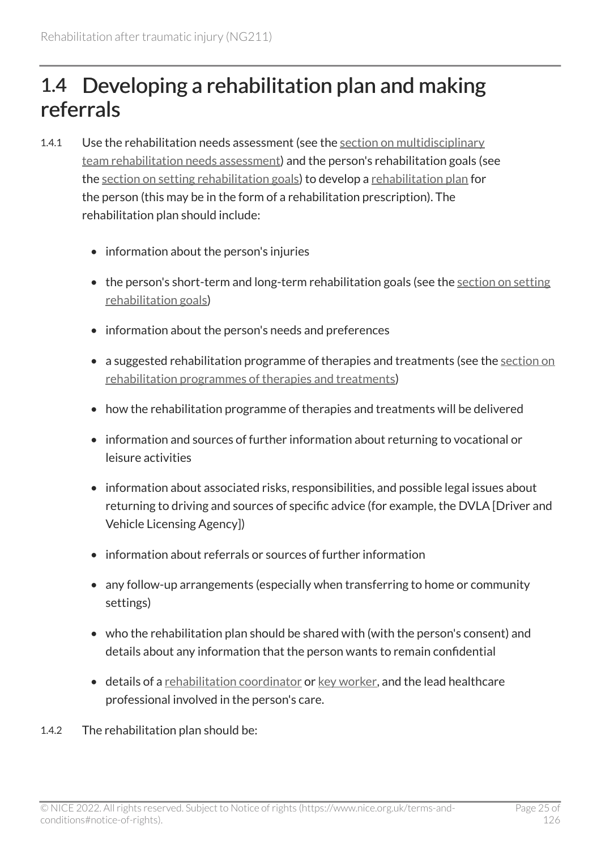### <span id="page-24-0"></span>1.4 Developing a rehabilitation plan and making referrals

- 1.4.1 Use the rehabilitation needs assessment (see the [section on multidisciplinary](#page-14-0) [team rehabilitation needs assessment\)](#page-14-0) and the person's rehabilitation goals (see the [section on setting rehabilitation goals](#page-22-0)) to develop a [rehabilitation plan](#page-80-3) for the person (this may be in the form of a rehabilitation prescription). The rehabilitation plan should include:
	- information about the person's injuries
	- the person's short-term and long-term rehabilitation goals (see the [section on setting](#page-22-0) [rehabilitation goals](#page-22-0))
	- information about the person's needs and preferences
	- a suggested rehabilitation programme of therapies and treatments (see the section on [rehabilitation programmes of therapies and treatments\)](#page-27-0)
	- how the rehabilitation programme of therapies and treatments will be delivered
	- information and sources of further information about returning to vocational or leisure activities
	- information about associated risks, responsibilities, and possible legal issues about returning to driving and sources of specific advice (for example, the DVLA [Driver and Vehicle Licensing Agency])
	- information about referrals or sources of further information
	- any follow-up arrangements (especially when transferring to home or community settings)
	- who the rehabilitation plan should be shared with (with the person's consent) and details about any information that the person wants to remain confidential
	- details of a [rehabilitation coordinator](#page-80-1) or [key worker,](#page-79-2) and the lead healthcare professional involved in the person's care.
- 1.4.2 The rehabilitation plan should be: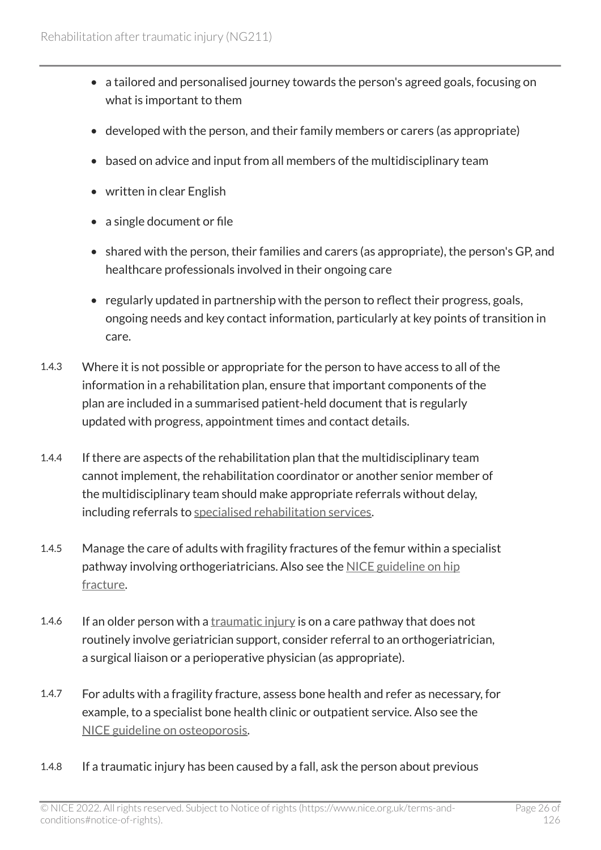- a tailored and personalised journey towards the person's agreed goals, focusing on what is important to them
- developed with the person, and their family members or carers (as appropriate)
- based on advice and input from all members of the multidisciplinary team
- written in clear English
- a single document or file
- shared with the person, their families and carers (as appropriate), the person's GP, and healthcare professionals involved in their ongoing care
- regularly updated in partnership with the person to reflect their progress, goals, ongoing needs and key contact information, particularly at key points of transition in care.
- 1.4.3 Where it is not possible or appropriate for the person to have access to all of the information in a rehabilitation plan, ensure that important components of the plan are included in a summarised patient-held document that is regularly updated with progress, appointment times and contact details.
- 1.4.4 If there are aspects of the rehabilitation plan that the multidisciplinary team cannot implement, the rehabilitation coordinator or another senior member of the multidisciplinary team should make appropriate referrals without delay, including referrals to [specialised rehabilitation services](#page-81-2).
- 1.4.5 Manage the care of adults with fragility fractures of the femur within a specialist pathway involving orthogeriatricians. Also see the [NICE guideline on hip](https://www.nice.org.uk/guidance/cg124)  [fracture.](https://www.nice.org.uk/guidance/cg124)
- 1.4.6 If an older person with a [traumatic injury](#page-82-0) is on a care pathway that does not routinely involve geriatrician support, consider referral to an orthogeriatrician, a surgical liaison or a perioperative physician (as appropriate).
- 1.4.7 For adults with a fragility fracture, assess bone health and refer as necessary, for example, to a specialist bone health clinic or outpatient service. Also see the [NICE guideline on osteoporosis](https://www.nice.org.uk/guidance/cg146).
- 1.4.8 If a traumatic injury has been caused by a fall, ask the person about previous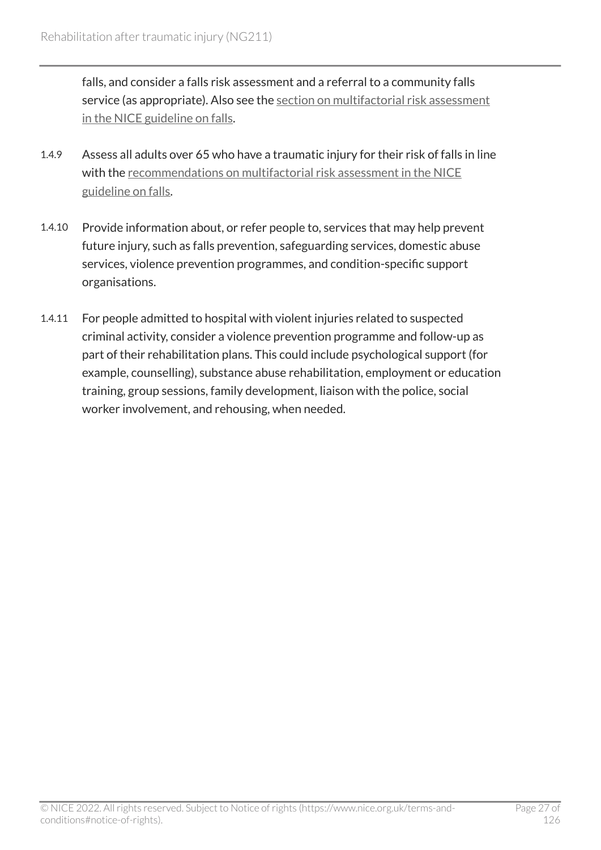falls, and consider a falls risk assessment and a referral to a community falls service (as appropriate). Also see the [section on multifactorial risk assessment](https://www.nice.org.uk/guidance/cg161/chapter/1-Recommendations#multifactorial-falls-risk-assessment)  [in the NICE guideline on falls.](https://www.nice.org.uk/guidance/cg161/chapter/1-Recommendations#multifactorial-falls-risk-assessment)

- 1.4.9 Assess all adults over 65 who have a traumatic injury for their risk of falls in line with the [recommendations on multifactorial risk assessment in the NICE](https://www.nice.org.uk/guidance/cg161/chapter/1-Recommendations#multifactorial-falls-risk-assessment) [guideline on falls.](https://www.nice.org.uk/guidance/cg161/chapter/1-Recommendations#multifactorial-falls-risk-assessment)
- 1.4.10 Provide information about, or refer people to, services that may help prevent future injury, such as falls prevention, safeguarding services, domestic abuse services, violence prevention programmes, and condition-specific support organisations.
- 1.4.11 For people admitted to hospital with violent injuries related to suspected criminal activity, consider a violence prevention programme and follow-up as part of their rehabilitation plans. This could include psychological support (for example, counselling), substance abuse rehabilitation, employment or education training, group sessions, family development, liaison with the police, social worker involvement, and rehousing, when needed.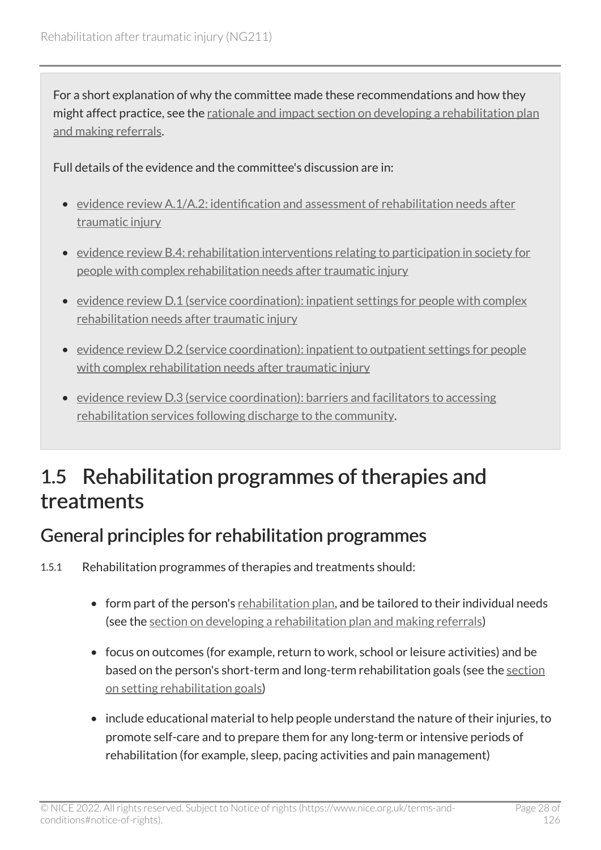For a short explanation of why the committee made these recommendations and how they might affect practice, see the [rationale and impact section on developing a rehabilitation plan](#page-89-1) [and making referrals](#page-89-1).

Full details of the evidence and the committee's discussion are in:

- [evidence review A.1/A.2: identification and assessment of rehabilitation needs after](https://www.nice.org.uk/guidance/ng211/evidence/a.1a.2-identification-and-assessment-of-rehabilitation-needs-after-traumatic-injury-pdf-10947883502)  [traumatic injury](https://www.nice.org.uk/guidance/ng211/evidence/a.1a.2-identification-and-assessment-of-rehabilitation-needs-after-traumatic-injury-pdf-10947883502)
- [evidence review B.4: rehabilitation interventions relating to participation in society for](https://www.nice.org.uk/guidance/ng211/evidence/b.4-rehabilitation-interventions-relating-to-participation-in-society-for-people-with-complex-rehabilitation-needs-after-traumatic-injury-pdf-10947883506)  [people with complex rehabilitation needs after traumatic injury](https://www.nice.org.uk/guidance/ng211/evidence/b.4-rehabilitation-interventions-relating-to-participation-in-society-for-people-with-complex-rehabilitation-needs-after-traumatic-injury-pdf-10947883506)
- [evidence review D.1 \(service coordination\): inpatient settings for people with complex](https://www.nice.org.uk/guidance/ng211/evidence/d.1-service-coordination-inpatient-settings-for-people-with-complex-rehabilitation-needs-after-traumatic-injury-pdf-394123806037) [rehabilitation needs after traumatic injury](https://www.nice.org.uk/guidance/ng211/evidence/d.1-service-coordination-inpatient-settings-for-people-with-complex-rehabilitation-needs-after-traumatic-injury-pdf-394123806037)
- [evidence review D.2 \(service coordination\): inpatient to outpatient settings for people](https://www.nice.org.uk/guidance/ng211/evidence/d.2-service-coordination-inpatient-to-outpatient-settings-for-people-with-complex-rehabilitation-needs-after-traumatic-injury-pdf-394123806038)  [with complex rehabilitation needs after traumatic injury](https://www.nice.org.uk/guidance/ng211/evidence/d.2-service-coordination-inpatient-to-outpatient-settings-for-people-with-complex-rehabilitation-needs-after-traumatic-injury-pdf-394123806038)
- [evidence review D.3 \(service coordination\): barriers and facilitators to accessing](https://www.nice.org.uk/guidance/ng211/evidence/d.3-service-coordination-barriers-and-facilitators-to-accessing-rehabilitation-services-following-discharge-to-the-community-pdf-394123806039)  [rehabilitation services following discharge to the community.](https://www.nice.org.uk/guidance/ng211/evidence/d.3-service-coordination-barriers-and-facilitators-to-accessing-rehabilitation-services-following-discharge-to-the-community-pdf-394123806039)

### <span id="page-27-0"></span>1.5 Rehabilitation programmes of therapies and treatments

#### General principles for rehabilitation programmes

- 1.5.1 Rehabilitation programmes of therapies and treatments should:
	- form part of the person's [rehabilitation plan,](#page-80-3) and be tailored to their individual needs (see the [section on developing a rehabilitation plan and making referrals\)](#page-24-0)
	- focus on outcomes (for example, return to work, school or leisure activities) and be based on the person's short-term and long-term rehabilitation goals (see the [section](#page-22-0) [on setting rehabilitation goals\)](#page-22-0)
	- include educational material to help people understand the nature of their injuries, to promote self-care and to prepare them for any long-term or intensive periods of rehabilitation (for example, sleep, pacing activities and pain management)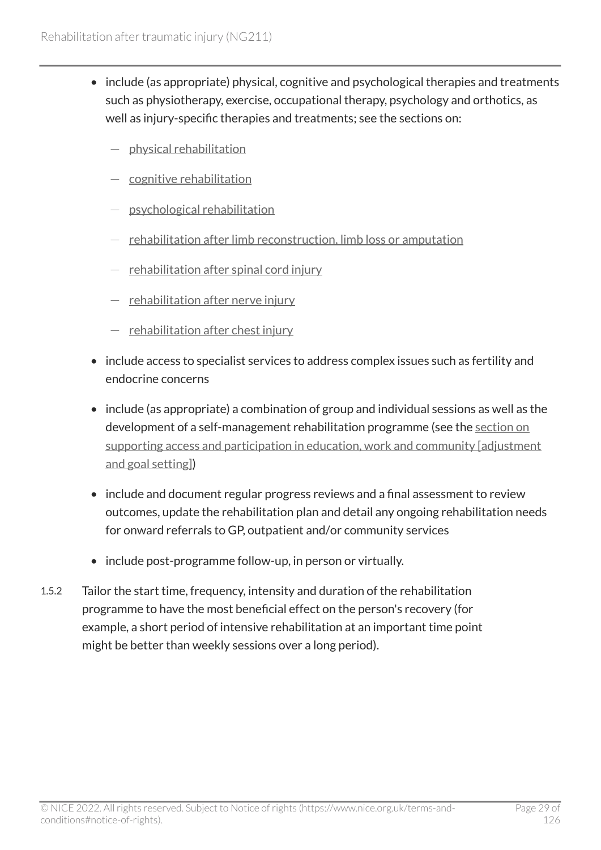- include (as appropriate) physical, cognitive and psychological therapies and treatments such as physiotherapy, exercise, occupational therapy, psychology and orthotics, as well as injury-specific therapies and treatments; see the sections on:
	- physical rehabilitation
	- [cognitive rehabilitation](#page-57-0)
	- [psychological rehabilitation](#page-58-0)
	- $-$  [rehabilitation after limb reconstruction, limb loss or amputation](#page-60-0)
	- $-$  [rehabilitation after spinal cord injury](#page-68-0)
	- $-$  [rehabilitation after nerve injury](#page-75-0)
	- $-$  rehabilitation after chest injury
- include access to specialist services to address complex issues such as fertility and endocrine concerns
- include (as appropriate) a combination of group and individual sessions as well as the development of a self-management rehabilitation programme (see the [section on](#page-42-0)  [supporting access and participation in education, work and community \[adjustment](#page-42-0) [and goal setting\]\)](#page-42-0)
- include and document regular progress reviews and a final assessment to review outcomes, update the rehabilitation plan and detail any ongoing rehabilitation needs for onward referrals to GP, outpatient and/or community services
- include post-programme follow-up, in person or virtually.
- 1.5.2 Tailor the start time, frequency, intensity and duration of the rehabilitation programme to have the most beneficial effect on the person's recovery (for example, a short period of intensive rehabilitation at an important time point might be better than weekly sessions over a long period).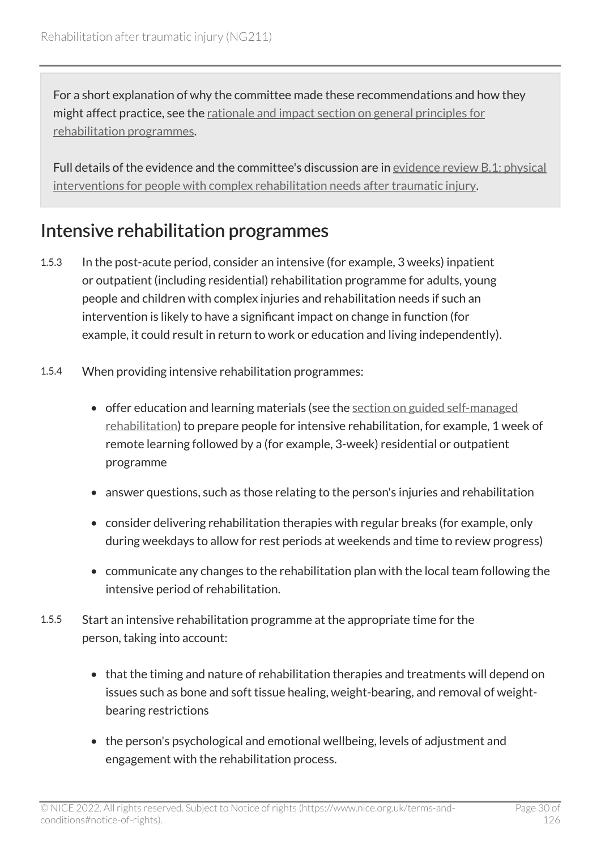For a short explanation of why the committee made these recommendations and how they might affect practice, see the [rationale and impact section on general principles for](#page-90-0)  [rehabilitation programmes](#page-90-0).

Full details of the evidence and the committee's discussion are in [evidence review](https://www.nice.org.uk/guidance/ng211/evidence/b.1-physical-interventions-for-people-with-complex-rehabilitation-needs-after-traumatic-injury-pdf-10947883503) B.1: physical [interventions for people with complex rehabilitation needs after traumatic injury.](https://www.nice.org.uk/guidance/ng211/evidence/b.1-physical-interventions-for-people-with-complex-rehabilitation-needs-after-traumatic-injury-pdf-10947883503)

#### Intensive rehabilitation programmes

- 1.5.3 In the post-acute period, consider an intensive (for example, 3 weeks) inpatient or outpatient (including residential) rehabilitation programme for adults, young people and children with complex injuries and rehabilitation needs if such an intervention is likely to have a significant impact on change in function (for example, it could result in return to work or education and living independently).
- 1.5.4 When providing intensive rehabilitation programmes:
	- offer education and learning materials (see the [section on guided self-managed](#page-30-0) [rehabilitation\)](#page-30-0) to prepare people for intensive rehabilitation, for example, 1 week of remote learning followed by a (for example, 3-week) residential or outpatient programme
	- answer questions, such as those relating to the person's injuries and rehabilitation
	- consider delivering rehabilitation therapies with regular breaks (for example, only during weekdays to allow for rest periods at weekends and time to review progress)
	- communicate any changes to the rehabilitation plan with the local team following the intensive period of rehabilitation.
- 1.5.5 Start an intensive rehabilitation programme at the appropriate time for the person, taking into account:
	- that the timing and nature of rehabilitation therapies and treatments will depend on issues such as bone and soft tissue healing, weight-bearing, and removal of weightbearing restrictions
	- the person's psychological and emotional wellbeing, levels of adjustment and engagement with the rehabilitation process.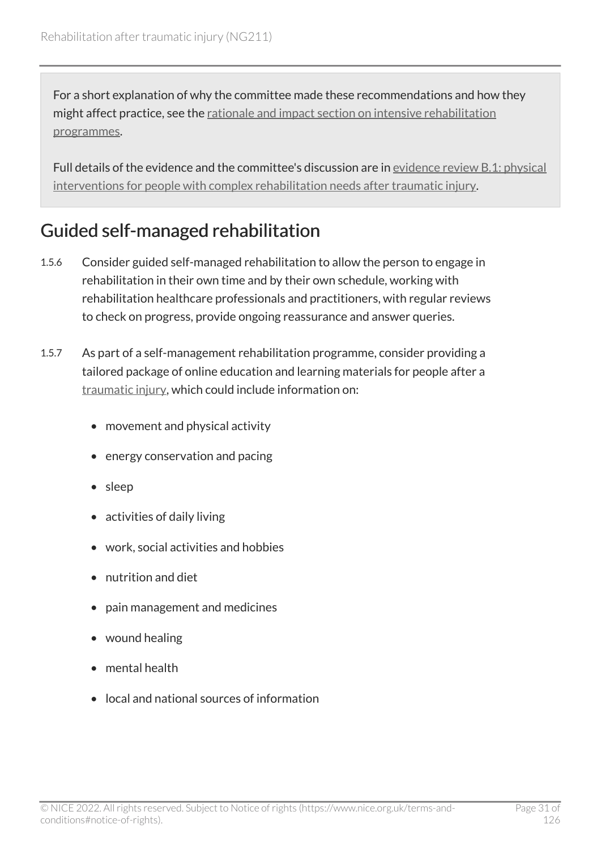For a short explanation of why the committee made these recommendations and how they might affect practice, see the [rationale and impact section on intensive rehabilitation](#page-91-0)  [programmes.](#page-91-0)

Full details of the evidence and the committee's discussion are in [evidence review](https://www.nice.org.uk/guidance/ng211/evidence/b.1-physical-interventions-for-people-with-complex-rehabilitation-needs-after-traumatic-injury-pdf-10947883503) B.1: physical [interventions for people with complex rehabilitation needs after traumatic injury.](https://www.nice.org.uk/guidance/ng211/evidence/b.1-physical-interventions-for-people-with-complex-rehabilitation-needs-after-traumatic-injury-pdf-10947883503)

#### <span id="page-30-0"></span>Guided self-managed rehabilitation

- 1.5.6 Consider guided self-managed rehabilitation to allow the person to engage in rehabilitation in their own time and by their own schedule, working with rehabilitation healthcare professionals and practitioners, with regular reviews to check on progress, provide ongoing reassurance and answer queries.
- 1.5.7 As part of a self-management rehabilitation programme, consider providing a tailored package of online education and learning materials for people after a [traumatic injury,](#page-82-0) which could include information on:
	- movement and physical activity
	- energy conservation and pacing
	- sleep
	- activities of daily living
	- work, social activities and hobbies
	- nutrition and diet
	- pain management and medicines
	- wound healing
	- mental health
	- local and national sources of information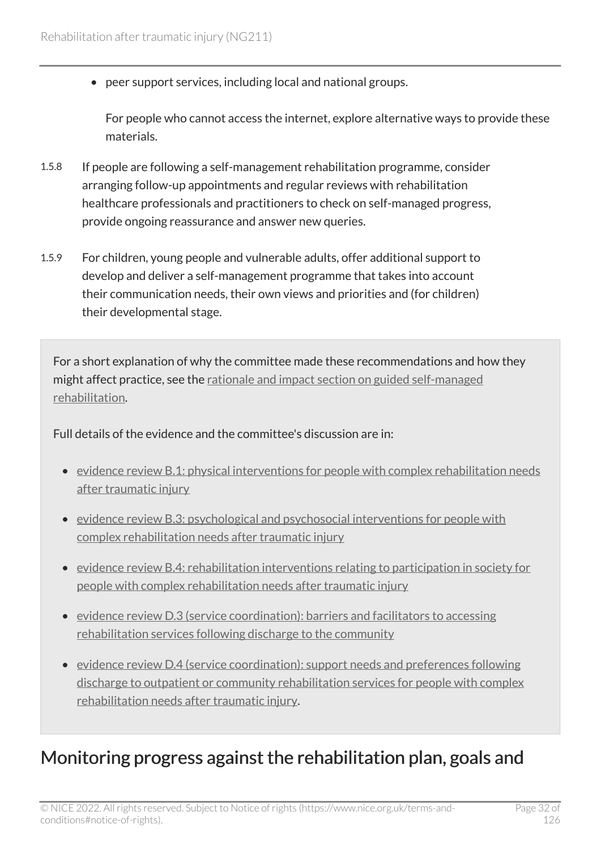• peer support services, including local and national groups.

For people who cannot access the internet, explore alternative ways to provide these materials.

- 1.5.8 If people are following a self-management rehabilitation programme, consider arranging follow-up appointments and regular reviews with rehabilitation healthcare professionals and practitioners to check on self-managed progress, provide ongoing reassurance and answer new queries.
- 1.5.9 For children, young people and vulnerable adults, offer additional support to develop and deliver a self-management programme that takes into account their communication needs, their own views and priorities and (for children) their developmental stage.

For a short explanation of why the committee made these recommendations and how they might affect practice, see the [rationale and impact section on guided self-managed](#page-92-0)  [rehabilitation](#page-92-0).

Full details of the evidence and the committee's discussion are in:

- [evidence review B.1: physical interventions for people with complex rehabilitation needs](https://www.nice.org.uk/guidance/ng211/evidence/b.1-physical-interventions-for-people-with-complex-rehabilitation-needs-after-traumatic-injury-pdf-10947883503)  [after traumatic injury](https://www.nice.org.uk/guidance/ng211/evidence/b.1-physical-interventions-for-people-with-complex-rehabilitation-needs-after-traumatic-injury-pdf-10947883503)
- [evidence review B.3: psychological and psychosocial interventions for people with](https://www.nice.org.uk/guidance/ng211/evidence/b.3-psychological-and-psychosocial-interventions-for-people-with-complex-rehabilitation-needs-after-traumatic-injury-pdf-10947883505) [complex rehabilitation needs after traumatic injury](https://www.nice.org.uk/guidance/ng211/evidence/b.3-psychological-and-psychosocial-interventions-for-people-with-complex-rehabilitation-needs-after-traumatic-injury-pdf-10947883505)
- [evidence review B.4: rehabilitation interventions relating to participation in society for](https://www.nice.org.uk/guidance/ng211/evidence/b.4-rehabilitation-interventions-relating-to-participation-in-society-for-people-with-complex-rehabilitation-needs-after-traumatic-injury-pdf-10947883506)  [people with complex rehabilitation needs after traumatic injury](https://www.nice.org.uk/guidance/ng211/evidence/b.4-rehabilitation-interventions-relating-to-participation-in-society-for-people-with-complex-rehabilitation-needs-after-traumatic-injury-pdf-10947883506)
- [evidence review D.3 \(service coordination\): barriers and facilitators to accessing](https://www.nice.org.uk/guidance/ng211/evidence/d.3-service-coordination-barriers-and-facilitators-to-accessing-rehabilitation-services-following-discharge-to-the-community-pdf-394123806039)  [rehabilitation services following discharge to the community](https://www.nice.org.uk/guidance/ng211/evidence/d.3-service-coordination-barriers-and-facilitators-to-accessing-rehabilitation-services-following-discharge-to-the-community-pdf-394123806039)
- [evidence review D.4 \(service coordination\): support needs and preferences following](https://www.nice.org.uk/guidance/ng211/evidence/d.4-service-coordination-support-needs-and-preferences-following-discharge-to-outpatient-or-community-rehabilitation-services-for-people-with-complex-rehabilitation-needs-after-traumatic-injury-pdf-394123806040)  [discharge to outpatient or community rehabilitation services for people with complex](https://www.nice.org.uk/guidance/ng211/evidence/d.4-service-coordination-support-needs-and-preferences-following-discharge-to-outpatient-or-community-rehabilitation-services-for-people-with-complex-rehabilitation-needs-after-traumatic-injury-pdf-394123806040) [rehabilitation needs after traumatic injury.](https://www.nice.org.uk/guidance/ng211/evidence/d.4-service-coordination-support-needs-and-preferences-following-discharge-to-outpatient-or-community-rehabilitation-services-for-people-with-complex-rehabilitation-needs-after-traumatic-injury-pdf-394123806040)

#### Monitoring progress against the rehabilitation plan, goals and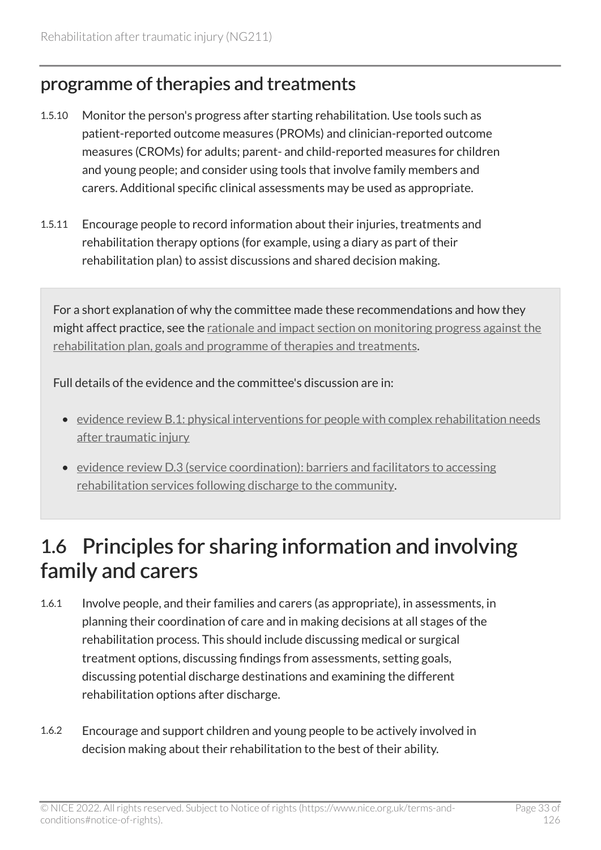#### programme of therapies and treatments

- 1.5.10 Monitor the person's progress after starting rehabilitation. Use tools such as patient-reported outcome measures (PROMs) and clinician-reported outcome measures (CROMs) for adults; parent- and child-reported measures for children and young people; and consider using tools that involve family members and carers. Additional specific clinical assessments may be used as appropriate.
- 1.5.11 Encourage people to record information about their injuries, treatments and rehabilitation therapy options (for example, using a diary as part of their rehabilitation plan) to assist discussions and shared decision making.

For a short explanation of why the committee made these recommendations and how they might affect practice, see the [rationale and impact section on monitoring progress against the](#page-93-0) [rehabilitation plan, goals and programme of therapies and treatments](#page-93-0).

Full details of the evidence and the committee's discussion are in:

- [evidence review B.1: physical interventions for people with complex rehabilitation needs](https://www.nice.org.uk/guidance/ng211/evidence/b.1-physical-interventions-for-people-with-complex-rehabilitation-needs-after-traumatic-injury-pdf-10947883503)  [after traumatic injury](https://www.nice.org.uk/guidance/ng211/evidence/b.1-physical-interventions-for-people-with-complex-rehabilitation-needs-after-traumatic-injury-pdf-10947883503)
- [evidence review D.3 \(service coordination\): barriers and facilitators to accessing](https://www.nice.org.uk/guidance/ng211/evidence/d.3-service-coordination-barriers-and-facilitators-to-accessing-rehabilitation-services-following-discharge-to-the-community-pdf-394123806039)  [rehabilitation services following discharge to the community.](https://www.nice.org.uk/guidance/ng211/evidence/d.3-service-coordination-barriers-and-facilitators-to-accessing-rehabilitation-services-following-discharge-to-the-community-pdf-394123806039)

### <span id="page-32-0"></span>1.6 Principles for sharing information and involving family and carers

- 1.6.1 Involve people, and their families and carers (as appropriate), in assessments, in planning their coordination of care and in making decisions at all stages of the rehabilitation process. This should include discussing medical or surgical treatment options, discussing findings from assessments, setting goals, discussing potential discharge destinations and examining the different rehabilitation options after discharge.
- 1.6.2 Encourage and support children and young people to be actively involved in decision making about their rehabilitation to the best of their ability.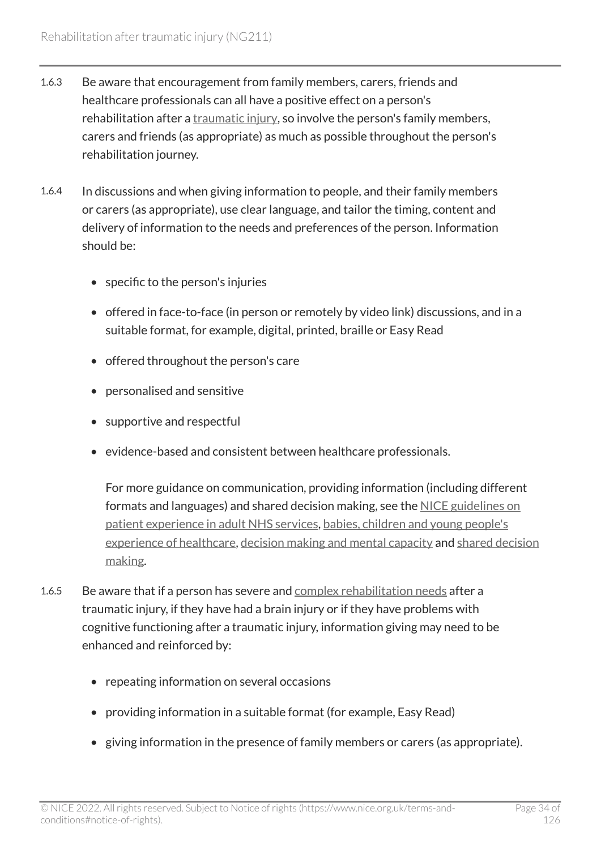- 1.6.3 Be aware that encouragement from family members, carers, friends and healthcare professionals can all have a positive effect on a person's rehabilitation after a [traumatic injury,](#page-82-0) so involve the person's family members, carers and friends (as appropriate) as much as possible throughout the person's rehabilitation journey.
- 1.6.4 In discussions and when giving information to people, and their family members or carers (as appropriate), use clear language, and tailor the timing, content and delivery of information to the needs and preferences of the person. Information should be:
	- specific to the person's injuries
	- offered in face-to-face (in person or remotely by video link) discussions, and in a suitable format, for example, digital, printed, braille or Easy Read
	- offered throughout the person's care
	- personalised and sensitive
	- supportive and respectful
	- evidence-based and consistent between healthcare professionals.

For more guidance on communication, providing information (including different formats and languages) and shared decision making, see the [NICE guidelines on](https://www.nice.org.uk/guidance/cg138)  [patient experience in adult NHS services](https://www.nice.org.uk/guidance/cg138), [babies, children and young people's](https://www.nice.org.uk/guidance/ng204)  [experience of healthcare,](https://www.nice.org.uk/guidance/ng204) [decision making and mental capacity](https://www.nice.org.uk/guidance/ng108) and [shared decision](https://www.nice.org.uk/guidance/ng197) [making.](https://www.nice.org.uk/guidance/ng197)

- 1.6.5 Be aware that if a person has severe and [complex rehabilitation needs](#page-79-1) after a traumatic injury, if they have had a brain injury or if they have problems with cognitive functioning after a traumatic injury, information giving may need to be enhanced and reinforced by:
	- repeating information on several occasions
	- providing information in a suitable format (for example, Easy Read)
	- giving information in the presence of family members or carers (as appropriate).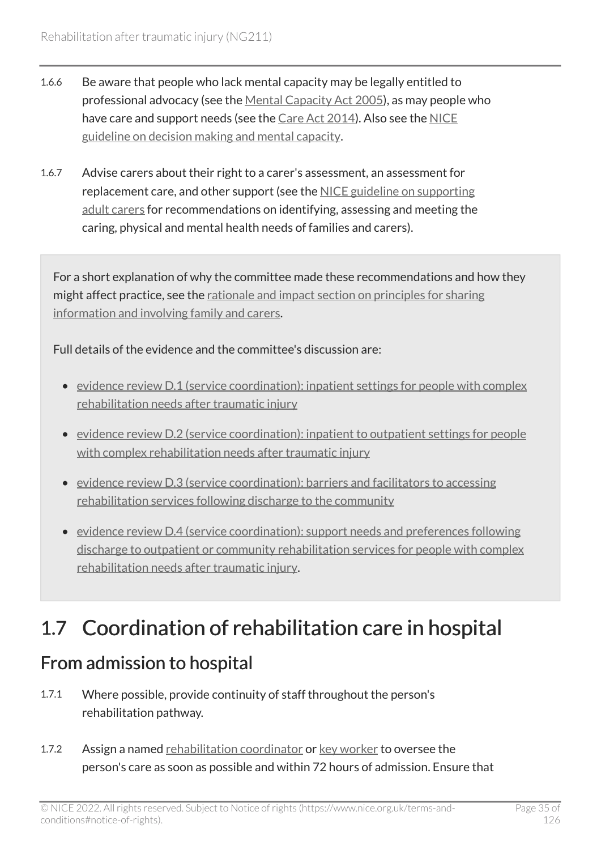- 1.6.6 Be aware that people who lack mental capacity may be legally entitled to professional advocacy (see the [Mental Capacity Act 2005\)](https://www.legislation.gov.uk/ukpga/2005/9/contents), as may people who have care and support needs (see the [Care Act 2014\)](https://www.legislation.gov.uk/ukpga/2014/23/contents/enacted). Also see the [NICE](https://www.nice.org.uk/guidance/ng108)  [guideline on decision making and mental capacity](https://www.nice.org.uk/guidance/ng108).
- 1.6.7 Advise carers about their right to a carer's assessment, an assessment for replacement care, and other support (see the [NICE guideline on supporting](https://www.nice.org.uk/guidance/ng150) [adult carers](https://www.nice.org.uk/guidance/ng150) for recommendations on identifying, assessing and meeting the caring, physical and mental health needs of families and carers).

For a short explanation of why the committee made these recommendations and how they might affect practice, see the [rationale and impact section on principles for sharing](#page-94-0) [information and involving family and carers.](#page-94-0)

Full details of the evidence and the committee's discussion are:

- [evidence review D.1 \(service coordination\): inpatient settings for people with complex](https://www.nice.org.uk/guidance/ng211/evidence/d.1-service-coordination-inpatient-settings-for-people-with-complex-rehabilitation-needs-after-traumatic-injury-pdf-394123806037) [rehabilitation needs after traumatic injury](https://www.nice.org.uk/guidance/ng211/evidence/d.1-service-coordination-inpatient-settings-for-people-with-complex-rehabilitation-needs-after-traumatic-injury-pdf-394123806037)
- [evidence review D.2 \(service coordination\): inpatient to outpatient settings for people](https://www.nice.org.uk/guidance/ng211/evidence/d.2-service-coordination-inpatient-to-outpatient-settings-for-people-with-complex-rehabilitation-needs-after-traumatic-injury-pdf-394123806038)  [with complex rehabilitation needs after traumatic injury](https://www.nice.org.uk/guidance/ng211/evidence/d.2-service-coordination-inpatient-to-outpatient-settings-for-people-with-complex-rehabilitation-needs-after-traumatic-injury-pdf-394123806038)
- [evidence review D.3 \(service coordination\): barriers and facilitators to accessing](https://www.nice.org.uk/guidance/ng211/evidence/d.3-service-coordination-barriers-and-facilitators-to-accessing-rehabilitation-services-following-discharge-to-the-community-pdf-394123806039)  [rehabilitation services following discharge to the community](https://www.nice.org.uk/guidance/ng211/evidence/d.3-service-coordination-barriers-and-facilitators-to-accessing-rehabilitation-services-following-discharge-to-the-community-pdf-394123806039)
- [evidence review D.4 \(service coordination\): support needs and preferences following](https://www.nice.org.uk/guidance/ng211/evidence/d.4-service-coordination-support-needs-and-preferences-following-discharge-to-outpatient-or-community-rehabilitation-services-for-people-with-complex-rehabilitation-needs-after-traumatic-injury-pdf-394123806040)  [discharge to outpatient or community rehabilitation services for people with complex](https://www.nice.org.uk/guidance/ng211/evidence/d.4-service-coordination-support-needs-and-preferences-following-discharge-to-outpatient-or-community-rehabilitation-services-for-people-with-complex-rehabilitation-needs-after-traumatic-injury-pdf-394123806040) [rehabilitation needs after traumatic injury.](https://www.nice.org.uk/guidance/ng211/evidence/d.4-service-coordination-support-needs-and-preferences-following-discharge-to-outpatient-or-community-rehabilitation-services-for-people-with-complex-rehabilitation-needs-after-traumatic-injury-pdf-394123806040)

### <span id="page-34-0"></span>1.7 Coordination of rehabilitation care in hospital

#### <span id="page-34-1"></span>From admission to hospital

- 1.7.1 Where possible, provide continuity of staff throughout the person's rehabilitation pathway.
- 1.7.2 Assign a named [rehabilitation coordinator](#page-80-1) or [key worker](#page-79-2) to oversee the person's care as soon as possible and within 72 hours of admission. Ensure that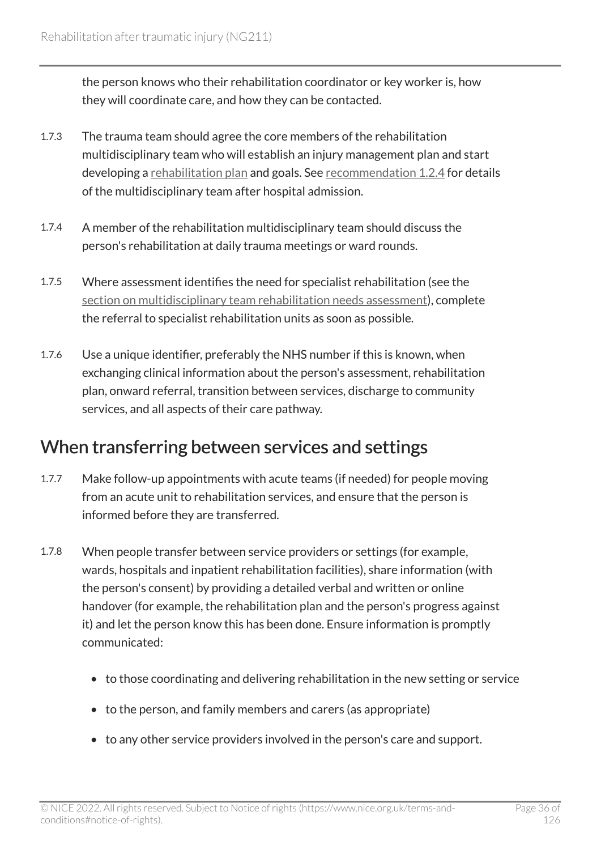the person knows who their rehabilitation coordinator or key worker is, how they will coordinate care, and how they can be contacted.

- 1.7.3 The trauma team should agree the core members of the rehabilitation multidisciplinary team who will establish an injury management plan and start developing a [rehabilitation plan](#page-80-3) and goals. See [recommendation 1.2.4](#page-14-0) for details of the multidisciplinary team after hospital admission.
- 1.7.4 A member of the rehabilitation multidisciplinary team should discuss the person's rehabilitation at daily trauma meetings or ward rounds.
- 1.7.5 Where assessment identifies the need for specialist rehabilitation (see the [section on multidisciplinary team rehabilitation needs assessment](#page-14-0)), complete the referral to specialist rehabilitation units as soon as possible.
- 1.7.6 Use a unique identifier, preferably the NHS number if this is known, when exchanging clinical information about the person's assessment, rehabilitation plan, onward referral, transition between services, discharge to community services, and all aspects of their care pathway.

#### <span id="page-35-0"></span>When transferring between services and settings

- 1.7.7 Make follow-up appointments with acute teams (if needed) for people moving from an acute unit to rehabilitation services, and ensure that the person is informed before they are transferred.
- 1.7.8 When people transfer between service providers or settings (for example, wards, hospitals and inpatient rehabilitation facilities), share information (with the person's consent) by providing a detailed verbal and written or online handover (for example, the rehabilitation plan and the person's progress against it) and let the person know this has been done. Ensure information is promptly communicated:
	- to those coordinating and delivering rehabilitation in the new setting or service
	- to the person, and family members and carers (as appropriate)
	- to any other service providers involved in the person's care and support.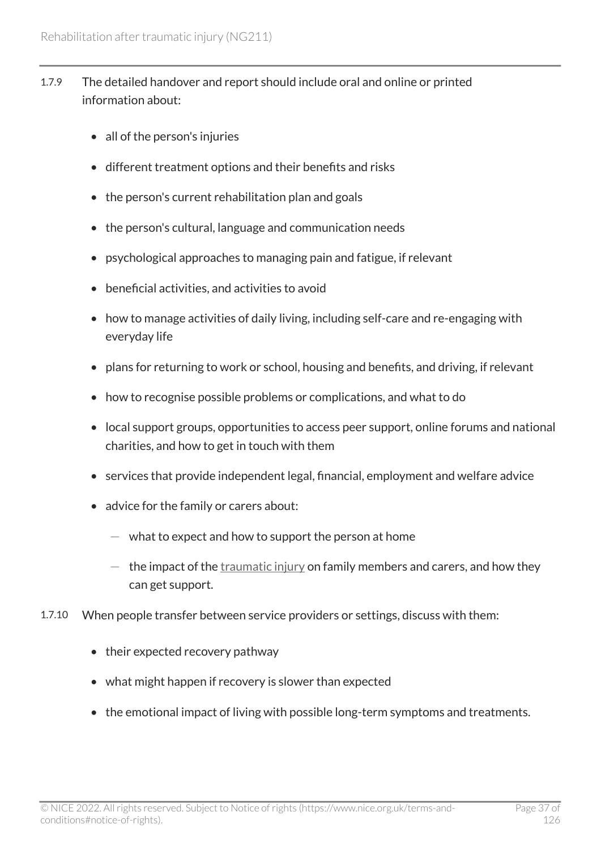- 1.7.9 The detailed handover and report should include oral and online or printed information about:
	- all of the person's injuries
	- different treatment options and their benefits and risks
	- the person's current rehabilitation plan and goals
	- the person's cultural, language and communication needs
	- psychological approaches to managing pain and fatigue, if relevant
	- beneficial activities, and activities to avoid
	- how to manage activities of daily living, including self-care and re-engaging with everyday life
	- plans for returning to work or school, housing and benefits, and driving, if relevant
	- how to recognise possible problems or complications, and what to do
	- local support groups, opportunities to access peer support, online forums and national charities, and how to get in touch with them
	- services that provide independent legal, financial, employment and welfare advice
	- advice for the family or carers about:
		- $-$  what to expect and how to support the person at home
		- $-$  the impact of the [traumatic injury](#page-82-0) on family members and carers, and how they can get support.
- 1.7.10 When people transfer between service providers or settings, discuss with them:
	- their expected recovery pathway
	- what might happen if recovery is slower than expected
	- the emotional impact of living with possible long-term symptoms and treatments.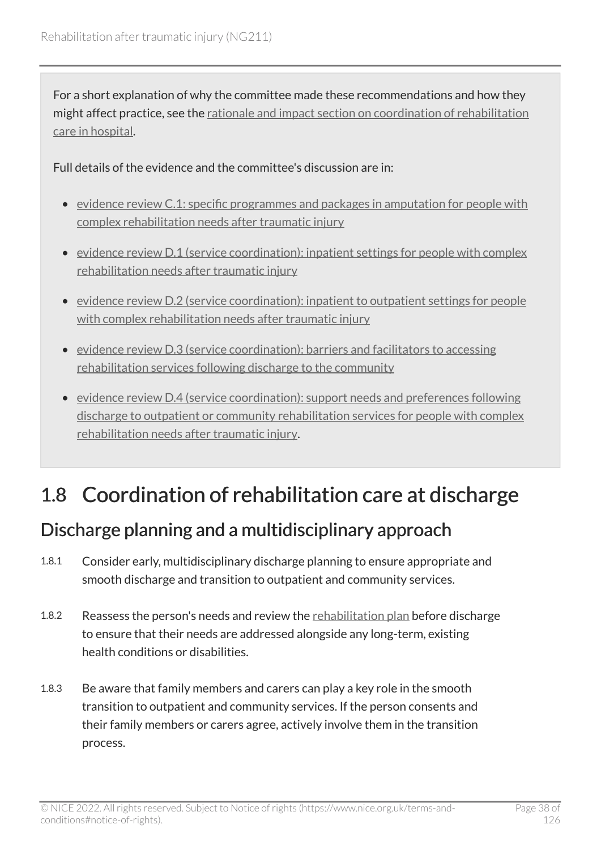For a short explanation of why the committee made these recommendations and how they might affect practice, see the [rationale and impact section on coordination of rehabilitation](#page-95-0) [care in hospital.](#page-95-0)

Full details of the evidence and the committee's discussion are in:

- [evidence review C.1: specific programmes and packages in amputation for people with](https://www.nice.org.uk/guidance/ng211/evidence/c.1-specific-programmes-and-packages-in-amputation-for-people-with-complex-rehabilitation-needs-after-traumatic-injury-pdf-10947883507) [complex rehabilitation needs after traumatic injury](https://www.nice.org.uk/guidance/ng211/evidence/c.1-specific-programmes-and-packages-in-amputation-for-people-with-complex-rehabilitation-needs-after-traumatic-injury-pdf-10947883507)
- [evidence review D.1 \(service coordination\): inpatient settings for people with complex](https://www.nice.org.uk/guidance/ng211/evidence/d.1-service-coordination-inpatient-settings-for-people-with-complex-rehabilitation-needs-after-traumatic-injury-pdf-394123806037) [rehabilitation needs after traumatic injury](https://www.nice.org.uk/guidance/ng211/evidence/d.1-service-coordination-inpatient-settings-for-people-with-complex-rehabilitation-needs-after-traumatic-injury-pdf-394123806037)
- [evidence review D.2 \(service coordination\): inpatient to outpatient settings for people](https://www.nice.org.uk/guidance/ng211/evidence/d.2-service-coordination-inpatient-to-outpatient-settings-for-people-with-complex-rehabilitation-needs-after-traumatic-injury-pdf-394123806038)  [with complex rehabilitation needs after traumatic injury](https://www.nice.org.uk/guidance/ng211/evidence/d.2-service-coordination-inpatient-to-outpatient-settings-for-people-with-complex-rehabilitation-needs-after-traumatic-injury-pdf-394123806038)
- [evidence review D.3 \(service coordination\): barriers and facilitators to accessing](https://www.nice.org.uk/guidance/ng211/evidence/d.3-service-coordination-barriers-and-facilitators-to-accessing-rehabilitation-services-following-discharge-to-the-community-pdf-394123806039)  [rehabilitation services following discharge to the community](https://www.nice.org.uk/guidance/ng211/evidence/d.3-service-coordination-barriers-and-facilitators-to-accessing-rehabilitation-services-following-discharge-to-the-community-pdf-394123806039)
- [evidence review D.4 \(service coordination\): support needs and preferences following](https://www.nice.org.uk/guidance/ng211/evidence/d.4-service-coordination-support-needs-and-preferences-following-discharge-to-outpatient-or-community-rehabilitation-services-for-people-with-complex-rehabilitation-needs-after-traumatic-injury-pdf-394123806040)  [discharge to outpatient or community rehabilitation services for people with complex](https://www.nice.org.uk/guidance/ng211/evidence/d.4-service-coordination-support-needs-and-preferences-following-discharge-to-outpatient-or-community-rehabilitation-services-for-people-with-complex-rehabilitation-needs-after-traumatic-injury-pdf-394123806040) [rehabilitation needs after traumatic injury.](https://www.nice.org.uk/guidance/ng211/evidence/d.4-service-coordination-support-needs-and-preferences-following-discharge-to-outpatient-or-community-rehabilitation-services-for-people-with-complex-rehabilitation-needs-after-traumatic-injury-pdf-394123806040)

# 1.8 Coordination of rehabilitation care at discharge

## Discharge planning and a multidisciplinary approach

- 1.8.1 Consider early, multidisciplinary discharge planning to ensure appropriate and smooth discharge and transition to outpatient and community services.
- 1.8.2 Reassess the person's needs and review the [rehabilitation plan](#page-80-0) before discharge to ensure that their needs are addressed alongside any long-term, existing health conditions or disabilities.
- 1.8.3 Be aware that family members and carers can play a key role in the smooth transition to outpatient and community services. If the person consents and their family members or carers agree, actively involve them in the transition process.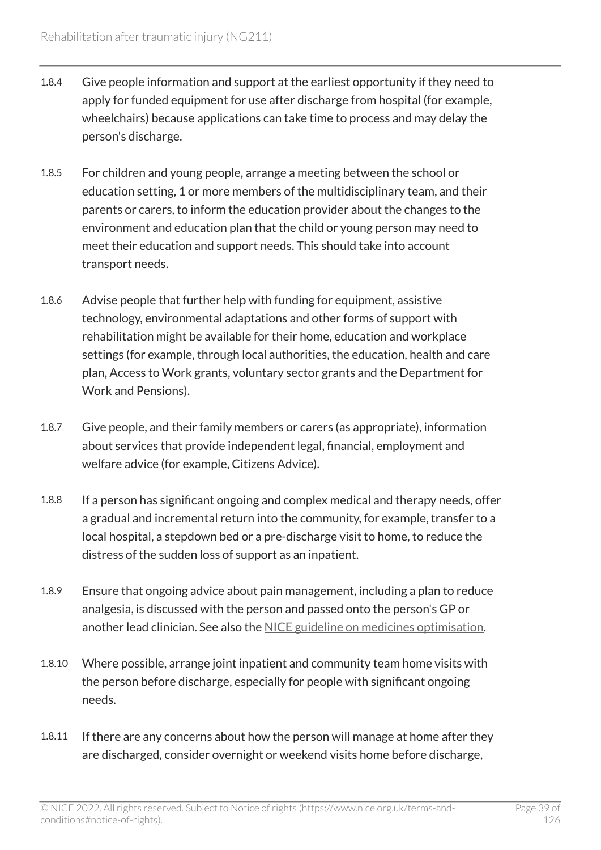- 1.8.4 Give people information and support at the earliest opportunity if they need to apply for funded equipment for use after discharge from hospital (for example, wheelchairs) because applications can take time to process and may delay the person's discharge.
- 1.8.5 For children and young people, arrange a meeting between the school or education setting, 1 or more members of the multidisciplinary team, and their parents or carers, to inform the education provider about the changes to the environment and education plan that the child or young person may need to meet their education and support needs. This should take into account transport needs.
- 1.8.6 Advise people that further help with funding for equipment, assistive technology, environmental adaptations and other forms of support with rehabilitation might be available for their home, education and workplace settings (for example, through local authorities, the education, health and care plan, Access to Work grants, voluntary sector grants and the Department for Work and Pensions).
- 1.8.7 Give people, and their family members or carers (as appropriate), information about services that provide independent legal, financial, employment and welfare advice (for example, Citizens Advice).
- 1.8.8 If a person has significant ongoing and complex medical and therapy needs, offer a gradual and incremental return into the community, for example, transfer to a local hospital, a stepdown bed or a pre-discharge visit to home, to reduce the distress of the sudden loss of support as an inpatient.
- 1.8.9 Ensure that ongoing advice about pain management, including a plan to reduce analgesia, is discussed with the person and passed onto the person's GP or another lead clinician. See also the [NICE guideline on medicines optimisation](https://www.nice.org.uk/guidance/ng5).
- 1.8.10 Where possible, arrange joint inpatient and community team home visits with the person before discharge, especially for people with significant ongoing needs.
- 1.8.11 If there are any concerns about how the person will manage at home after they are discharged, consider overnight or weekend visits home before discharge,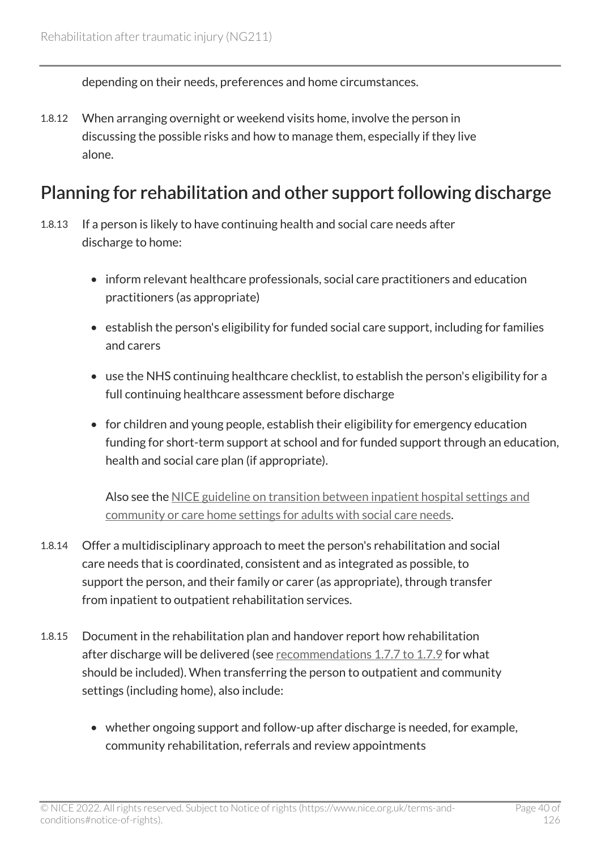depending on their needs, preferences and home circumstances.

1.8.12 When arranging overnight or weekend visits home, involve the person in discussing the possible risks and how to manage them, especially if they live alone.

### Planning for rehabilitation and other support following discharge

- 1.8.13 If a person is likely to have continuing health and social care needs after discharge to home:
	- inform relevant healthcare professionals, social care practitioners and education practitioners (as appropriate)
	- establish the person's eligibility for funded social care support, including for families and carers
	- use the NHS continuing healthcare checklist, to establish the person's eligibility for a full continuing healthcare assessment before discharge
	- for children and young people, establish their eligibility for emergency education funding for short-term support at school and for funded support through an education, health and social care plan (if appropriate).

Also see the [NICE guideline on transition between inpatient hospital settings and](https://www.nice.org.uk/guidance/ng27)  [community or care home settings for adults with social care needs.](https://www.nice.org.uk/guidance/ng27)

- 1.8.14 Offer a multidisciplinary approach to meet the person's rehabilitation and social care needs that is coordinated, consistent and as integrated as possible, to support the person, and their family or carer (as appropriate), through transfer from inpatient to outpatient rehabilitation services.
- 1.8.15 Document in the rehabilitation plan and handover report how rehabilitation after discharge will be delivered (see [recommendations 1.7.7 to 1.7.9](#page-35-0) for what should be included). When transferring the person to outpatient and community settings (including home), also include:
	- whether ongoing support and follow-up after discharge is needed, for example, community rehabilitation, referrals and review appointments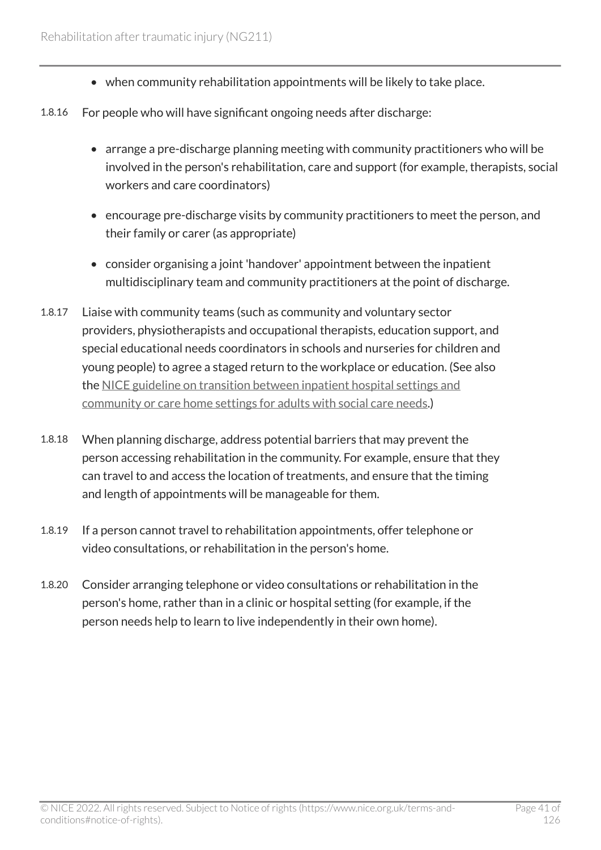- when community rehabilitation appointments will be likely to take place.
- 1.8.16 For people who will have significant ongoing needs after discharge:
	- arrange a pre-discharge planning meeting with community practitioners who will be involved in the person's rehabilitation, care and support (for example, therapists, social workers and care coordinators)
	- encourage pre-discharge visits by community practitioners to meet the person, and their family or carer (as appropriate)
	- consider organising a joint 'handover' appointment between the inpatient multidisciplinary team and community practitioners at the point of discharge.
- 1.8.17 Liaise with community teams (such as community and voluntary sector providers, physiotherapists and occupational therapists, education support, and special educational needs coordinators in schools and nurseries for children and young people) to agree a staged return to the workplace or education. (See also the [NICE guideline on transition between inpatient hospital settings and](https://www.nice.org.uk/guidance/ng27) [community or care home settings for adults with social care needs.](https://www.nice.org.uk/guidance/ng27))
- 1.8.18 When planning discharge, address potential barriers that may prevent the person accessing rehabilitation in the community. For example, ensure that they can travel to and access the location of treatments, and ensure that the timing and length of appointments will be manageable for them.
- 1.8.19 If a person cannot travel to rehabilitation appointments, offer telephone or video consultations, or rehabilitation in the person's home.
- 1.8.20 Consider arranging telephone or video consultations or rehabilitation in the person's home, rather than in a clinic or hospital setting (for example, if the person needs help to learn to live independently in their own home).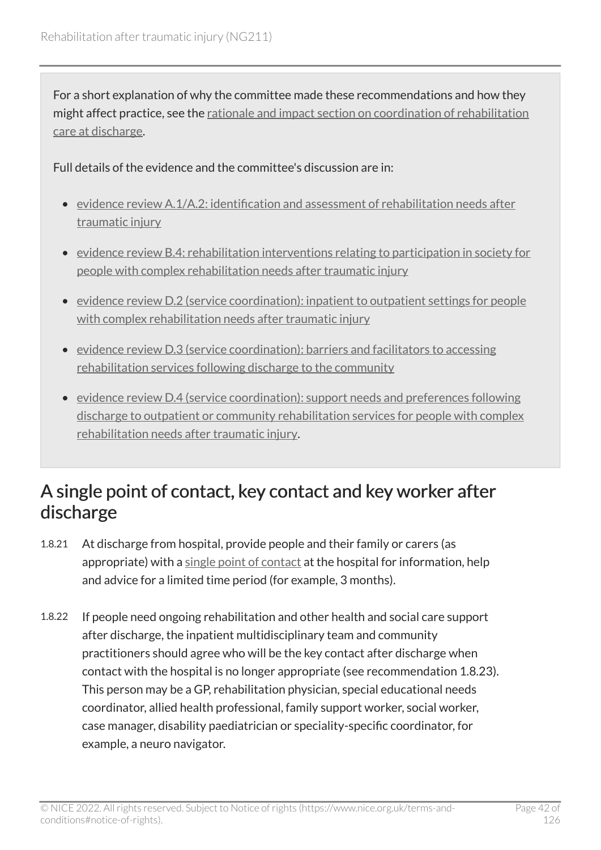For a short explanation of why the committee made these recommendations and how they might affect practice, see the [rationale and impact section on coordination of rehabilitation](#page-96-0) [care at discharge](#page-96-0).

Full details of the evidence and the committee's discussion are in:

- [evidence review A.1/A.2: identification and assessment of rehabilitation needs after](https://www.nice.org.uk/guidance/ng211/evidence/a.1a.2-identification-and-assessment-of-rehabilitation-needs-after-traumatic-injury-pdf-10947883502)  [traumatic injury](https://www.nice.org.uk/guidance/ng211/evidence/a.1a.2-identification-and-assessment-of-rehabilitation-needs-after-traumatic-injury-pdf-10947883502)
- [evidence review B.4: rehabilitation interventions relating to participation in society for](https://www.nice.org.uk/guidance/ng211/evidence/b.4-rehabilitation-interventions-relating-to-participation-in-society-for-people-with-complex-rehabilitation-needs-after-traumatic-injury-pdf-10947883506)  [people with complex rehabilitation needs after traumatic injury](https://www.nice.org.uk/guidance/ng211/evidence/b.4-rehabilitation-interventions-relating-to-participation-in-society-for-people-with-complex-rehabilitation-needs-after-traumatic-injury-pdf-10947883506)
- [evidence review D.2 \(service coordination\): inpatient to outpatient settings for people](https://www.nice.org.uk/guidance/ng211/evidence/d.2-service-coordination-inpatient-to-outpatient-settings-for-people-with-complex-rehabilitation-needs-after-traumatic-injury-pdf-394123806038)  [with complex rehabilitation needs after traumatic injury](https://www.nice.org.uk/guidance/ng211/evidence/d.2-service-coordination-inpatient-to-outpatient-settings-for-people-with-complex-rehabilitation-needs-after-traumatic-injury-pdf-394123806038)
- [evidence review D.3 \(service coordination\): barriers and facilitators to accessing](https://www.nice.org.uk/guidance/ng211/evidence/d.3-service-coordination-barriers-and-facilitators-to-accessing-rehabilitation-services-following-discharge-to-the-community-pdf-394123806039)  [rehabilitation services following discharge to the community](https://www.nice.org.uk/guidance/ng211/evidence/d.3-service-coordination-barriers-and-facilitators-to-accessing-rehabilitation-services-following-discharge-to-the-community-pdf-394123806039)
- [evidence review D.4 \(service coordination\): support needs and preferences following](https://www.nice.org.uk/guidance/ng211/evidence/d.4-service-coordination-support-needs-and-preferences-following-discharge-to-outpatient-or-community-rehabilitation-services-for-people-with-complex-rehabilitation-needs-after-traumatic-injury-pdf-394123806040)  [discharge to outpatient or community rehabilitation services for people with complex](https://www.nice.org.uk/guidance/ng211/evidence/d.4-service-coordination-support-needs-and-preferences-following-discharge-to-outpatient-or-community-rehabilitation-services-for-people-with-complex-rehabilitation-needs-after-traumatic-injury-pdf-394123806040) [rehabilitation needs after traumatic injury.](https://www.nice.org.uk/guidance/ng211/evidence/d.4-service-coordination-support-needs-and-preferences-following-discharge-to-outpatient-or-community-rehabilitation-services-for-people-with-complex-rehabilitation-needs-after-traumatic-injury-pdf-394123806040)

### A single point of contact, key contact and key worker after discharge

- 1.8.21 At discharge from hospital, provide people and their family or carers (as appropriate) with a [single point of contact](#page-81-0) at the hospital for information, help and advice for a limited time period (for example, 3 months).
- 1.8.22 If people need ongoing rehabilitation and other health and social care support after discharge, the inpatient multidisciplinary team and community practitioners should agree who will be the key contact after discharge when contact with the hospital is no longer appropriate (see recommendation 1.8.23). This person may be a GP, rehabilitation physician, special educational needs coordinator, allied health professional, family support worker, social worker, case manager, disability paediatrician or speciality-specific coordinator, for example, a neuro navigator.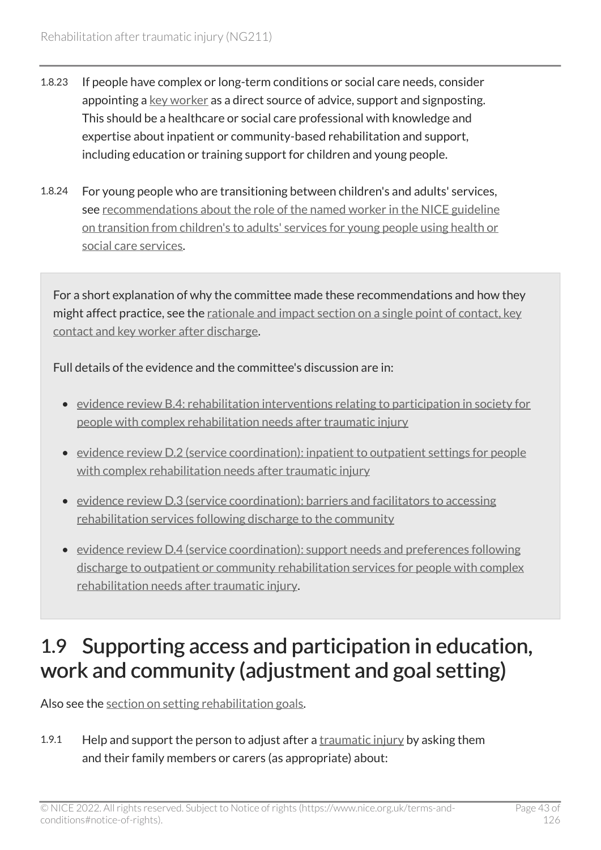- 1.8.23 If people have complex or long-term conditions or social care needs, consider appointing a [key worker](#page-79-0) as a direct source of advice, support and signposting. This should be a healthcare or social care professional with knowledge and expertise about inpatient or community-based rehabilitation and support, including education or training support for children and young people.
- 1.8.24 For young people who are transitioning between children's and adults' services, see [recommendations about the role of the named worker in the NICE guideline](https://www.nice.org.uk/guidance/ng43/chapter/Recommendations#a-named-worker) [on transition from children's to adults' services for young people using health or](https://www.nice.org.uk/guidance/ng43/chapter/Recommendations#a-named-worker)  [social care services](https://www.nice.org.uk/guidance/ng43/chapter/Recommendations#a-named-worker).

For a short explanation of why the committee made these recommendations and how they might affect practice, see the [rationale and impact section on a single point of contact, key](#page-98-0)  [contact and key worker after discharge.](#page-98-0)

Full details of the evidence and the committee's discussion are in:

- [evidence review B.4: rehabilitation interventions relating to participation in society for](https://www.nice.org.uk/guidance/ng211/evidence/b.4-rehabilitation-interventions-relating-to-participation-in-society-for-people-with-complex-rehabilitation-needs-after-traumatic-injury-pdf-10947883506)  [people with complex rehabilitation needs after traumatic injury](https://www.nice.org.uk/guidance/ng211/evidence/b.4-rehabilitation-interventions-relating-to-participation-in-society-for-people-with-complex-rehabilitation-needs-after-traumatic-injury-pdf-10947883506)
- [evidence review D.2 \(service coordination\): inpatient to outpatient settings for people](https://www.nice.org.uk/guidance/ng211/evidence/d.2-service-coordination-inpatient-to-outpatient-settings-for-people-with-complex-rehabilitation-needs-after-traumatic-injury-pdf-394123806038)  with complex rehabilitation needs after traumatic injury
- [evidence review D.3 \(service coordination\): barriers and facilitators to accessing](https://www.nice.org.uk/guidance/ng211/evidence/d.3-service-coordination-barriers-and-facilitators-to-accessing-rehabilitation-services-following-discharge-to-the-community-pdf-394123806039)  [rehabilitation services following discharge to the community](https://www.nice.org.uk/guidance/ng211/evidence/d.3-service-coordination-barriers-and-facilitators-to-accessing-rehabilitation-services-following-discharge-to-the-community-pdf-394123806039)
- [evidence review D.4 \(service coordination\): support needs and preferences following](https://www.nice.org.uk/guidance/ng211/evidence/d.4-service-coordination-support-needs-and-preferences-following-discharge-to-outpatient-or-community-rehabilitation-services-for-people-with-complex-rehabilitation-needs-after-traumatic-injury-pdf-394123806040)  [discharge to outpatient or community rehabilitation services for people with complex](https://www.nice.org.uk/guidance/ng211/evidence/d.4-service-coordination-support-needs-and-preferences-following-discharge-to-outpatient-or-community-rehabilitation-services-for-people-with-complex-rehabilitation-needs-after-traumatic-injury-pdf-394123806040) [rehabilitation needs after traumatic injury.](https://www.nice.org.uk/guidance/ng211/evidence/d.4-service-coordination-support-needs-and-preferences-following-discharge-to-outpatient-or-community-rehabilitation-services-for-people-with-complex-rehabilitation-needs-after-traumatic-injury-pdf-394123806040)

# 1.9 Supporting access and participation in education, work and community (adjustment and goal setting)

Also see the [section on setting rehabilitation goals.](#page-22-0)

1.9.1 Help and support the person to adjust after a [traumatic injury](#page-82-0) by asking them and their family members or carers (as appropriate) about: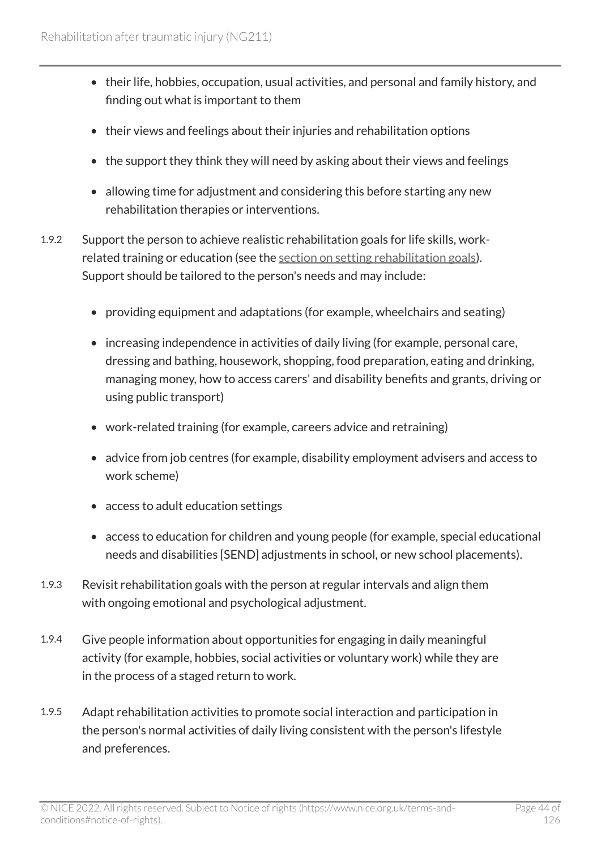- their life, hobbies, occupation, usual activities, and personal and family history, and finding out what is important to them
- their views and feelings about their injuries and rehabilitation options
- the support they think they will need by asking about their views and feelings
- allowing time for adjustment and considering this before starting any new rehabilitation therapies or interventions.
- 1.9.2 Support the person to achieve realistic rehabilitation goals for life skills, workrelated training or education (see the [section on setting rehabilitation goals\)](#page-22-0). Support should be tailored to the person's needs and may include:
	- providing equipment and adaptations (for example, wheelchairs and seating)
	- increasing independence in activities of daily living (for example, personal care, dressing and bathing, housework, shopping, food preparation, eating and drinking, managing money, how to access carers' and disability benefits and grants, driving or using public transport)
	- work-related training (for example, careers advice and retraining)
	- advice from job centres (for example, disability employment advisers and access to work scheme)
	- access to adult education settings
	- access to education for children and young people (for example, special educational needs and disabilities [SEND] adjustments in school, or new school placements).
- 1.9.3 Revisit rehabilitation goals with the person at regular intervals and align them with ongoing emotional and psychological adjustment.
- 1.9.4 Give people information about opportunities for engaging in daily meaningful activity (for example, hobbies, social activities or voluntary work) while they are in the process of a staged return to work.
- 1.9.5 Adapt rehabilitation activities to promote social interaction and participation in the person's normal activities of daily living consistent with the person's lifestyle and preferences.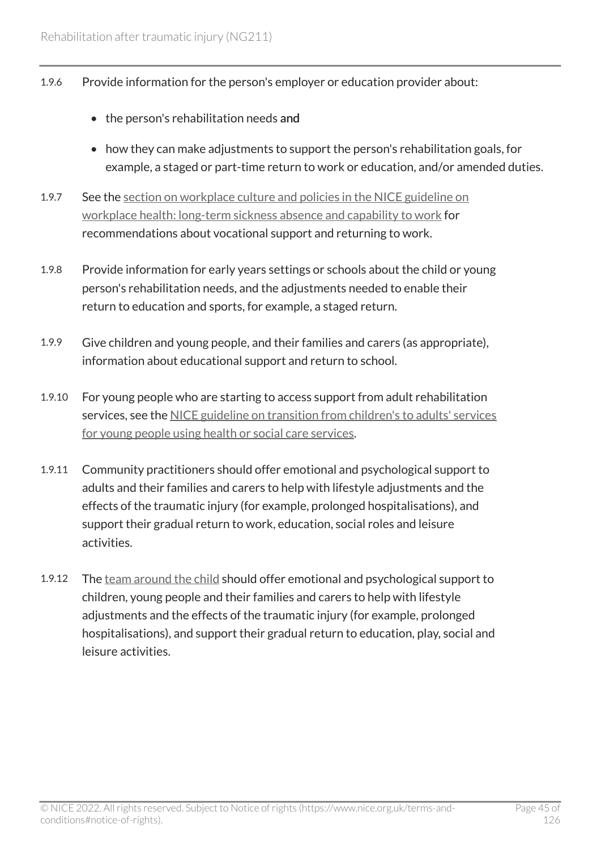- 1.9.6 Provide information for the person's employer or education provider about:
	- the person's rehabilitation needs and
	- how they can make adjustments to support the person's rehabilitation goals, for example, a staged or part-time return to work or education, and/or amended duties.
- 1.9.7 See the [section on workplace culture and policies in the NICE guideline on](https://www.nice.org.uk/guidance/ng146/chapter/Recommendations#workplace-culture-and-policies)  [workplace health: long-term sickness absence and capability to work](https://www.nice.org.uk/guidance/ng146/chapter/Recommendations#workplace-culture-and-policies) for recommendations about vocational support and returning to work.
- 1.9.8 Provide information for early years settings or schools about the child or young person's rehabilitation needs, and the adjustments needed to enable their return to education and sports, for example, a staged return.
- 1.9.9 Give children and young people, and their families and carers (as appropriate), information about educational support and return to school.
- 1.9.10 For young people who are starting to access support from adult rehabilitation services, see the [NICE guideline on transition from children's to adults' services](https://www.nice.org.uk/guidance/ng43) [for young people using health or social care services.](https://www.nice.org.uk/guidance/ng43)
- 1.9.11 Community practitioners should offer emotional and psychological support to adults and their families and carers to help with lifestyle adjustments and the effects of the traumatic injury (for example, prolonged hospitalisations), and support their gradual return to work, education, social roles and leisure activities.
- 1.9.12 The [team around the child](#page-81-1) should offer emotional and psychological support to children, young people and their families and carers to help with lifestyle adjustments and the effects of the traumatic injury (for example, prolonged hospitalisations), and support their gradual return to education, play, social and leisure activities.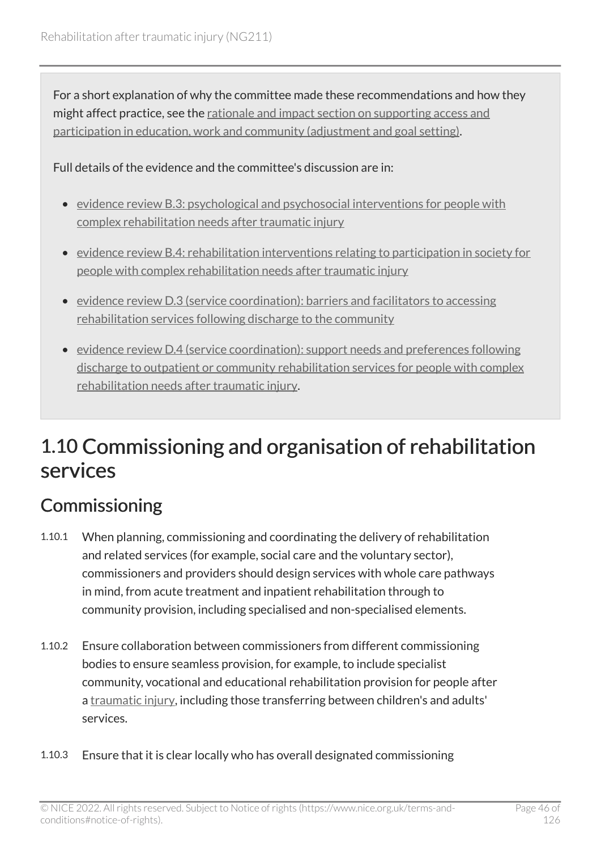For a short explanation of why the committee made these recommendations and how they might affect practice, see the [rationale and impact section on supporting access and](#page-99-0) [participation in education, work and community \(adjustment and goal setting\)](#page-99-0).

Full details of the evidence and the committee's discussion are in:

- [evidence review B.3: psychological and psychosocial interventions for people with](https://www.nice.org.uk/guidance/ng211/evidence/b.3-psychological-and-psychosocial-interventions-for-people-with-complex-rehabilitation-needs-after-traumatic-injury-pdf-10947883505) [complex rehabilitation needs after traumatic injury](https://www.nice.org.uk/guidance/ng211/evidence/b.3-psychological-and-psychosocial-interventions-for-people-with-complex-rehabilitation-needs-after-traumatic-injury-pdf-10947883505)
- [evidence review B.4: rehabilitation interventions relating to participation in society for](https://www.nice.org.uk/guidance/ng211/evidence/b.4-rehabilitation-interventions-relating-to-participation-in-society-for-people-with-complex-rehabilitation-needs-after-traumatic-injury-pdf-10947883506)  [people with complex rehabilitation needs after traumatic injury](https://www.nice.org.uk/guidance/ng211/evidence/b.4-rehabilitation-interventions-relating-to-participation-in-society-for-people-with-complex-rehabilitation-needs-after-traumatic-injury-pdf-10947883506)
- [evidence review D.3 \(service coordination\): barriers and facilitators to accessing](https://www.nice.org.uk/guidance/ng211/evidence/d.3-service-coordination-barriers-and-facilitators-to-accessing-rehabilitation-services-following-discharge-to-the-community-pdf-394123806039)  [rehabilitation services following discharge to the community](https://www.nice.org.uk/guidance/ng211/evidence/d.3-service-coordination-barriers-and-facilitators-to-accessing-rehabilitation-services-following-discharge-to-the-community-pdf-394123806039)
- [evidence review D.4 \(service coordination\): support needs and preferences following](https://www.nice.org.uk/guidance/ng211/evidence/d.4-service-coordination-support-needs-and-preferences-following-discharge-to-outpatient-or-community-rehabilitation-services-for-people-with-complex-rehabilitation-needs-after-traumatic-injury-pdf-394123806040)  [discharge to outpatient or community rehabilitation services for people with complex](https://www.nice.org.uk/guidance/ng211/evidence/d.4-service-coordination-support-needs-and-preferences-following-discharge-to-outpatient-or-community-rehabilitation-services-for-people-with-complex-rehabilitation-needs-after-traumatic-injury-pdf-394123806040) [rehabilitation needs after traumatic injury.](https://www.nice.org.uk/guidance/ng211/evidence/d.4-service-coordination-support-needs-and-preferences-following-discharge-to-outpatient-or-community-rehabilitation-services-for-people-with-complex-rehabilitation-needs-after-traumatic-injury-pdf-394123806040)

# 1.10 Commissioning and organisation of rehabilitation services

# **Commissioning**

- 1.10.1 When planning, commissioning and coordinating the delivery of rehabilitation and related services (for example, social care and the voluntary sector), commissioners and providers should design services with whole care pathways in mind, from acute treatment and inpatient rehabilitation through to community provision, including specialised and non-specialised elements.
- 1.10.2 Ensure collaboration between commissioners from different commissioning bodies to ensure seamless provision, for example, to include specialist community, vocational and educational rehabilitation provision for people after a [traumatic injury](#page-82-0), including those transferring between children's and adults' services.
- 1.10.3 Ensure that it is clear locally who has overall designated commissioning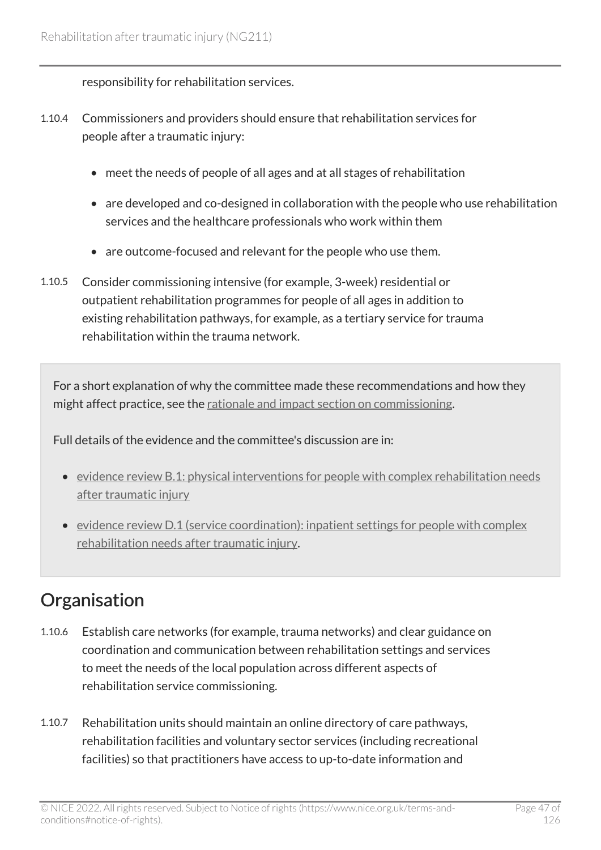responsibility for rehabilitation services.

- 1.10.4 Commissioners and providers should ensure that rehabilitation services for people after a traumatic injury:
	- meet the needs of people of all ages and at all stages of rehabilitation
	- are developed and co-designed in collaboration with the people who use rehabilitation services and the healthcare professionals who work within them
	- are outcome-focused and relevant for the people who use them.
- 1.10.5 Consider commissioning intensive (for example, 3-week) residential or outpatient rehabilitation programmes for people of all ages in addition to existing rehabilitation pathways, for example, as a tertiary service for trauma rehabilitation within the trauma network.

For a short explanation of why the committee made these recommendations and how they might affect practice, see the [rationale and impact section on commissioning](#page-100-0).

Full details of the evidence and the committee's discussion are in:

- [evidence review B.1: physical interventions for people with complex rehabilitation needs](https://www.nice.org.uk/guidance/ng211/evidence/b.1-physical-interventions-for-people-with-complex-rehabilitation-needs-after-traumatic-injury-pdf-10947883503)  [after traumatic injury](https://www.nice.org.uk/guidance/ng211/evidence/b.1-physical-interventions-for-people-with-complex-rehabilitation-needs-after-traumatic-injury-pdf-10947883503)
- [evidence review D.1 \(service coordination\): inpatient settings for people with complex](https://www.nice.org.uk/guidance/ng211/evidence/d.1-service-coordination-inpatient-settings-for-people-with-complex-rehabilitation-needs-after-traumatic-injury-pdf-394123806037) [rehabilitation needs after traumatic injury.](https://www.nice.org.uk/guidance/ng211/evidence/d.1-service-coordination-inpatient-settings-for-people-with-complex-rehabilitation-needs-after-traumatic-injury-pdf-394123806037)

## **Organisation**

- 1.10.6 Establish care networks (for example, trauma networks) and clear guidance on coordination and communication between rehabilitation settings and services to meet the needs of the local population across different aspects of rehabilitation service commissioning.
- 1.10.7 Rehabilitation units should maintain an online directory of care pathways, rehabilitation facilities and voluntary sector services (including recreational facilities) so that practitioners have access to up-to-date information and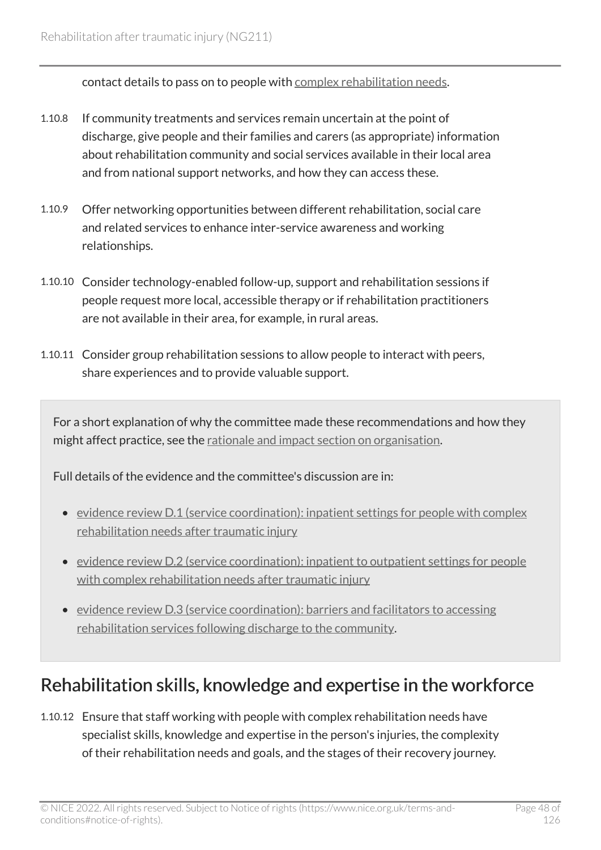contact details to pass on to people with [complex rehabilitation needs.](#page-79-1)

- 1.10.8 If community treatments and services remain uncertain at the point of discharge, give people and their families and carers (as appropriate) information about rehabilitation community and social services available in their local area and from national support networks, and how they can access these.
- 1.10.9 Offer networking opportunities between different rehabilitation, social care and related services to enhance inter-service awareness and working relationships.
- 1.10.10 Consider technology-enabled follow-up, support and rehabilitation sessions if people request more local, accessible therapy or if rehabilitation practitioners are not available in their area, for example, in rural areas.
- 1.10.11 Consider group rehabilitation sessions to allow people to interact with peers, share experiences and to provide valuable support.

For a short explanation of why the committee made these recommendations and how they might affect practice, see the [rationale and impact section on organisation.](#page-101-0)

Full details of the evidence and the committee's discussion are in:

- [evidence review D.1 \(service coordination\): inpatient settings for people with complex](https://www.nice.org.uk/guidance/ng211/evidence/d.1-service-coordination-inpatient-settings-for-people-with-complex-rehabilitation-needs-after-traumatic-injury-pdf-394123806037) [rehabilitation needs after traumatic injury](https://www.nice.org.uk/guidance/ng211/evidence/d.1-service-coordination-inpatient-settings-for-people-with-complex-rehabilitation-needs-after-traumatic-injury-pdf-394123806037)
- evidence review D.2 (service coordination): inpatient to outpatient settings for people with complex rehabilitation needs after traumatic injury
- [evidence review D.3 \(service coordination\): barriers and facilitators to accessing](https://www.nice.org.uk/guidance/ng211/evidence/d.3-service-coordination-barriers-and-facilitators-to-accessing-rehabilitation-services-following-discharge-to-the-community-pdf-394123806039)  [rehabilitation services following discharge to the community.](https://www.nice.org.uk/guidance/ng211/evidence/d.3-service-coordination-barriers-and-facilitators-to-accessing-rehabilitation-services-following-discharge-to-the-community-pdf-394123806039)

### Rehabilitation skills, knowledge and expertise in the workforce

1.10.12 Ensure that staff working with people with complex rehabilitation needs have specialist skills, knowledge and expertise in the person's injuries, the complexity of their rehabilitation needs and goals, and the stages of their recovery journey.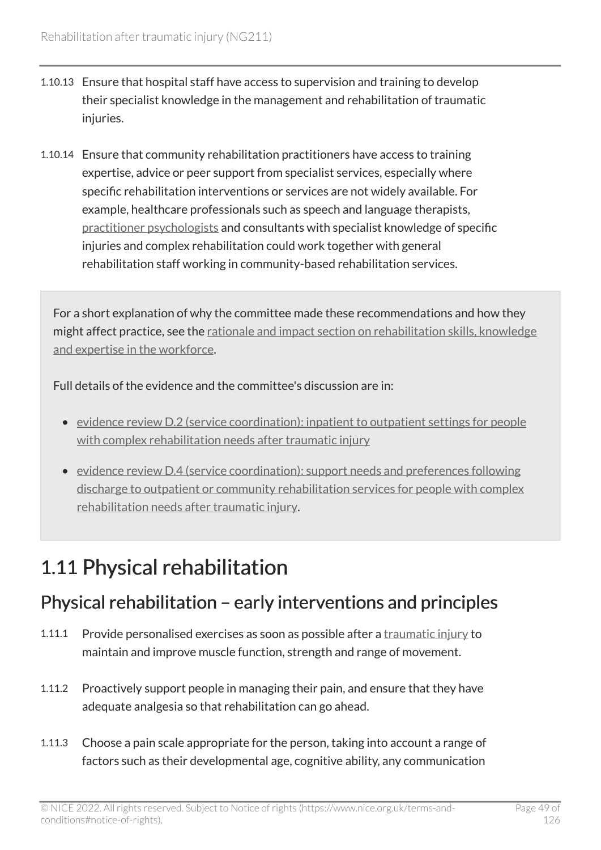- 1.10.13 Ensure that hospital staff have access to supervision and training to develop their specialist knowledge in the management and rehabilitation of traumatic injuries.
- 1.10.14 Ensure that community rehabilitation practitioners have access to training expertise, advice or peer support from specialist services, especially where specific rehabilitation interventions or services are not widely available. For example, healthcare professionals such as speech and language therapists, [practitioner psychologists](#page-80-1) and consultants with specialist knowledge of specific injuries and complex rehabilitation could work together with general rehabilitation staff working in community-based rehabilitation services.

For a short explanation of why the committee made these recommendations and how they might affect practice, see the [rationale and impact section on rehabilitation skills, knowledge](#page-102-0)  [and expertise in the workforce.](#page-102-0)

Full details of the evidence and the committee's discussion are in:

- [evidence review D.2 \(service coordination\): inpatient to outpatient settings for people](https://www.nice.org.uk/guidance/ng211/evidence/d.2-service-coordination-inpatient-to-outpatient-settings-for-people-with-complex-rehabilitation-needs-after-traumatic-injury-pdf-394123806038)  [with complex rehabilitation needs after traumatic injury](https://www.nice.org.uk/guidance/ng211/evidence/d.2-service-coordination-inpatient-to-outpatient-settings-for-people-with-complex-rehabilitation-needs-after-traumatic-injury-pdf-394123806038)
- [evidence review D.4 \(service coordination\): support needs and preferences following](https://www.nice.org.uk/guidance/ng211/evidence/d.4-service-coordination-support-needs-and-preferences-following-discharge-to-outpatient-or-community-rehabilitation-services-for-people-with-complex-rehabilitation-needs-after-traumatic-injury-pdf-394123806040)  [discharge to outpatient or community rehabilitation services for people with complex](https://www.nice.org.uk/guidance/ng211/evidence/d.4-service-coordination-support-needs-and-preferences-following-discharge-to-outpatient-or-community-rehabilitation-services-for-people-with-complex-rehabilitation-needs-after-traumatic-injury-pdf-394123806040) [rehabilitation needs after traumatic injury.](https://www.nice.org.uk/guidance/ng211/evidence/d.4-service-coordination-support-needs-and-preferences-following-discharge-to-outpatient-or-community-rehabilitation-services-for-people-with-complex-rehabilitation-needs-after-traumatic-injury-pdf-394123806040)

# 1.11 Physical rehabilitation

## Physical rehabilitation – early interventions and principles

- 1.11.1 Provide personalised exercises as soon as possible after a [traumatic injury](#page-82-0) to maintain and improve muscle function, strength and range of movement.
- 1.11.2 Proactively support people in managing their pain, and ensure that they have adequate analgesia so that rehabilitation can go ahead.
- 1.11.3 Choose a pain scale appropriate for the person, taking into account a range of factors such as their developmental age, cognitive ability, any communication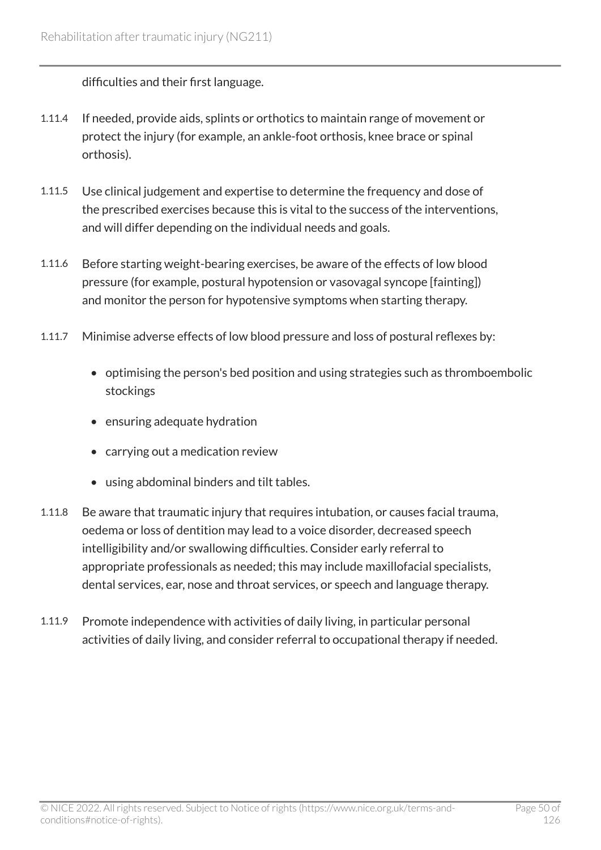difficulties and their first language.

- 1.11.4 If needed, provide aids, splints or orthotics to maintain range of movement or protect the injury (for example, an ankle-foot orthosis, knee brace or spinal orthosis).
- 1.11.5 Use clinical judgement and expertise to determine the frequency and dose of the prescribed exercises because this is vital to the success of the interventions, and will differ depending on the individual needs and goals.
- 1.11.6 Before starting weight-bearing exercises, be aware of the effects of low blood pressure (for example, postural hypotension or vasovagal syncope [fainting]) and monitor the person for hypotensive symptoms when starting therapy.
- 1.11.7 Minimise adverse effects of low blood pressure and loss of postural reflexes by:
	- optimising the person's bed position and using strategies such as thromboembolic stockings
	- ensuring adequate hydration
	- carrying out a medication review
	- using abdominal binders and tilt tables.
- 1.11.8 Be aware that traumatic injury that requires intubation, or causes facial trauma, oedema or loss of dentition may lead to a voice disorder, decreased speech intelligibility and/or swallowing difficulties. Consider early referral to appropriate professionals as needed; this may include maxillofacial specialists, dental services, ear, nose and throat services, or speech and language therapy.
- 1.11.9 Promote independence with activities of daily living, in particular personal activities of daily living, and consider referral to occupational therapy if needed.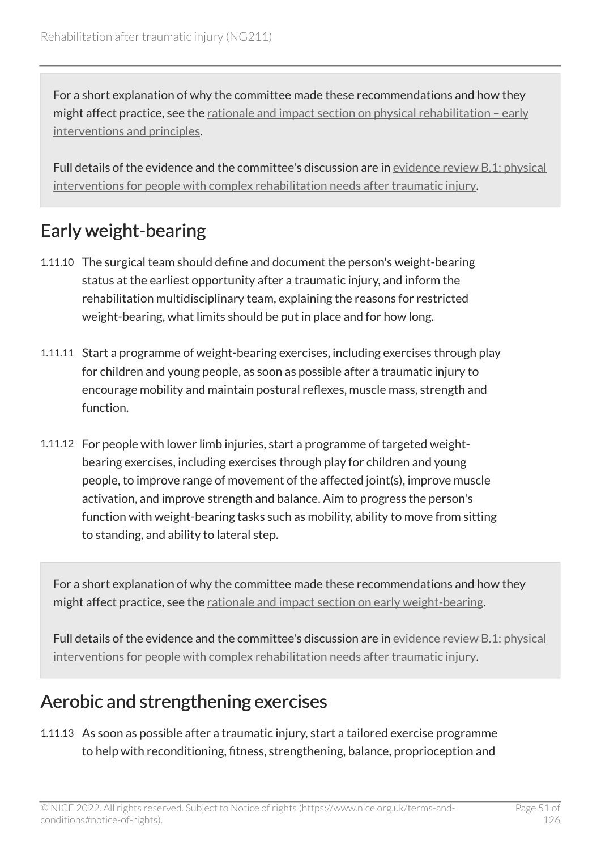For a short explanation of why the committee made these recommendations and how they might affect practice, see the rationale and impact section on physical rehabilitation - early [interventions and principles](#page-103-0).

Full details of the evidence and the committee's discussion are in [evidence review](https://www.nice.org.uk/guidance/ng211/evidence/b.1-physical-interventions-for-people-with-complex-rehabilitation-needs-after-traumatic-injury-pdf-10947883503) B.1: physical [interventions for people with complex rehabilitation needs after traumatic injury.](https://www.nice.org.uk/guidance/ng211/evidence/b.1-physical-interventions-for-people-with-complex-rehabilitation-needs-after-traumatic-injury-pdf-10947883503)

## Early weight-bearing

- 1.11.10 The surgical team should define and document the person's weight-bearing status at the earliest opportunity after a traumatic injury, and inform the rehabilitation multidisciplinary team, explaining the reasons for restricted weight-bearing, what limits should be put in place and for how long.
- 1.11.11 Start a programme of weight-bearing exercises, including exercises through play for children and young people, as soon as possible after a traumatic injury to encourage mobility and maintain postural reflexes, muscle mass, strength and function.
- 1.11.12 For people with lower limb injuries, start a programme of targeted weightbearing exercises, including exercises through play for children and young people, to improve range of movement of the affected joint(s), improve muscle activation, and improve strength and balance. Aim to progress the person's function with weight-bearing tasks such as mobility, ability to move from sitting to standing, and ability to lateral step.

For a short explanation of why the committee made these recommendations and how they might affect practice, see the [rationale and impact section on early weight-bearing.](#page-103-1)

Full details of the evidence and the committee's discussion are in [evidence review](https://www.nice.org.uk/guidance/ng211/evidence/b.1-physical-interventions-for-people-with-complex-rehabilitation-needs-after-traumatic-injury-pdf-10947883503) B.1: physical [interventions for people with complex rehabilitation needs after traumatic injury.](https://www.nice.org.uk/guidance/ng211/evidence/b.1-physical-interventions-for-people-with-complex-rehabilitation-needs-after-traumatic-injury-pdf-10947883503)

## Aerobic and strengthening exercises

1.11.13 As soon as possible after a traumatic injury, start a tailored exercise programme to help with reconditioning, fitness, strengthening, balance, proprioception and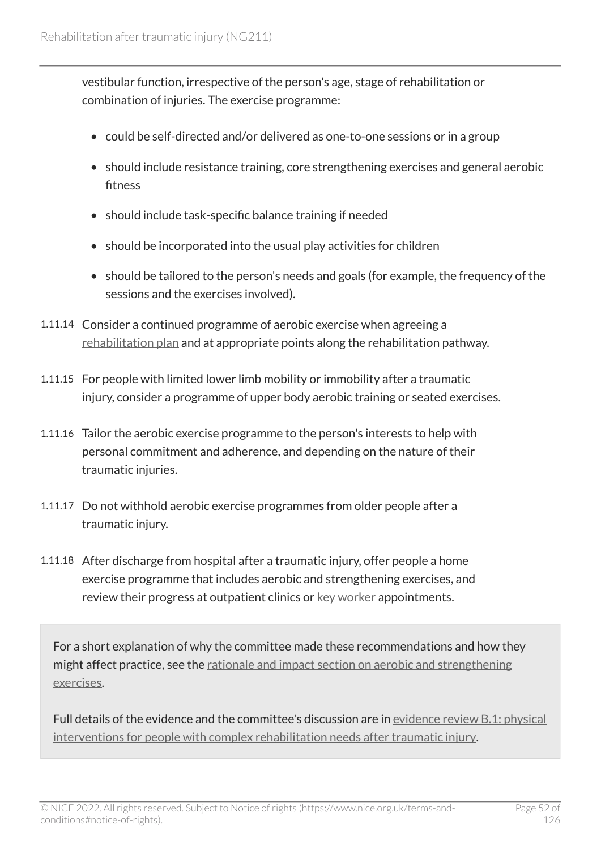vestibular function, irrespective of the person's age, stage of rehabilitation or combination of injuries. The exercise programme:

- could be self-directed and/or delivered as one-to-one sessions or in a group
- should include resistance training, core strengthening exercises and general aerobic fitness
- should include task-specific balance training if needed
- should be incorporated into the usual play activities for children
- should be tailored to the person's needs and goals (for example, the frequency of the sessions and the exercises involved).
- 1.11.14 Consider a continued programme of aerobic exercise when agreeing a [rehabilitation plan](#page-80-0) and at appropriate points along the rehabilitation pathway.
- 1.11.15 For people with limited lower limb mobility or immobility after a traumatic injury, consider a programme of upper body aerobic training or seated exercises.
- 1.11.16 Tailor the aerobic exercise programme to the person's interests to help with personal commitment and adherence, and depending on the nature of their traumatic injuries.
- 1.11.17 Do not withhold aerobic exercise programmes from older people after a traumatic injury.
- 1.11.18 After discharge from hospital after a traumatic injury, offer people a home exercise programme that includes aerobic and strengthening exercises, and review their progress at outpatient clinics or [key worker](#page-79-0) appointments.

For a short explanation of why the committee made these recommendations and how they might affect practice, see the [rationale and impact section on aerobic and strengthening](#page-104-0) [exercises.](#page-104-0)

Full details of the evidence and the committee's discussion are in [evidence review](https://www.nice.org.uk/guidance/ng211/evidence/b.1-physical-interventions-for-people-with-complex-rehabilitation-needs-after-traumatic-injury-pdf-10947883503) B.1: physical [interventions for people with complex rehabilitation needs after traumatic injury.](https://www.nice.org.uk/guidance/ng211/evidence/b.1-physical-interventions-for-people-with-complex-rehabilitation-needs-after-traumatic-injury-pdf-10947883503)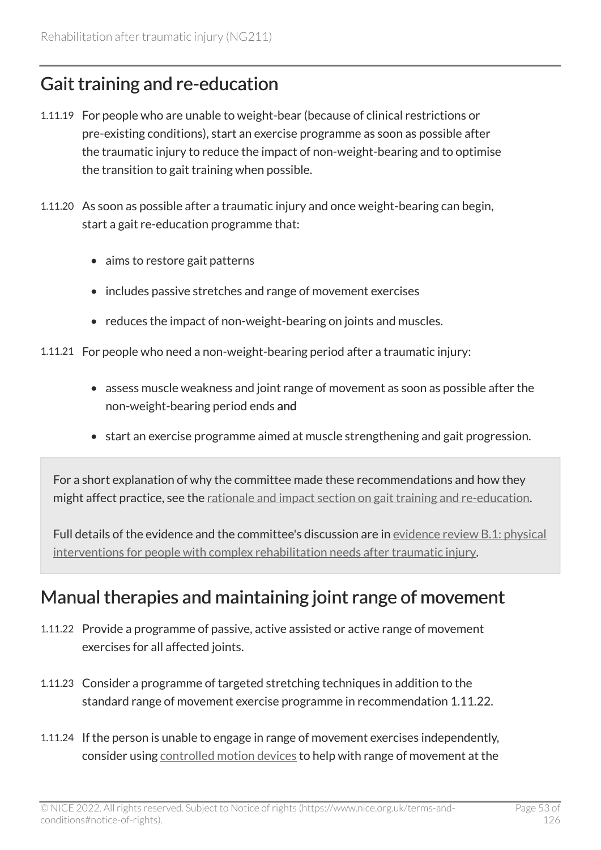## Gait training and re-education

- 1.11.19 For people who are unable to weight-bear (because of clinical restrictions or pre-existing conditions), start an exercise programme as soon as possible after the traumatic injury to reduce the impact of non-weight-bearing and to optimise the transition to gait training when possible.
- 1.11.20 As soon as possible after a traumatic injury and once weight-bearing can begin, start a gait re-education programme that:
	- aims to restore gait patterns
	- includes passive stretches and range of movement exercises
	- reduces the impact of non-weight-bearing on joints and muscles.
- 1.11.21 For people who need a non-weight-bearing period after a traumatic injury:
	- assess muscle weakness and joint range of movement as soon as possible after the non-weight-bearing period ends and
	- start an exercise programme aimed at muscle strengthening and gait progression.

For a short explanation of why the committee made these recommendations and how they might affect practice, see the [rationale and impact section on gait training and re-education.](#page-105-0)

Full details of the evidence and the committee's discussion are in [evidence review](https://www.nice.org.uk/guidance/ng211/evidence/b.1-physical-interventions-for-people-with-complex-rehabilitation-needs-after-traumatic-injury-pdf-10947883503) B.1: physical [interventions for people with complex rehabilitation needs after traumatic injury.](https://www.nice.org.uk/guidance/ng211/evidence/b.1-physical-interventions-for-people-with-complex-rehabilitation-needs-after-traumatic-injury-pdf-10947883503)

### Manual therapies and maintaining joint range of movement

- 1.11.22 Provide a programme of passive, active assisted or active range of movement exercises for all affected joints.
- 1.11.23 Consider a programme of targeted stretching techniques in addition to the standard range of movement exercise programme in recommendation 1.11.22.
- 1.11.24 If the person is unable to engage in range of movement exercises independently, consider using [controlled motion devices](#page-79-2) to help with range of movement at the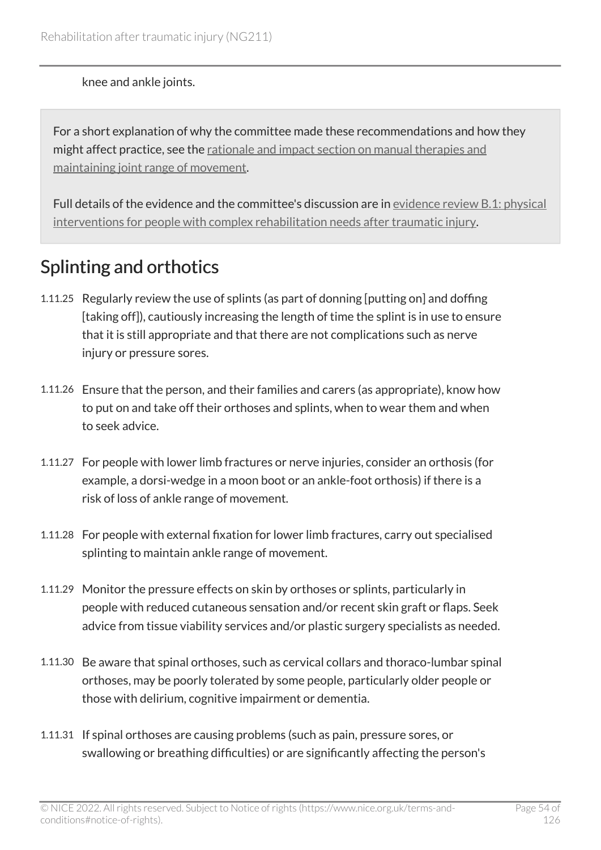knee and ankle joints.

For a short explanation of why the committee made these recommendations and how they might affect practice, see the [rationale and impact section on manual therapies and](#page-106-0) [maintaining joint range of movement](#page-106-0).

Full details of the evidence and the committee's discussion are in [evidence review](https://www.nice.org.uk/guidance/ng211/evidence/b.1-physical-interventions-for-people-with-complex-rehabilitation-needs-after-traumatic-injury-pdf-10947883503) B.1: physical [interventions for people with complex rehabilitation needs after traumatic injury.](https://www.nice.org.uk/guidance/ng211/evidence/b.1-physical-interventions-for-people-with-complex-rehabilitation-needs-after-traumatic-injury-pdf-10947883503)

## Splinting and orthotics

- 1.11.25 Regularly review the use of splints (as part of donning [putting on] and doffing [taking off]), cautiously increasing the length of time the splint is in use to ensure that it is still appropriate and that there are not complications such as nerve injury or pressure sores.
- 1.11.26 Ensure that the person, and their families and carers (as appropriate), know how to put on and take off their orthoses and splints, when to wear them and when to seek advice.
- 1.11.27 For people with lower limb fractures or nerve injuries, consider an orthosis (for example, a dorsi-wedge in a moon boot or an ankle-foot orthosis) if there is a risk of loss of ankle range of movement.
- 1.11.28 For people with external fixation for lower limb fractures, carry out specialised splinting to maintain ankle range of movement.
- 1.11.29 Monitor the pressure effects on skin by orthoses or splints, particularly in people with reduced cutaneous sensation and/or recent skin graft or flaps. Seek advice from tissue viability services and/or plastic surgery specialists as needed.
- 1.11.30 Be aware that spinal orthoses, such as cervical collars and thoraco-lumbar spinal orthoses, may be poorly tolerated by some people, particularly older people or those with delirium, cognitive impairment or dementia.
- 1.11.31 If spinal orthoses are causing problems (such as pain, pressure sores, or swallowing or breathing difficulties) or are significantly affecting the person's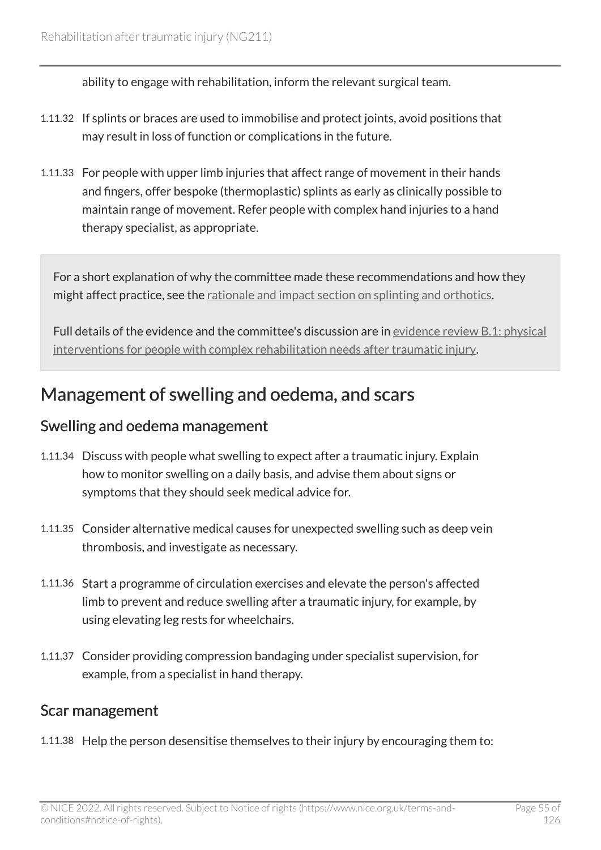ability to engage with rehabilitation, inform the relevant surgical team.

- 1.11.32 If splints or braces are used to immobilise and protect joints, avoid positions that may result in loss of function or complications in the future.
- 1.11.33 For people with upper limb injuries that affect range of movement in their hands and fingers, offer bespoke (thermoplastic) splints as early as clinically possible to maintain range of movement. Refer people with complex hand injuries to a hand therapy specialist, as appropriate.

For a short explanation of why the committee made these recommendations and how they might affect practice, see the [rationale and impact section on splinting and orthotics](#page-107-0).

Full details of the evidence and the committee's discussion are in [evidence review](https://www.nice.org.uk/guidance/ng211/evidence/b.1-physical-interventions-for-people-with-complex-rehabilitation-needs-after-traumatic-injury-pdf-10947883503) B.1: physical [interventions for people with complex rehabilitation needs after traumatic injury.](https://www.nice.org.uk/guidance/ng211/evidence/b.1-physical-interventions-for-people-with-complex-rehabilitation-needs-after-traumatic-injury-pdf-10947883503)

### Management of swelling and oedema, and scars

### Swelling and oedema management

- 1.11.34 Discuss with people what swelling to expect after a traumatic injury. Explain how to monitor swelling on a daily basis, and advise them about signs or symptoms that they should seek medical advice for.
- 1.11.35 Consider alternative medical causes for unexpected swelling such as deep vein thrombosis, and investigate as necessary.
- 1.11.36 Start a programme of circulation exercises and elevate the person's affected limb to prevent and reduce swelling after a traumatic injury, for example, by using elevating leg rests for wheelchairs.
- 1.11.37 Consider providing compression bandaging under specialist supervision, for example, from a specialist in hand therapy.

### Scar management

1.11.38 Help the person desensitise themselves to their injury by encouraging them to: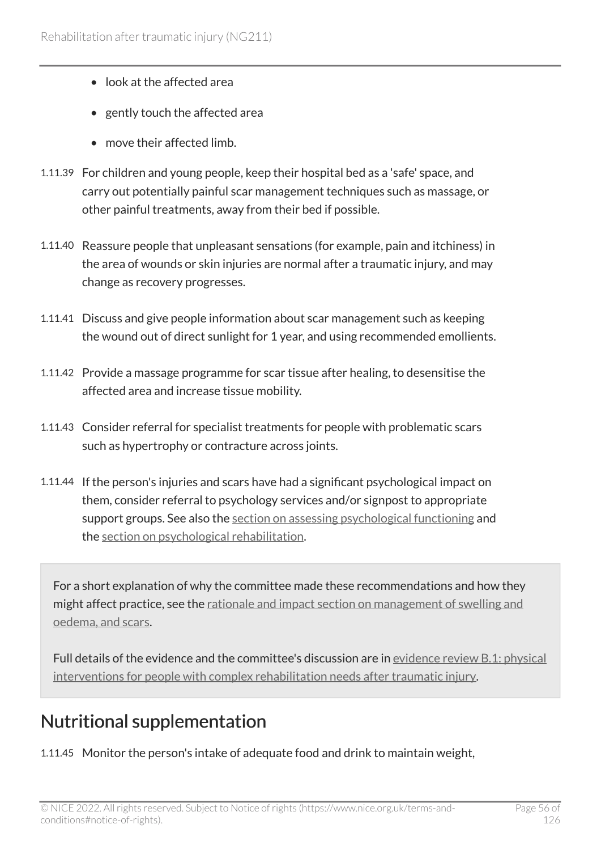- look at the affected area
- gently touch the affected area
- move their affected limb.
- 1.11.39 For children and young people, keep their hospital bed as a 'safe' space, and carry out potentially painful scar management techniques such as massage, or other painful treatments, away from their bed if possible.
- 1.11.40 Reassure people that unpleasant sensations (for example, pain and itchiness) in the area of wounds or skin injuries are normal after a traumatic injury, and may change as recovery progresses.
- 1.11.41 Discuss and give people information about scar management such as keeping the wound out of direct sunlight for 1 year, and using recommended emollients.
- 1.11.42 Provide a massage programme for scar tissue after healing, to desensitise the affected area and increase tissue mobility.
- 1.11.43 Consider referral for specialist treatments for people with problematic scars such as hypertrophy or contracture across joints.
- 1.11.44 If the person's injuries and scars have had a significant psychological impact on them, consider referral to psychology services and/or signpost to appropriate support groups. See also the [section on assessing psychological functioning](#page-21-0) and the [section on psychological rehabilitation](#page-58-0).

For a short explanation of why the committee made these recommendations and how they might affect practice, see the [rationale and impact section on management of swelling and](#page-108-0)  [oedema, and scars](#page-108-0).

Full details of the evidence and the committee's discussion are in [evidence review](https://www.nice.org.uk/guidance/ng211/evidence/b.1-physical-interventions-for-people-with-complex-rehabilitation-needs-after-traumatic-injury-pdf-10947883503) B.1: physical [interventions for people with complex rehabilitation needs after traumatic injury.](https://www.nice.org.uk/guidance/ng211/evidence/b.1-physical-interventions-for-people-with-complex-rehabilitation-needs-after-traumatic-injury-pdf-10947883503)

## <span id="page-55-0"></span>Nutritional supplementation

1.11.45 Monitor the person's intake of adequate food and drink to maintain weight,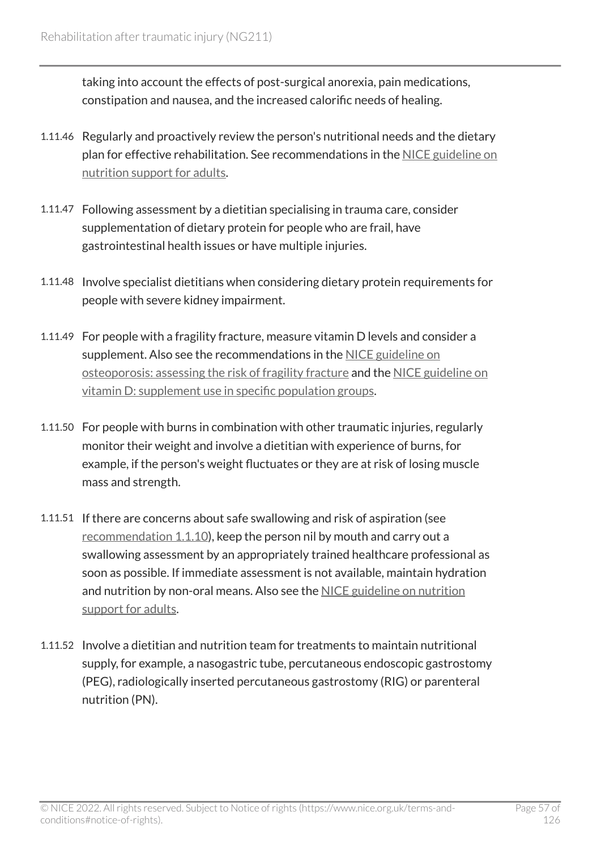taking into account the effects of post-surgical anorexia, pain medications, constipation and nausea, and the increased calorific needs of healing.

- 1.11.46 Regularly and proactively review the person's nutritional needs and the dietary plan for effective rehabilitation. See recommendations in the [NICE guideline on](https://www.nice.org.uk/guidance/cg32)  [nutrition support for adults.](https://www.nice.org.uk/guidance/cg32)
- 1.11.47 Following assessment by a dietitian specialising in trauma care, consider supplementation of dietary protein for people who are frail, have gastrointestinal health issues or have multiple injuries.
- 1.11.48 Involve specialist dietitians when considering dietary protein requirements for people with severe kidney impairment.
- 1.11.49 For people with a fragility fracture, measure vitamin D levels and consider a supplement. Also see the recommendations in the [NICE guideline on](https://www.nice.org.uk/guidance/cg146) [osteoporosis: assessing the risk of fragility fracture](https://www.nice.org.uk/guidance/cg146) and the [NICE guideline on](https://www.nice.org.uk/guidance/ph56) vitamin [D: supplement use in specific population groups.](https://www.nice.org.uk/guidance/ph56)
- 1.11.50 For people with burns in combination with other traumatic injuries, regularly monitor their weight and involve a dietitian with experience of burns, for example, if the person's weight fluctuates or they are at risk of losing muscle mass and strength.
- 1.11.51 If there are concerns about safe swallowing and risk of aspiration (see [recommendation 1.1.10](#page-11-0)), keep the person nil by mouth and carry out a swallowing assessment by an appropriately trained healthcare professional as soon as possible. If immediate assessment is not available, maintain hydration and nutrition by non-oral means. Also see the NICE guideline on nutrition [support for adults.](https://www.nice.org.uk/guidance/cg32)
- 1.11.52 Involve a dietitian and nutrition team for treatments to maintain nutritional supply, for example, a nasogastric tube, percutaneous endoscopic gastrostomy (PEG), radiologically inserted percutaneous gastrostomy (RIG) or parenteral nutrition (PN).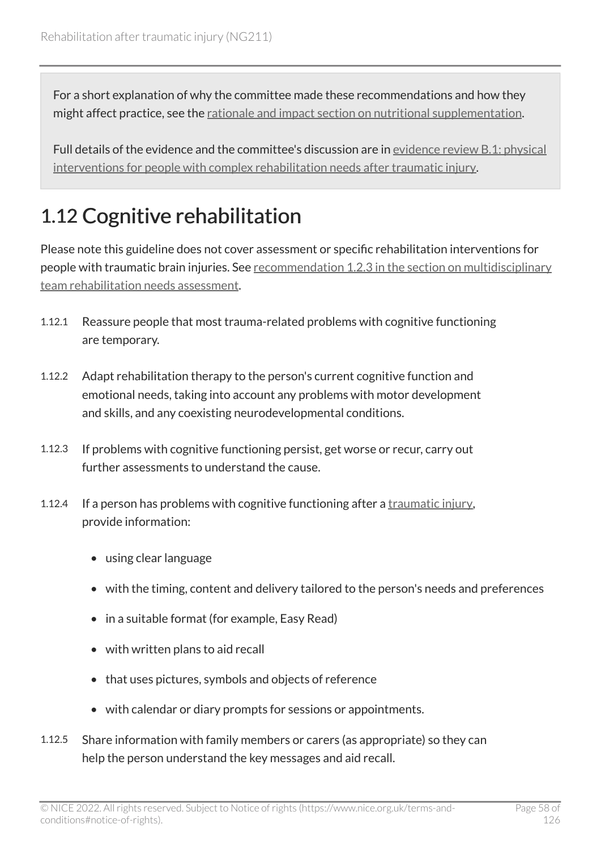For a short explanation of why the committee made these recommendations and how they might affect practice, see the [rationale and impact section on nutritional supplementation](#page-109-0).

Full details of the evidence and the committee's discussion are in [evidence review](https://www.nice.org.uk/guidance/ng211/evidence/b.1-physical-interventions-for-people-with-complex-rehabilitation-needs-after-traumatic-injury-pdf-10947883503) B.1: physical [interventions for people with complex rehabilitation needs after traumatic injury.](https://www.nice.org.uk/guidance/ng211/evidence/b.1-physical-interventions-for-people-with-complex-rehabilitation-needs-after-traumatic-injury-pdf-10947883503)

# 1.12 Cognitive rehabilitation

Please note this guideline does not cover assessment or specific rehabilitation interventions for people with traumatic brain injuries. See [recommendation 1.2.3 in the section on multidisciplinary](#page-14-0)  [team rehabilitation needs assessment.](#page-14-0)

- 1.12.1 Reassure people that most trauma-related problems with cognitive functioning are temporary.
- 1.12.2 Adapt rehabilitation therapy to the person's current cognitive function and emotional needs, taking into account any problems with motor development and skills, and any coexisting neurodevelopmental conditions.
- 1.12.3 If problems with cognitive functioning persist, get worse or recur, carry out further assessments to understand the cause.
- 1.12.4 If a person has problems with cognitive functioning after a [traumatic injury](#page-82-0), provide information:
	- using clear language
	- with the timing, content and delivery tailored to the person's needs and preferences
	- in a suitable format (for example, Easy Read)
	- with written plans to aid recall
	- that uses pictures, symbols and objects of reference
	- with calendar or diary prompts for sessions or appointments.
- 1.12.5 Share information with family members or carers (as appropriate) so they can help the person understand the key messages and aid recall.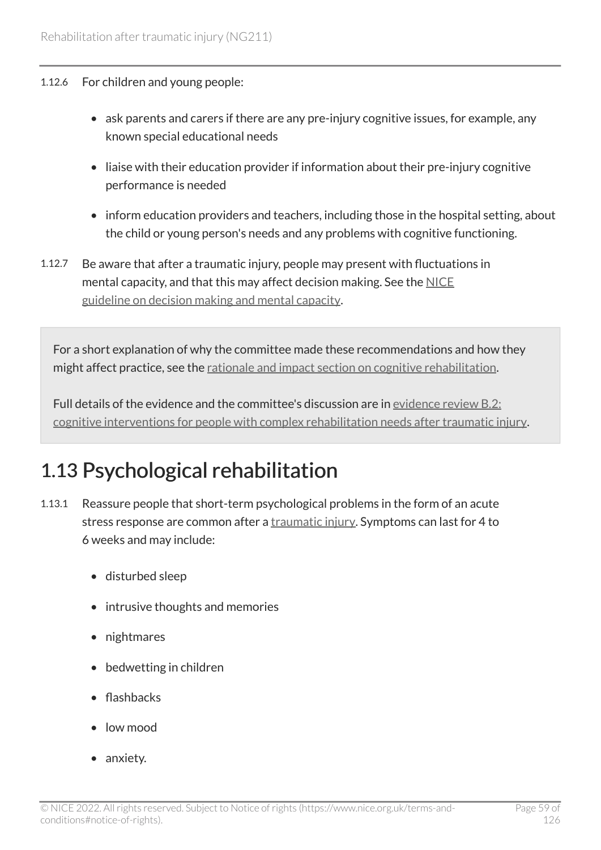#### 1.12.6 For children and young people:

- ask parents and carers if there are any pre-injury cognitive issues, for example, any known special educational needs
- liaise with their education provider if information about their pre-injury cognitive performance is needed
- inform education providers and teachers, including those in the hospital setting, about the child or young person's needs and any problems with cognitive functioning.
- 1.12.7 Be aware that after a traumatic injury, people may present with fluctuations in mental capacity, and that this may affect decision making. See the [NICE](https://www.nice.org.uk/guidance/ng108)  [guideline on decision making and mental capacity](https://www.nice.org.uk/guidance/ng108).

For a short explanation of why the committee made these recommendations and how they might affect practice, see the [rationale and impact section on cognitive rehabilitation.](#page-109-1)

Full details of the evidence and the committee's discussion are in [evidence review](https://www.nice.org.uk/guidance/ng211/evidence/b.2-cognitive-interventions-for-people-with-complex-rehabilitation-needs-after-traumatic-injury-pdf-10947883504) B.2: [cognitive interventions for people with complex rehabilitation needs after traumatic injury](https://www.nice.org.uk/guidance/ng211/evidence/b.2-cognitive-interventions-for-people-with-complex-rehabilitation-needs-after-traumatic-injury-pdf-10947883504).

# <span id="page-58-0"></span>1.13 Psychological rehabilitation

- 1.13.1 Reassure people that short-term psychological problems in the form of an acute stress response are common after a [traumatic injury](#page-82-0). Symptoms can last for 4 to 6 weeks and may include:
	- disturbed sleep
	- intrusive thoughts and memories
	- nightmares
	- bedwetting in children
	- flashbacks
	- low mood
	- anxiety.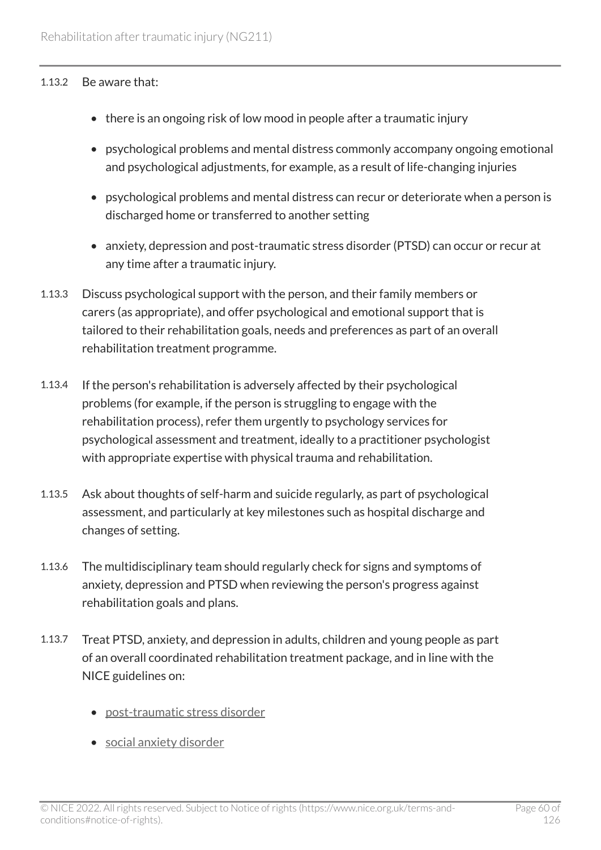#### 1.13.2 Be aware that:

- there is an ongoing risk of low mood in people after a traumatic injury
- psychological problems and mental distress commonly accompany ongoing emotional and psychological adjustments, for example, as a result of life-changing injuries
- psychological problems and mental distress can recur or deteriorate when a person is discharged home or transferred to another setting
- anxiety, depression and post-traumatic stress disorder (PTSD) can occur or recur at any time after a traumatic injury.
- 1.13.3 Discuss psychological support with the person, and their family members or carers (as appropriate), and offer psychological and emotional support that is tailored to their rehabilitation goals, needs and preferences as part of an overall rehabilitation treatment programme.
- 1.13.4 If the person's rehabilitation is adversely affected by their psychological problems (for example, if the person is struggling to engage with the rehabilitation process), refer them urgently to psychology services for psychological assessment and treatment, ideally to a practitioner psychologist with appropriate expertise with physical trauma and rehabilitation.
- 1.13.5 Ask about thoughts of self-harm and suicide regularly, as part of psychological assessment, and particularly at key milestones such as hospital discharge and changes of setting.
- 1.13.6 The multidisciplinary team should regularly check for signs and symptoms of anxiety, depression and PTSD when reviewing the person's progress against rehabilitation goals and plans.
- 1.13.7 Treat PTSD, anxiety, and depression in adults, children and young people as part of an overall coordinated rehabilitation treatment package, and in line with the NICE guidelines on:
	- [post-traumatic stress disorder](https://www.nice.org.uk/guidance/ng116)
	- [social anxiety disorder](https://www.nice.org.uk/guidance/cg159)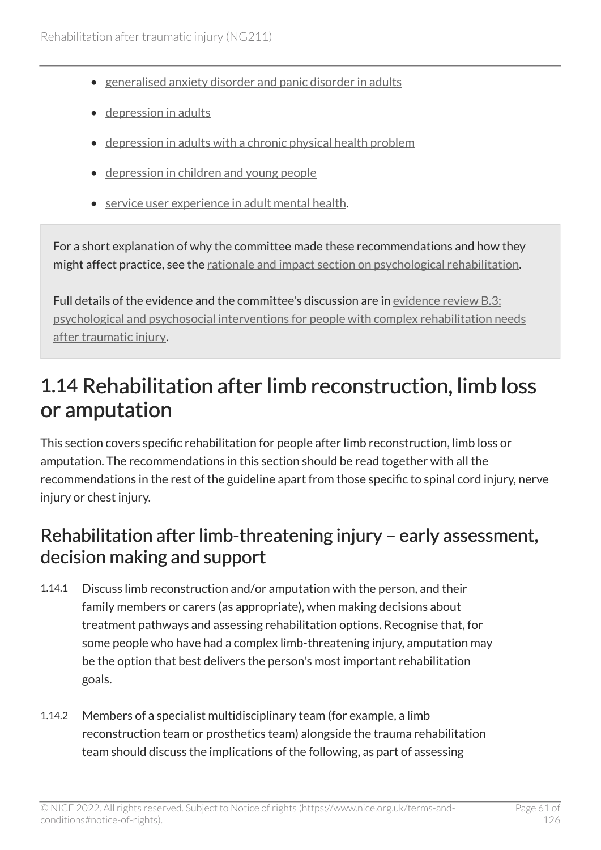- [generalised anxiety disorder and panic disorder in adults](https://www.nice.org.uk/guidance/cg113)
- [depression in adults](https://www.nice.org.uk/guidance/cg90)
- [depression in adults with a chronic physical health problem](https://www.nice.org.uk/guidance/cg91)
- [depression in children and young people](https://www.nice.org.uk/guidance/ng134)
- [service user experience in adult mental health](https://www.nice.org.uk/guidance/cg136).

For a short explanation of why the committee made these recommendations and how they might affect practice, see the [rationale and impact section on psychological rehabilitation](#page-110-0).

Full details of the evidence and the committee's discussion are in [evidence review](https://www.nice.org.uk/guidance/ng211/evidence/b.3-psychological-and-psychosocial-interventions-for-people-with-complex-rehabilitation-needs-after-traumatic-injury-pdf-10947883505) B.3: [psychological and psychosocial interventions for people with complex rehabilitation needs](https://www.nice.org.uk/guidance/ng211/evidence/b.3-psychological-and-psychosocial-interventions-for-people-with-complex-rehabilitation-needs-after-traumatic-injury-pdf-10947883505) [after traumatic injury](https://www.nice.org.uk/guidance/ng211/evidence/b.3-psychological-and-psychosocial-interventions-for-people-with-complex-rehabilitation-needs-after-traumatic-injury-pdf-10947883505).

# 1.14 Rehabilitation after limb reconstruction, limb loss or amputation

This section covers specific rehabilitation for people after limb reconstruction, limb loss or amputation. The recommendations in this section should be read together with all the recommendations in the rest of the guideline apart from those specific to spinal cord injury, nerve injury or chest injury.

### Rehabilitation after limb-threatening injury – early assessment, decision making and support

- 1.14.1 Discuss limb reconstruction and/or amputation with the person, and their family members or carers (as appropriate), when making decisions about treatment pathways and assessing rehabilitation options. Recognise that, for some people who have had a complex limb-threatening injury, amputation may be the option that best delivers the person's most important rehabilitation goals.
- 1.14.2 Members of a specialist multidisciplinary team (for example, a limb reconstruction team or prosthetics team) alongside the trauma rehabilitation team should discuss the implications of the following, as part of assessing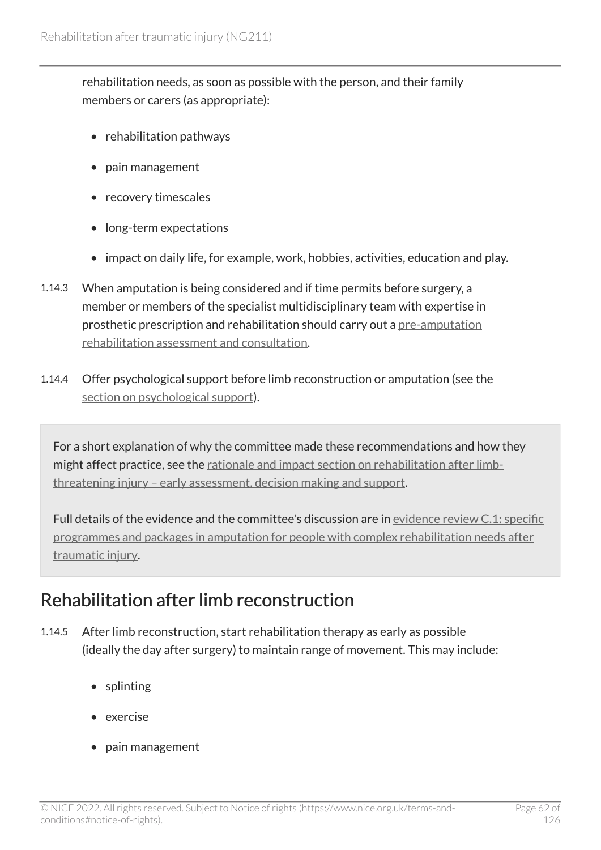rehabilitation needs, as soon as possible with the person, and their family members or carers (as appropriate):

- rehabilitation pathways
- pain management
- recovery timescales
- long-term expectations
- impact on daily life, for example, work, hobbies, activities, education and play.
- 1.14.3 When amputation is being considered and if time permits before surgery, a member or members of the specialist multidisciplinary team with expertise in prosthetic prescription and rehabilitation should carry out a [pre-amputation](#page-80-2) [rehabilitation assessment and consultation.](#page-80-2)
- 1.14.4 Offer psychological support before limb reconstruction or amputation (see the [section on psychological support](#page-65-0)).

For a short explanation of why the committee made these recommendations and how they might affect practice, see the [rationale and impact section on rehabilitation after limb](#page-111-0)[threatening injury – early assessment, decision making and support](#page-111-0).

Full details of the evidence and the committee's discussion are in [evidence review](https://www.nice.org.uk/guidance/ng211/evidence/c.1-specific-programmes-and-packages-in-amputation-for-people-with-complex-rehabilitation-needs-after-traumatic-injury-pdf-10947883507) C.1: specific [programmes and packages in amputation for people with complex rehabilitation needs after](https://www.nice.org.uk/guidance/ng211/evidence/c.1-specific-programmes-and-packages-in-amputation-for-people-with-complex-rehabilitation-needs-after-traumatic-injury-pdf-10947883507) [traumatic injury](https://www.nice.org.uk/guidance/ng211/evidence/c.1-specific-programmes-and-packages-in-amputation-for-people-with-complex-rehabilitation-needs-after-traumatic-injury-pdf-10947883507).

## Rehabilitation after limb reconstruction

- 1.14.5 After limb reconstruction, start rehabilitation therapy as early as possible (ideally the day after surgery) to maintain range of movement. This may include:
	- splinting
	- exercise
	- pain management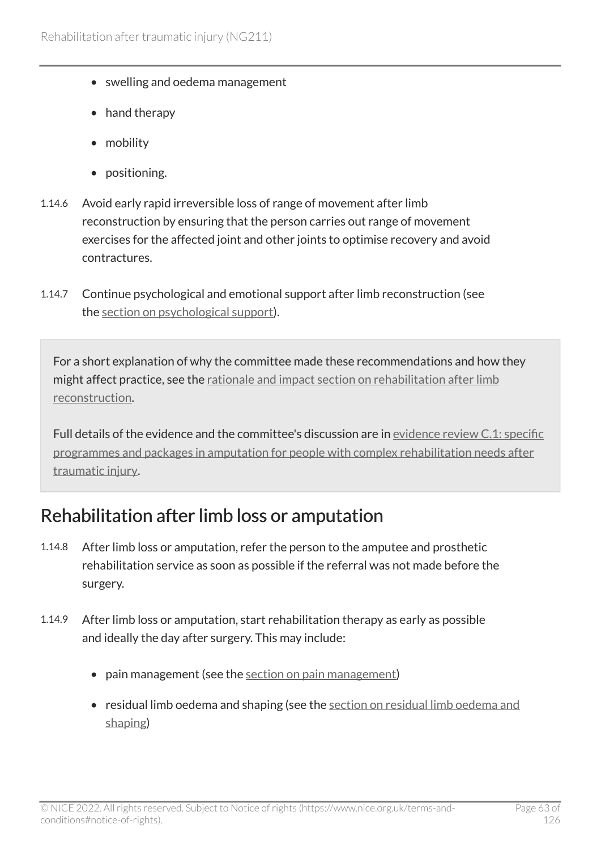- swelling and oedema management
- hand therapy
- mobility
- positioning.
- 1.14.6 Avoid early rapid irreversible loss of range of movement after limb reconstruction by ensuring that the person carries out range of movement exercises for the affected joint and other joints to optimise recovery and avoid contractures.
- 1.14.7 Continue psychological and emotional support after limb reconstruction (see the [section on psychological support\)](#page-65-0).

For a short explanation of why the committee made these recommendations and how they might affect practice, see the [rationale and impact section on rehabilitation after limb](#page-111-1)  [reconstruction.](#page-111-1)

Full details of the evidence and the committee's discussion are in [evidence review](https://www.nice.org.uk/guidance/ng211/evidence/c.1-specific-programmes-and-packages-in-amputation-for-people-with-complex-rehabilitation-needs-after-traumatic-injury-pdf-10947883507) C.1: specific [programmes and packages in amputation for people with complex rehabilitation needs after](https://www.nice.org.uk/guidance/ng211/evidence/c.1-specific-programmes-and-packages-in-amputation-for-people-with-complex-rehabilitation-needs-after-traumatic-injury-pdf-10947883507) [traumatic injury](https://www.nice.org.uk/guidance/ng211/evidence/c.1-specific-programmes-and-packages-in-amputation-for-people-with-complex-rehabilitation-needs-after-traumatic-injury-pdf-10947883507).

### Rehabilitation after limb loss or amputation

- 1.14.8 After limb loss or amputation, refer the person to the amputee and prosthetic rehabilitation service as soon as possible if the referral was not made before the surgery.
- 1.14.9 After limb loss or amputation, start rehabilitation therapy as early as possible and ideally the day after surgery. This may include:
	- pain management (see the [section on pain management\)](#page-63-0)
	- residual limb oedema and shaping (see the [section on residual limb oedema and](#page-64-0) [shaping](#page-64-0))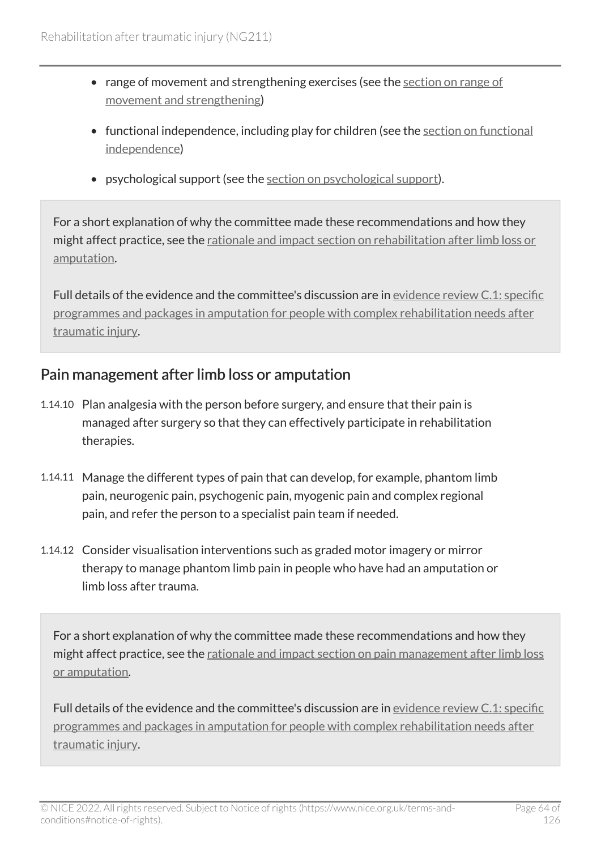- range of movement and strengthening exercises (see the [section on range of](#page-64-1) [movement and strengthening](#page-64-1))
- functional independence, including play for children (see the [section on functional](#page-65-1) [independence](#page-65-1))
- psychological support (see the [section on psychological support](#page-65-0)).

For a short explanation of why the committee made these recommendations and how they might affect practice, see the [rationale and impact section on rehabilitation after limb loss or](#page-112-0)  [amputation](#page-112-0).

Full details of the evidence and the committee's discussion are in [evidence review](https://www.nice.org.uk/guidance/ng211/evidence/c.1-specific-programmes-and-packages-in-amputation-for-people-with-complex-rehabilitation-needs-after-traumatic-injury-pdf-10947883507) C.1: specific [programmes and packages in amputation for people with complex rehabilitation needs after](https://www.nice.org.uk/guidance/ng211/evidence/c.1-specific-programmes-and-packages-in-amputation-for-people-with-complex-rehabilitation-needs-after-traumatic-injury-pdf-10947883507) [traumatic injury](https://www.nice.org.uk/guidance/ng211/evidence/c.1-specific-programmes-and-packages-in-amputation-for-people-with-complex-rehabilitation-needs-after-traumatic-injury-pdf-10947883507).

### <span id="page-63-0"></span>Pain management after limb loss or amputation

- 1.14.10 Plan analgesia with the person before surgery, and ensure that their pain is managed after surgery so that they can effectively participate in rehabilitation therapies.
- 1.14.11 Manage the different types of pain that can develop, for example, phantom limb pain, neurogenic pain, psychogenic pain, myogenic pain and complex regional pain, and refer the person to a specialist pain team if needed.
- 1.14.12 Consider visualisation interventions such as graded motor imagery or mirror therapy to manage phantom limb pain in people who have had an amputation or limb loss after trauma.

For a short explanation of why the committee made these recommendations and how they might affect practice, see the [rationale and impact section on pain management after limb loss](#page-113-0) [or amputation](#page-113-0).

Full details of the evidence and the committee's discussion are in [evidence review](https://www.nice.org.uk/guidance/ng211/evidence/c.1-specific-programmes-and-packages-in-amputation-for-people-with-complex-rehabilitation-needs-after-traumatic-injury-pdf-10947883507) C.1: specific [programmes and packages in amputation for people with complex rehabilitation needs after](https://www.nice.org.uk/guidance/ng211/evidence/c.1-specific-programmes-and-packages-in-amputation-for-people-with-complex-rehabilitation-needs-after-traumatic-injury-pdf-10947883507) [traumatic injury](https://www.nice.org.uk/guidance/ng211/evidence/c.1-specific-programmes-and-packages-in-amputation-for-people-with-complex-rehabilitation-needs-after-traumatic-injury-pdf-10947883507).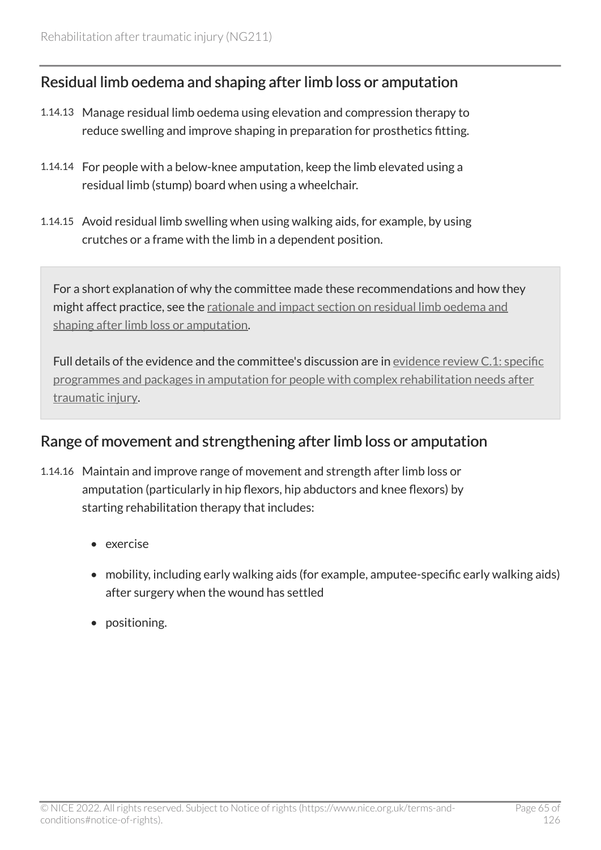### <span id="page-64-0"></span>Residual limb oedema and shaping after limb loss or amputation

- 1.14.13 Manage residual limb oedema using elevation and compression therapy to reduce swelling and improve shaping in preparation for prosthetics fitting.
- 1.14.14 For people with a below-knee amputation, keep the limb elevated using a residual limb (stump) board when using a wheelchair.
- 1.14.15 Avoid residual limb swelling when using walking aids, for example, by using crutches or a frame with the limb in a dependent position.

For a short explanation of why the committee made these recommendations and how they might affect practice, see the [rationale and impact section on residual limb oedema and](#page-113-1) [shaping after limb loss or amputation.](#page-113-1)

Full details of the evidence and the committee's discussion are in [evidence review](https://www.nice.org.uk/guidance/ng211/evidence/c.1-specific-programmes-and-packages-in-amputation-for-people-with-complex-rehabilitation-needs-after-traumatic-injury-pdf-10947883507) C.1: specific [programmes and packages in amputation for people with complex rehabilitation needs after](https://www.nice.org.uk/guidance/ng211/evidence/c.1-specific-programmes-and-packages-in-amputation-for-people-with-complex-rehabilitation-needs-after-traumatic-injury-pdf-10947883507) [traumatic injury](https://www.nice.org.uk/guidance/ng211/evidence/c.1-specific-programmes-and-packages-in-amputation-for-people-with-complex-rehabilitation-needs-after-traumatic-injury-pdf-10947883507).

### <span id="page-64-1"></span>Range of movement and strengthening after limb loss or amputation

- 1.14.16 Maintain and improve range of movement and strength after limb loss or amputation (particularly in hip flexors, hip abductors and knee flexors) by starting rehabilitation therapy that includes:
	- exercise
	- mobility, including early walking aids (for example, amputee-specific early walking aids) after surgery when the wound has settled
	- positioning.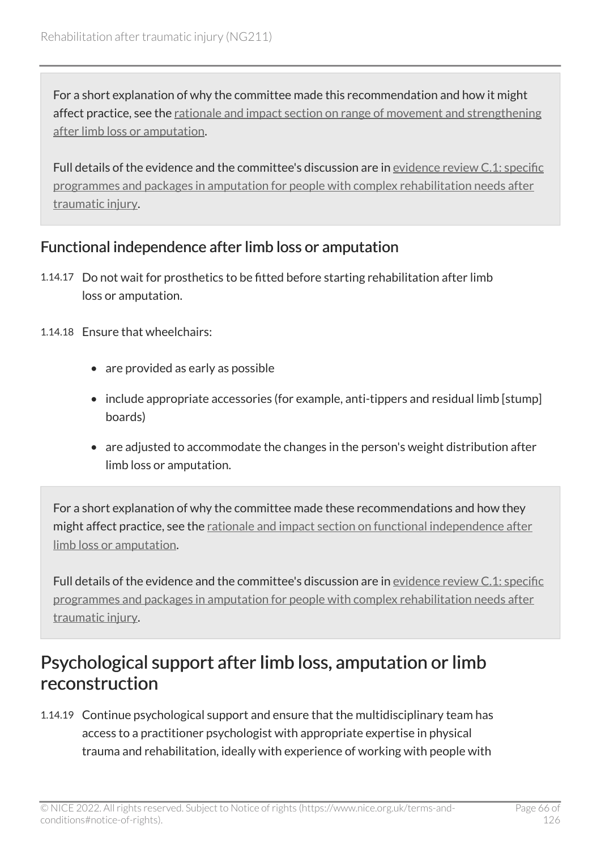For a short explanation of why the committee made this recommendation and how it might affect practice, see the rationale and impact section on range of movement and strengthening [after limb loss or amputation.](#page-114-0)

Full details of the evidence and the committee's discussion are in [evidence review](https://www.nice.org.uk/guidance/ng211/evidence/c.1-specific-programmes-and-packages-in-amputation-for-people-with-complex-rehabilitation-needs-after-traumatic-injury-pdf-10947883507) C.1: specific [programmes and packages in amputation for people with complex rehabilitation needs after](https://www.nice.org.uk/guidance/ng211/evidence/c.1-specific-programmes-and-packages-in-amputation-for-people-with-complex-rehabilitation-needs-after-traumatic-injury-pdf-10947883507) [traumatic injury](https://www.nice.org.uk/guidance/ng211/evidence/c.1-specific-programmes-and-packages-in-amputation-for-people-with-complex-rehabilitation-needs-after-traumatic-injury-pdf-10947883507).

### <span id="page-65-1"></span>Functional independence after limb loss or amputation

- 1.14.17 Do not wait for prosthetics to be fitted before starting rehabilitation after limb loss or amputation.
- 1.14.18 Ensure that wheelchairs:
	- are provided as early as possible
	- include appropriate accessories (for example, anti-tippers and residual limb [stump] boards)
	- are adjusted to accommodate the changes in the person's weight distribution after limb loss or amputation.

For a short explanation of why the committee made these recommendations and how they might affect practice, see the [rationale and impact section on functional independence after](#page-114-1)  [limb loss or amputation.](#page-114-1)

Full details of the evidence and the committee's discussion are in [evidence review](https://www.nice.org.uk/guidance/ng211/evidence/c.1-specific-programmes-and-packages-in-amputation-for-people-with-complex-rehabilitation-needs-after-traumatic-injury-pdf-10947883507) C.1: specific [programmes and packages in amputation for people with complex rehabilitation needs after](https://www.nice.org.uk/guidance/ng211/evidence/c.1-specific-programmes-and-packages-in-amputation-for-people-with-complex-rehabilitation-needs-after-traumatic-injury-pdf-10947883507) [traumatic injury](https://www.nice.org.uk/guidance/ng211/evidence/c.1-specific-programmes-and-packages-in-amputation-for-people-with-complex-rehabilitation-needs-after-traumatic-injury-pdf-10947883507).

### <span id="page-65-0"></span>Psychological support after limb loss, amputation or limb reconstruction

1.14.19 Continue psychological support and ensure that the multidisciplinary team has access to a practitioner psychologist with appropriate expertise in physical trauma and rehabilitation, ideally with experience of working with people with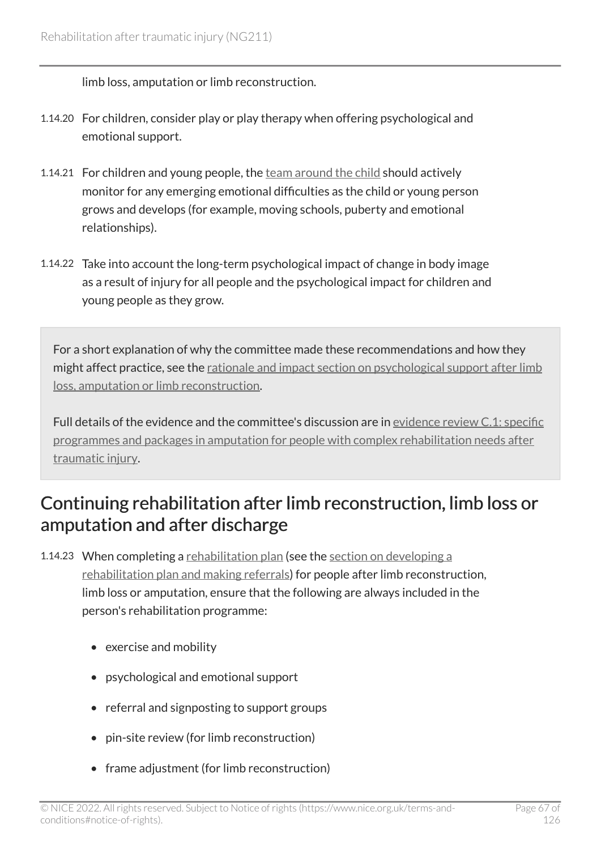limb loss, amputation or limb reconstruction.

- 1.14.20 For children, consider play or play therapy when offering psychological and emotional support.
- 1.14.21 For children and young people, the [team around the child](#page-81-1) should actively monitor for any emerging emotional difficulties as the child or young person grows and develops (for example, moving schools, puberty and emotional relationships).
- 1.14.22 Take into account the long-term psychological impact of change in body image as a result of injury for all people and the psychological impact for children and young people as they grow.

For a short explanation of why the committee made these recommendations and how they might affect practice, see the [rationale and impact section on psychological support after limb](#page-115-0) [loss, amputation or limb reconstruction](#page-115-0).

Full details of the evidence and the committee's discussion are in [evidence review](https://www.nice.org.uk/guidance/ng211/evidence/c.1-specific-programmes-and-packages-in-amputation-for-people-with-complex-rehabilitation-needs-after-traumatic-injury-pdf-10947883507) C.1: specific [programmes and packages in amputation for people with complex rehabilitation needs after](https://www.nice.org.uk/guidance/ng211/evidence/c.1-specific-programmes-and-packages-in-amputation-for-people-with-complex-rehabilitation-needs-after-traumatic-injury-pdf-10947883507) [traumatic injury](https://www.nice.org.uk/guidance/ng211/evidence/c.1-specific-programmes-and-packages-in-amputation-for-people-with-complex-rehabilitation-needs-after-traumatic-injury-pdf-10947883507).

### Continuing rehabilitation after limb reconstruction, limb loss or amputation and after discharge

- 1.14.23 When completing a [rehabilitation plan](#page-80-0) (see the [section on developing a](#page-24-0) [rehabilitation plan and making referrals](#page-24-0)) for people after limb reconstruction, limb loss or amputation, ensure that the following are always included in the person's rehabilitation programme:
	- exercise and mobility
	- psychological and emotional support
	- referral and signposting to support groups
	- pin-site review (for limb reconstruction)
	- frame adjustment (for limb reconstruction)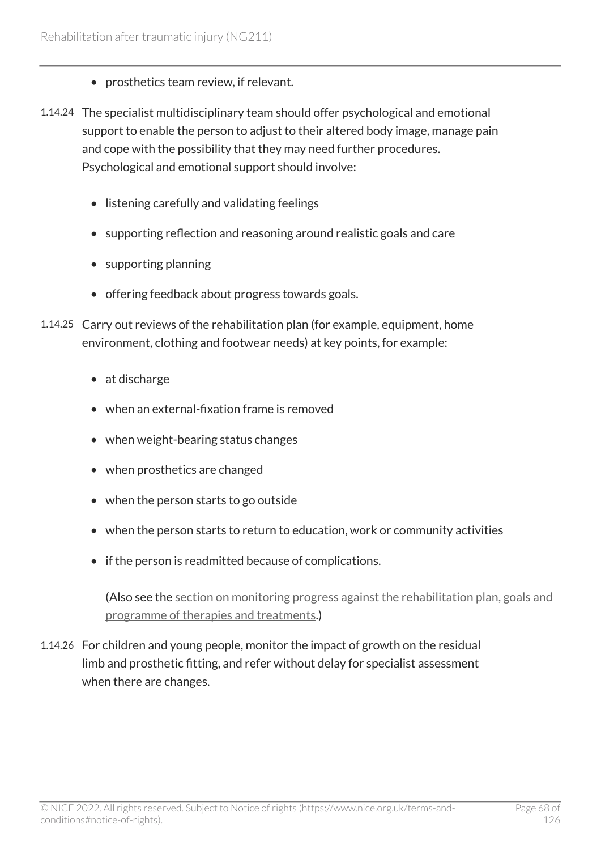- prosthetics team review, if relevant.
- 1.14.24 The specialist multidisciplinary team should offer psychological and emotional support to enable the person to adjust to their altered body image, manage pain and cope with the possibility that they may need further procedures. Psychological and emotional support should involve:
	- listening carefully and validating feelings
	- supporting reflection and reasoning around realistic goals and care
	- supporting planning
	- offering feedback about progress towards goals.
- 1.14.25 Carry out reviews of the rehabilitation plan (for example, equipment, home environment, clothing and footwear needs) at key points, for example:
	- at discharge
	- when an external-fixation frame is removed
	- when weight-bearing status changes
	- when prosthetics are changed
	- when the person starts to go outside
	- when the person starts to return to education, work or community activities
	- if the person is readmitted because of complications.

(Also see the [section on monitoring progress against the rehabilitation plan, goals and](#page-31-0)  [programme of therapies and treatments.](#page-31-0))

1.14.26 For children and young people, monitor the impact of growth on the residual limb and prosthetic fitting, and refer without delay for specialist assessment when there are changes.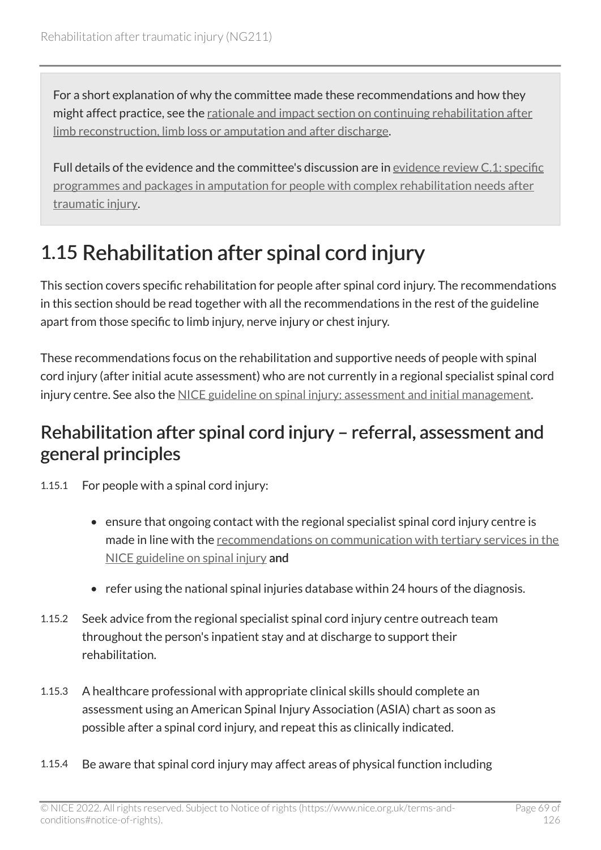For a short explanation of why the committee made these recommendations and how they might affect practice, see the [rationale and impact section on continuing rehabilitation after](#page-116-0)  [limb reconstruction, limb loss or amputation and after discharge](#page-116-0).

Full details of the evidence and the committee's discussion are in [evidence review](https://www.nice.org.uk/guidance/ng211/evidence/c.1-specific-programmes-and-packages-in-amputation-for-people-with-complex-rehabilitation-needs-after-traumatic-injury-pdf-10947883507) C.1: specific [programmes and packages in amputation for people with complex rehabilitation needs after](https://www.nice.org.uk/guidance/ng211/evidence/c.1-specific-programmes-and-packages-in-amputation-for-people-with-complex-rehabilitation-needs-after-traumatic-injury-pdf-10947883507) [traumatic injury](https://www.nice.org.uk/guidance/ng211/evidence/c.1-specific-programmes-and-packages-in-amputation-for-people-with-complex-rehabilitation-needs-after-traumatic-injury-pdf-10947883507).

# 1.15 Rehabilitation after spinal cord injury

This section covers specific rehabilitation for people after spinal cord injury. The recommendations in this section should be read together with all the recommendations in the rest of the guideline apart from those specific to limb injury, nerve injury or chest injury.

These recommendations focus on the rehabilitation and supportive needs of people with spinal cord injury (after initial acute assessment) who are not currently in a regional specialist spinal cord injury centre. See also the [NICE guideline on spinal injury: assessment and initial management](https://www.nice.org.uk/guidance/ng41).

### Rehabilitation after spinal cord injury – referral, assessment and general principles

1.15.1 For people with a spinal cord injury:

- ensure that ongoing contact with the regional specialist spinal cord injury centre is made in line with the [recommendations on communication with tertiary services in the](https://www.nice.org.uk/guidance/ng41/chapter/Recommendations#communication-with-tertiary-services)  [NICE guideline on spinal injury](https://www.nice.org.uk/guidance/ng41/chapter/Recommendations#communication-with-tertiary-services) and
- refer using the national spinal injuries database within 24 hours of the diagnosis.
- 1.15.2 Seek advice from the regional specialist spinal cord injury centre outreach team throughout the person's inpatient stay and at discharge to support their rehabilitation.
- 1.15.3 A healthcare professional with appropriate clinical skills should complete an assessment using an American Spinal Injury Association (ASIA) chart as soon as possible after a spinal cord injury, and repeat this as clinically indicated.
- 1.15.4 Be aware that spinal cord injury may affect areas of physical function including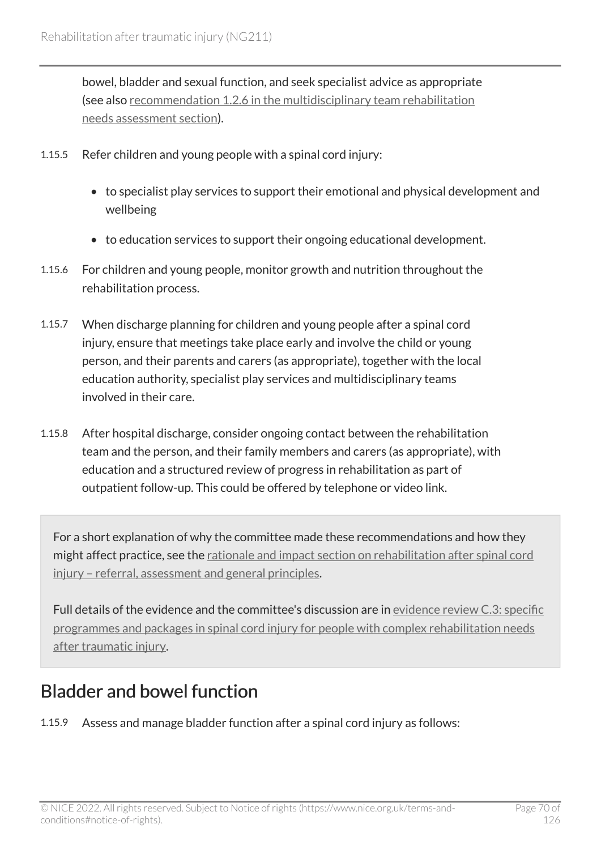bowel, bladder and sexual function, and seek specialist advice as appropriate (see also [recommendation 1.2.6 in the multidisciplinary team rehabilitation](#page-14-0) [needs assessment section\)](#page-14-0).

- 1.15.5 Refer children and young people with a spinal cord injury:
	- to specialist play services to support their emotional and physical development and wellbeing
	- to education services to support their ongoing educational development.
- 1.15.6 For children and young people, monitor growth and nutrition throughout the rehabilitation process.
- 1.15.7 When discharge planning for children and young people after a spinal cord injury, ensure that meetings take place early and involve the child or young person, and their parents and carers (as appropriate), together with the local education authority, specialist play services and multidisciplinary teams involved in their care.
- 1.15.8 After hospital discharge, consider ongoing contact between the rehabilitation team and the person, and their family members and carers (as appropriate), with education and a structured review of progress in rehabilitation as part of outpatient follow-up. This could be offered by telephone or video link.

For a short explanation of why the committee made these recommendations and how they might affect practice, see the rationale and impact section on rehabilitation after spinal cord [injury – referral, assessment and general principles.](#page-116-1)

Full details of the evidence and the committee's discussion are in [evidence review](https://www.nice.org.uk/guidance/ng211/evidence/c.3-specific-programmes-and-packages-in-spinal-cord-injury-for-people-with-complex-rehabilitation-needs-after-traumatic-injury-pdf-10947883509) C.3: specific [programmes and packages in spinal cord injury for people with complex rehabilitation needs](https://www.nice.org.uk/guidance/ng211/evidence/c.3-specific-programmes-and-packages-in-spinal-cord-injury-for-people-with-complex-rehabilitation-needs-after-traumatic-injury-pdf-10947883509)  [after traumatic injury](https://www.nice.org.uk/guidance/ng211/evidence/c.3-specific-programmes-and-packages-in-spinal-cord-injury-for-people-with-complex-rehabilitation-needs-after-traumatic-injury-pdf-10947883509).

## Bladder and bowel function

1.15.9 Assess and manage bladder function after a spinal cord injury as follows: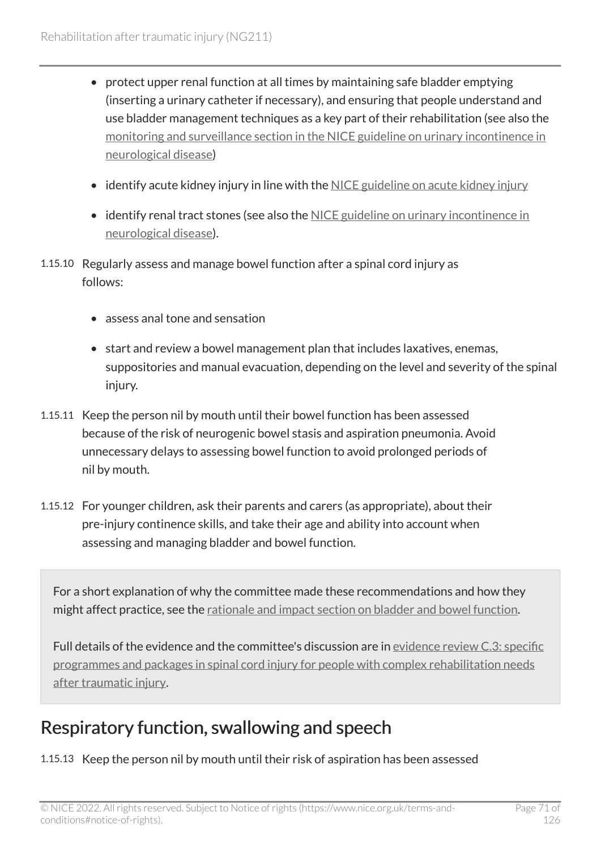- protect upper renal function at all times by maintaining safe bladder emptying (inserting a urinary catheter if necessary), and ensuring that people understand and use bladder management techniques as a key part of their rehabilitation (see also the [monitoring and surveillance section in the NICE guideline on urinary incontinence in](https://www.nice.org.uk/guidance/cg148/chapter/Recommendations#monitoring-and-surveillance-protocols-2)  [neurological disease\)](https://www.nice.org.uk/guidance/cg148/chapter/Recommendations#monitoring-and-surveillance-protocols-2)
- identify acute kidney injury in line with the [NICE guideline on acute kidney injury](https://www.nice.org.uk/guidance/ng148)
- identify renal tract stones (see also the [NICE guideline on urinary incontinence in](https://www.nice.org.uk/guidance/cg148/chapter/Recommendations)  [neurological disease\)](https://www.nice.org.uk/guidance/cg148/chapter/Recommendations).
- 1.15.10 Regularly assess and manage bowel function after a spinal cord injury as follows:
	- assess anal tone and sensation
	- start and review a bowel management plan that includes laxatives, enemas, suppositories and manual evacuation, depending on the level and severity of the spinal injury.
- 1.15.11 Keep the person nil by mouth until their bowel function has been assessed because of the risk of neurogenic bowel stasis and aspiration pneumonia. Avoid unnecessary delays to assessing bowel function to avoid prolonged periods of nil by mouth.
- 1.15.12 For younger children, ask their parents and carers (as appropriate), about their pre-injury continence skills, and take their age and ability into account when assessing and managing bladder and bowel function.

For a short explanation of why the committee made these recommendations and how they might affect practice, see the [rationale and impact section on bladder and bowel function.](#page-118-0)

Full details of the evidence and the committee's discussion are in [evidence review](https://www.nice.org.uk/guidance/ng211/evidence/c.3-specific-programmes-and-packages-in-spinal-cord-injury-for-people-with-complex-rehabilitation-needs-after-traumatic-injury-pdf-10947883509) C.3: specific [programmes and packages in spinal cord injury for people with complex rehabilitation needs](https://www.nice.org.uk/guidance/ng211/evidence/c.3-specific-programmes-and-packages-in-spinal-cord-injury-for-people-with-complex-rehabilitation-needs-after-traumatic-injury-pdf-10947883509)  [after traumatic injury](https://www.nice.org.uk/guidance/ng211/evidence/c.3-specific-programmes-and-packages-in-spinal-cord-injury-for-people-with-complex-rehabilitation-needs-after-traumatic-injury-pdf-10947883509).

## Respiratory function, swallowing and speech

1.15.13 Keep the person nil by mouth until their risk of aspiration has been assessed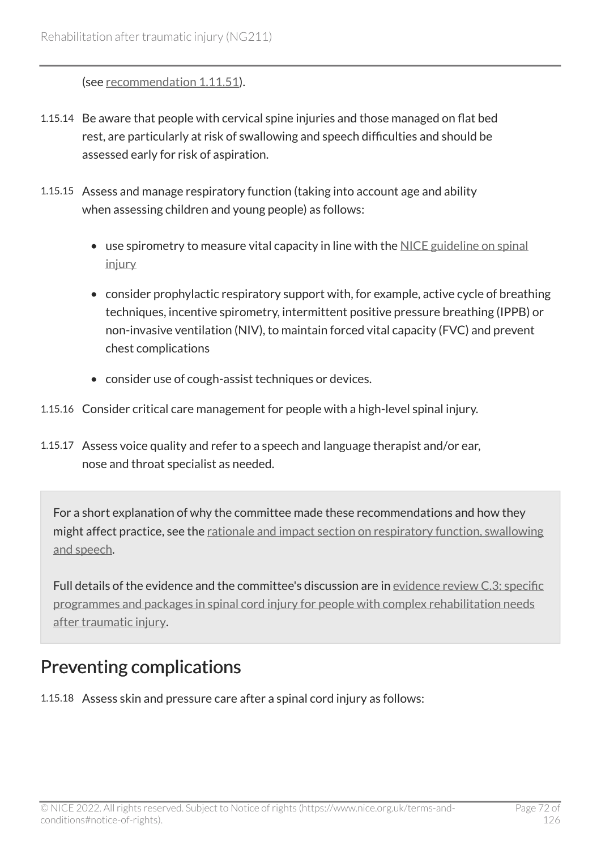(see [recommendation 1.11.51\)](#page-55-0).

- 1.15.14 Be aware that people with cervical spine injuries and those managed on flat bed rest, are particularly at risk of swallowing and speech difficulties and should be assessed early for risk of aspiration.
- 1.15.15 Assess and manage respiratory function (taking into account age and ability when assessing children and young people) as follows:
	- use spirometry to measure vital capacity in line with the [NICE guideline on spinal](https://www.nice.org.uk/guidance/ng41) [injury](https://www.nice.org.uk/guidance/ng41)
	- consider prophylactic respiratory support with, for example, active cycle of breathing techniques, incentive spirometry, intermittent positive pressure breathing (IPPB) or non-invasive ventilation (NIV), to maintain forced vital capacity (FVC) and prevent chest complications
	- consider use of cough-assist techniques or devices.
- 1.15.16 Consider critical care management for people with a high-level spinal injury.
- 1.15.17 Assess voice quality and refer to a speech and language therapist and/or ear, nose and throat specialist as needed.

For a short explanation of why the committee made these recommendations and how they might affect practice, see the [rationale and impact section on respiratory function, swallowing](#page-118-1)  [and speech](#page-118-1).

Full details of the evidence and the committee's discussion are in [evidence review](https://www.nice.org.uk/guidance/ng211/evidence/c.3-specific-programmes-and-packages-in-spinal-cord-injury-for-people-with-complex-rehabilitation-needs-after-traumatic-injury-pdf-10947883509) C.3: specific [programmes and packages in spinal cord injury for people with complex rehabilitation needs](https://www.nice.org.uk/guidance/ng211/evidence/c.3-specific-programmes-and-packages-in-spinal-cord-injury-for-people-with-complex-rehabilitation-needs-after-traumatic-injury-pdf-10947883509)  [after traumatic injury](https://www.nice.org.uk/guidance/ng211/evidence/c.3-specific-programmes-and-packages-in-spinal-cord-injury-for-people-with-complex-rehabilitation-needs-after-traumatic-injury-pdf-10947883509).

## Preventing complications

1.15.18 Assess skin and pressure care after a spinal cord injury as follows: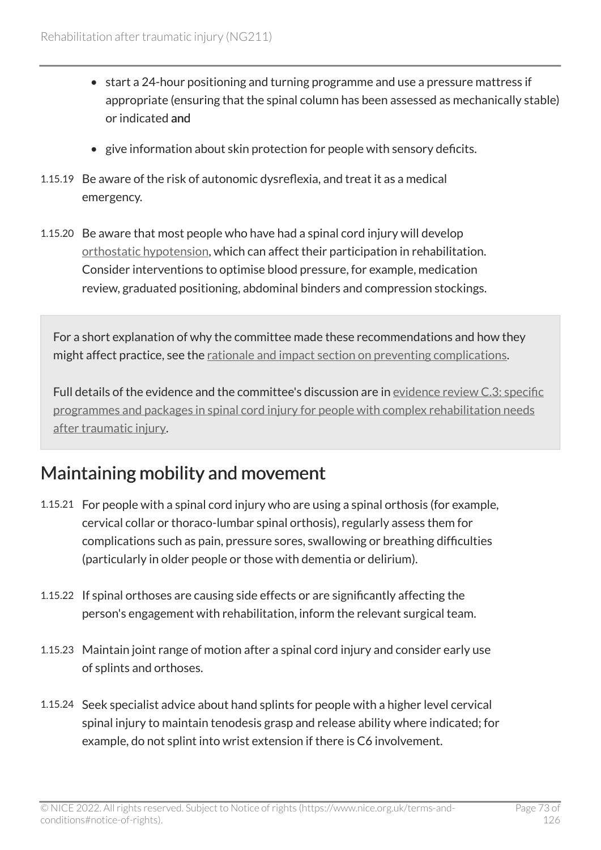- start a 24-hour positioning and turning programme and use a pressure mattress if appropriate (ensuring that the spinal column has been assessed as mechanically stable) or indicated and
- give information about skin protection for people with sensory deficits.
- 1.15.19 Be aware of the risk of autonomic dysreflexia, and treat it as a medical emergency.
- 1.15.20 Be aware that most people who have had a spinal cord injury will develop [orthostatic hypotension,](#page-80-0) which can affect their participation in rehabilitation. Consider interventions to optimise blood pressure, for example, medication review, graduated positioning, abdominal binders and compression stockings.

For a short explanation of why the committee made these recommendations and how they might affect practice, see the [rationale and impact section on preventing complications](#page-119-0).

Full details of the evidence and the committee's discussion are in [evidence review](https://www.nice.org.uk/guidance/ng211/evidence/c.3-specific-programmes-and-packages-in-spinal-cord-injury-for-people-with-complex-rehabilitation-needs-after-traumatic-injury-pdf-10947883509) C.3: specific [programmes and packages in spinal cord injury for people with complex rehabilitation needs](https://www.nice.org.uk/guidance/ng211/evidence/c.3-specific-programmes-and-packages-in-spinal-cord-injury-for-people-with-complex-rehabilitation-needs-after-traumatic-injury-pdf-10947883509)  [after traumatic injury](https://www.nice.org.uk/guidance/ng211/evidence/c.3-specific-programmes-and-packages-in-spinal-cord-injury-for-people-with-complex-rehabilitation-needs-after-traumatic-injury-pdf-10947883509).

#### Maintaining mobility and movement

- 1.15.21 For people with a spinal cord injury who are using a spinal orthosis (for example, cervical collar or thoraco-lumbar spinal orthosis), regularly assess them for complications such as pain, pressure sores, swallowing or breathing difficulties (particularly in older people or those with dementia or delirium).
- 1.15.22 If spinal orthoses are causing side effects or are significantly affecting the person's engagement with rehabilitation, inform the relevant surgical team.
- 1.15.23 Maintain joint range of motion after a spinal cord injury and consider early use of splints and orthoses.
- 1.15.24 Seek specialist advice about hand splints for people with a higher level cervical spinal injury to maintain tenodesis grasp and release ability where indicated; for example, do not splint into wrist extension if there is C6 involvement.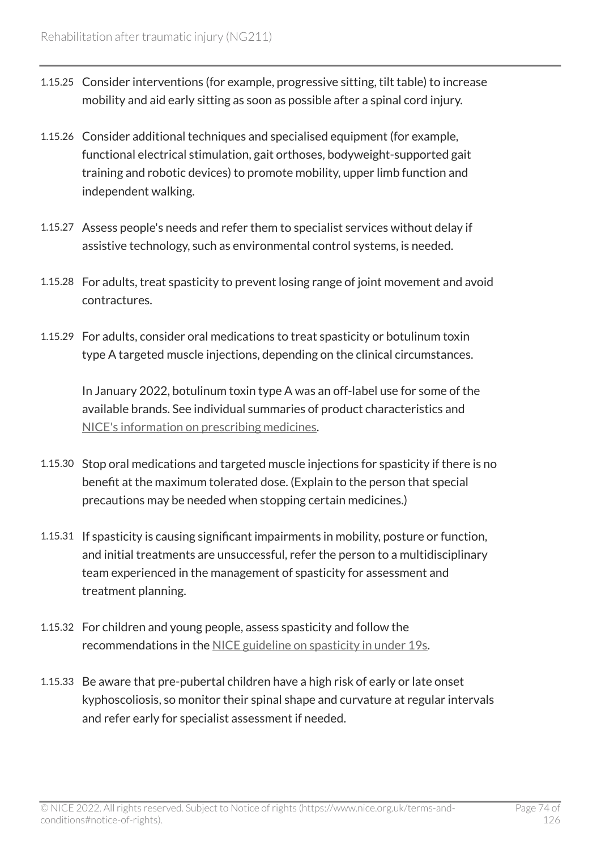- 1.15.25 Consider interventions (for example, progressive sitting, tilt table) to increase mobility and aid early sitting as soon as possible after a spinal cord injury.
- 1.15.26 Consider additional techniques and specialised equipment (for example, functional electrical stimulation, gait orthoses, bodyweight-supported gait training and robotic devices) to promote mobility, upper limb function and independent walking.
- 1.15.27 Assess people's needs and refer them to specialist services without delay if assistive technology, such as environmental control systems, is needed.
- 1.15.28 For adults, treat spasticity to prevent losing range of joint movement and avoid contractures.
- 1.15.29 For adults, consider oral medications to treat spasticity or botulinum toxin type A targeted muscle injections, depending on the clinical circumstances.

In January 2022, botulinum toxin type A was an off-label use for some of the available brands. See individual summaries of product characteristics and [NICE's information on prescribing medicines.](https://www.nice.org.uk/about/what-we-do/our-programmes/nice-guidance/nice-guidelines/making-decisions-using-nice-guidelines#prescribing-medicines)

- 1.15.30 Stop oral medications and targeted muscle injections for spasticity if there is no benefit at the maximum tolerated dose. (Explain to the person that special precautions may be needed when stopping certain medicines.)
- 1.15.31 If spasticity is causing significant impairments in mobility, posture or function, and initial treatments are unsuccessful, refer the person to a multidisciplinary team experienced in the management of spasticity for assessment and treatment planning.
- 1.15.32 For children and young people, assess spasticity and follow the recommendations in the [NICE guideline on spasticity in under](https://www.nice.org.uk/guidance/cg145) 19s.
- 1.15.33 Be aware that pre-pubertal children have a high risk of early or late onset kyphoscoliosis, so monitor their spinal shape and curvature at regular intervals and refer early for specialist assessment if needed.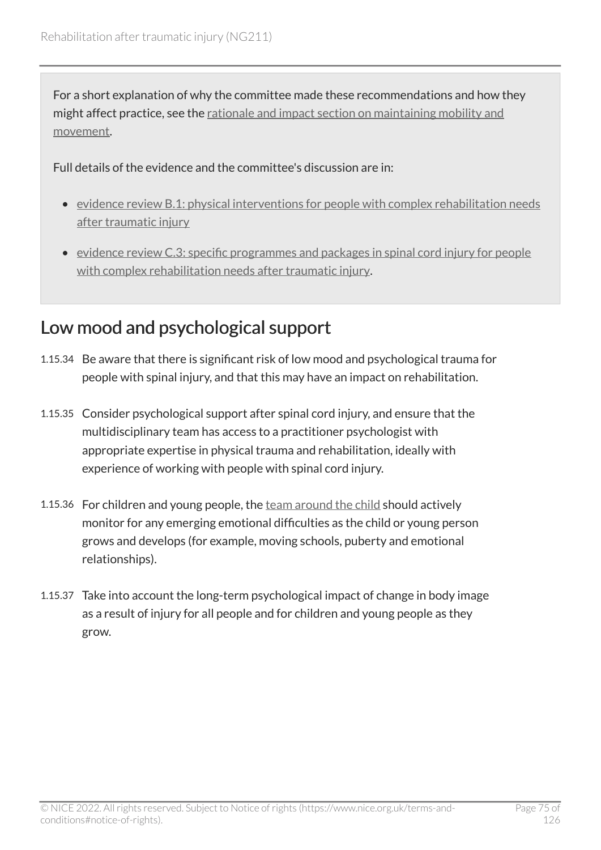For a short explanation of why the committee made these recommendations and how they might affect practice, see the [rationale and impact section on maintaining mobility and](#page-120-0) [movement.](#page-120-0)

Full details of the evidence and the committee's discussion are in:

- [evidence review B.1: physical interventions for people with complex rehabilitation needs](https://www.nice.org.uk/guidance/ng211/evidence/b.1-physical-interventions-for-people-with-complex-rehabilitation-needs-after-traumatic-injury-pdf-10947883503)  [after traumatic injury](https://www.nice.org.uk/guidance/ng211/evidence/b.1-physical-interventions-for-people-with-complex-rehabilitation-needs-after-traumatic-injury-pdf-10947883503)
- [evidence review C.3: specific programmes and packages in spinal cord injury for people](https://www.nice.org.uk/guidance/ng211/evidence/c.3-specific-programmes-and-packages-in-spinal-cord-injury-for-people-with-complex-rehabilitation-needs-after-traumatic-injury-pdf-10947883509) [with complex rehabilitation needs after traumatic injury.](https://www.nice.org.uk/guidance/ng211/evidence/c.3-specific-programmes-and-packages-in-spinal-cord-injury-for-people-with-complex-rehabilitation-needs-after-traumatic-injury-pdf-10947883509)

#### Low mood and psychological support

- 1.15.34 Be aware that there is significant risk of low mood and psychological trauma for people with spinal injury, and that this may have an impact on rehabilitation.
- 1.15.35 Consider psychological support after spinal cord injury, and ensure that the multidisciplinary team has access to a practitioner psychologist with appropriate expertise in physical trauma and rehabilitation, ideally with experience of working with people with spinal cord injury.
- 1.15.36 For children and young people, the [team around the child](#page-81-0) should actively monitor for any emerging emotional difficulties as the child or young person grows and develops (for example, moving schools, puberty and emotional relationships).
- 1.15.37 Take into account the long-term psychological impact of change in body image as a result of injury for all people and for children and young people as they grow.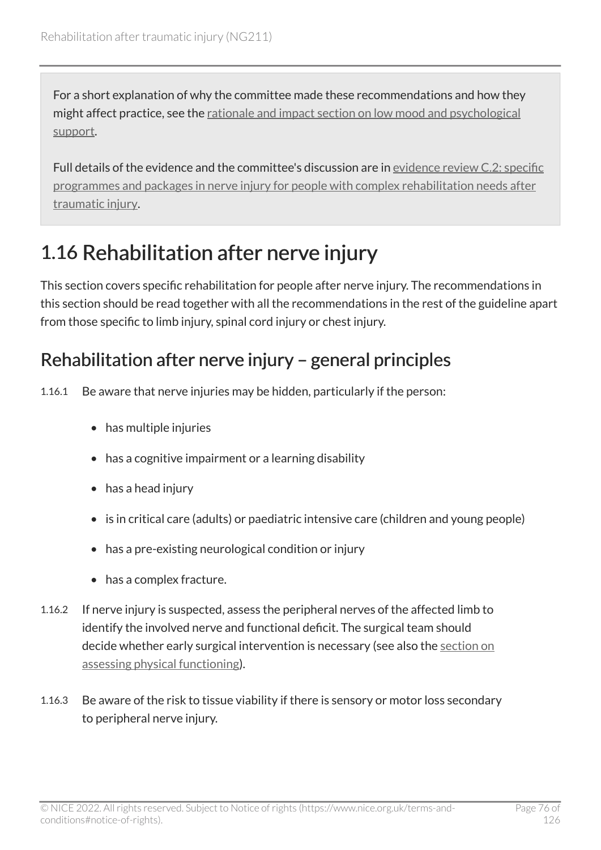For a short explanation of why the committee made these recommendations and how they might affect practice, see the [rationale and impact section on low mood and psychological](#page-121-0) [support.](#page-121-0)

Full details of the evidence and the committee's discussion are in [evidence review](https://www.nice.org.uk/guidance/ng211/evidence/c.2-specific-programmes-and-packages-in-nerve-injury-for-people-with-complex-rehabilitation-needs-after-traumatic-injury-pdf-10947883508) C.2: specific [programmes and packages in nerve injury for people with complex rehabilitation needs after](https://www.nice.org.uk/guidance/ng211/evidence/c.2-specific-programmes-and-packages-in-nerve-injury-for-people-with-complex-rehabilitation-needs-after-traumatic-injury-pdf-10947883508) [traumatic injury](https://www.nice.org.uk/guidance/ng211/evidence/c.2-specific-programmes-and-packages-in-nerve-injury-for-people-with-complex-rehabilitation-needs-after-traumatic-injury-pdf-10947883508).

# 1.16 Rehabilitation after nerve injury

This section covers specific rehabilitation for people after nerve injury. The recommendations in this section should be read together with all the recommendations in the rest of the guideline apart from those specific to limb injury, spinal cord injury or chest injury.

#### Rehabilitation after nerve injury – general principles

1.16.1 Be aware that nerve injuries may be hidden, particularly if the person:

- has multiple injuries
- has a cognitive impairment or a learning disability
- has a head injury
- is in critical care (adults) or paediatric intensive care (children and young people)
- has a pre-existing neurological condition or injury
- has a complex fracture.
- 1.16.2 If nerve injury is suspected, assess the peripheral nerves of the affected limb to identify the involved nerve and functional deficit. The surgical team should decide whether early surgical intervention is necessary (see also the [section on](#page-18-0)  [assessing physical functioning](#page-18-0)).
- 1.16.3 Be aware of the risk to tissue viability if there is sensory or motor loss secondary to peripheral nerve injury.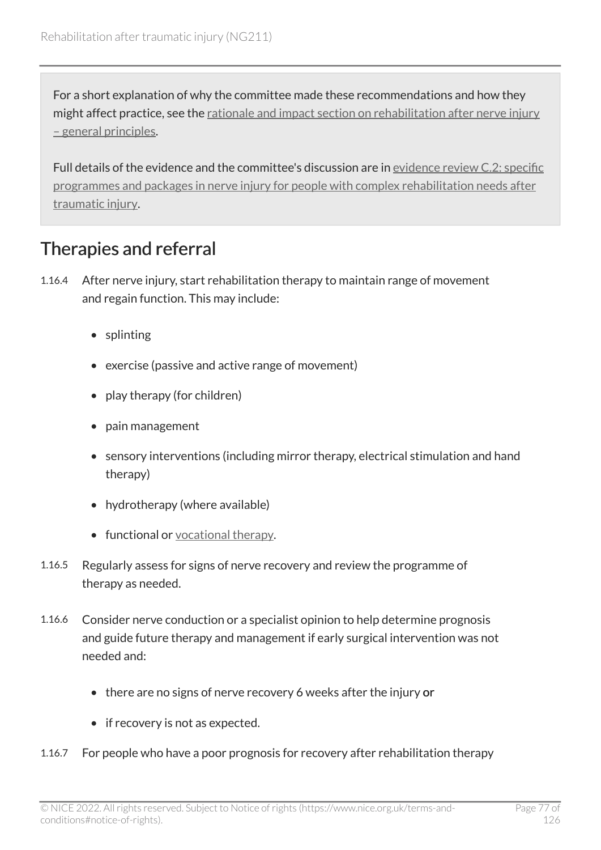For a short explanation of why the committee made these recommendations and how they might affect practice, see the [rationale and impact section on rehabilitation after nerve injury](#page-122-0)  [– general principles](#page-122-0).

Full details of the evidence and the committee's discussion are in [evidence review](https://www.nice.org.uk/guidance/ng211/evidence/c.2-specific-programmes-and-packages-in-nerve-injury-for-people-with-complex-rehabilitation-needs-after-traumatic-injury-pdf-10947883508) C.2: specific [programmes and packages in nerve injury for people with complex rehabilitation needs after](https://www.nice.org.uk/guidance/ng211/evidence/c.2-specific-programmes-and-packages-in-nerve-injury-for-people-with-complex-rehabilitation-needs-after-traumatic-injury-pdf-10947883508) [traumatic injury](https://www.nice.org.uk/guidance/ng211/evidence/c.2-specific-programmes-and-packages-in-nerve-injury-for-people-with-complex-rehabilitation-needs-after-traumatic-injury-pdf-10947883508).

#### Therapies and referral

- 1.16.4 After nerve injury, start rehabilitation therapy to maintain range of movement and regain function. This may include:
	- splinting
	- exercise (passive and active range of movement)
	- play therapy (for children)
	- pain management
	- sensory interventions (including mirror therapy, electrical stimulation and hand therapy)
	- hydrotherapy (where available)
	- functional or [vocational therapy](#page-82-0).
- 1.16.5 Regularly assess for signs of nerve recovery and review the programme of therapy as needed.
- 1.16.6 Consider nerve conduction or a specialist opinion to help determine prognosis and guide future therapy and management if early surgical intervention was not needed and:
	- there are no signs of nerve recovery 6 weeks after the injury or
	- if recovery is not as expected.
- 1.16.7 For people who have a poor prognosis for recovery after rehabilitation therapy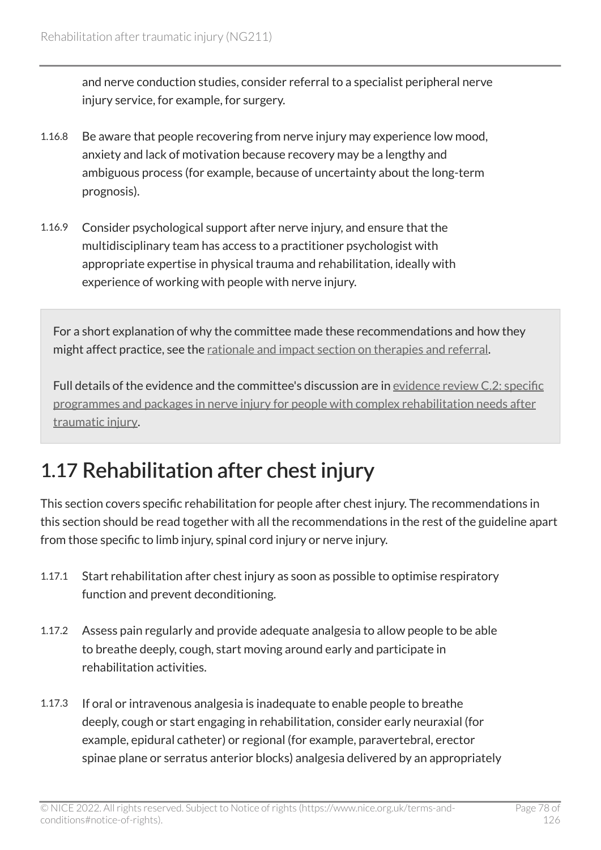and nerve conduction studies, consider referral to a specialist peripheral nerve injury service, for example, for surgery.

- 1.16.8 Be aware that people recovering from nerve injury may experience low mood, anxiety and lack of motivation because recovery may be a lengthy and ambiguous process (for example, because of uncertainty about the long-term prognosis).
- 1.16.9 Consider psychological support after nerve injury, and ensure that the multidisciplinary team has access to a practitioner psychologist with appropriate expertise in physical trauma and rehabilitation, ideally with experience of working with people with nerve injury.

For a short explanation of why the committee made these recommendations and how they might affect practice, see the [rationale and impact section on therapies and referral.](#page-122-1)

Full details of the evidence and the committee's discussion are in [evidence review](https://www.nice.org.uk/guidance/ng211/evidence/c.2-specific-programmes-and-packages-in-nerve-injury-for-people-with-complex-rehabilitation-needs-after-traumatic-injury-pdf-10947883508) C.2: specific [programmes and packages in nerve injury for people with complex rehabilitation needs after](https://www.nice.org.uk/guidance/ng211/evidence/c.2-specific-programmes-and-packages-in-nerve-injury-for-people-with-complex-rehabilitation-needs-after-traumatic-injury-pdf-10947883508) [traumatic injury](https://www.nice.org.uk/guidance/ng211/evidence/c.2-specific-programmes-and-packages-in-nerve-injury-for-people-with-complex-rehabilitation-needs-after-traumatic-injury-pdf-10947883508).

# 1.17 Rehabilitation after chest injury

This section covers specific rehabilitation for people after chest injury. The recommendations in this section should be read together with all the recommendations in the rest of the guideline apart from those specific to limb injury, spinal cord injury or nerve injury.

- 1.17.1 Start rehabilitation after chest injury as soon as possible to optimise respiratory function and prevent deconditioning.
- 1.17.2 Assess pain regularly and provide adequate analgesia to allow people to be able to breathe deeply, cough, start moving around early and participate in rehabilitation activities.
- 1.17.3 If oral or intravenous analgesia is inadequate to enable people to breathe deeply, cough or start engaging in rehabilitation, consider early neuraxial (for example, epidural catheter) or regional (for example, paravertebral, erector spinae plane or serratus anterior blocks) analgesia delivered by an appropriately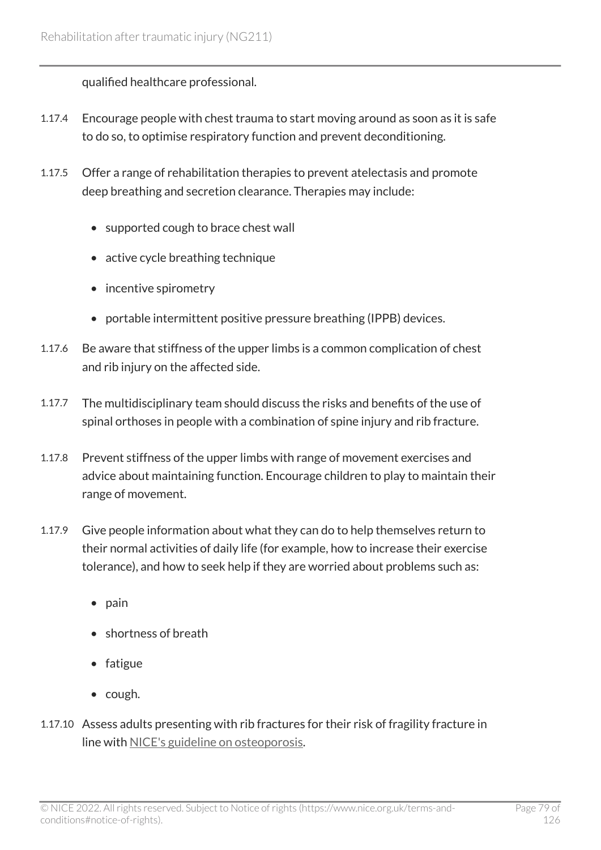qualified healthcare professional.

- 1.17.4 Encourage people with chest trauma to start moving around as soon as it is safe to do so, to optimise respiratory function and prevent deconditioning.
- 1.17.5 Offer a range of rehabilitation therapies to prevent atelectasis and promote deep breathing and secretion clearance. Therapies may include:
	- supported cough to brace chest wall
	- active cycle breathing technique
	- incentive spirometry
	- portable intermittent positive pressure breathing (IPPB) devices.
- 1.17.6 Be aware that stiffness of the upper limbs is a common complication of chest and rib injury on the affected side.
- 1.17.7 The multidisciplinary team should discuss the risks and benefits of the use of spinal orthoses in people with a combination of spine injury and rib fracture.
- 1.17.8 Prevent stiffness of the upper limbs with range of movement exercises and advice about maintaining function. Encourage children to play to maintain their range of movement.
- 1.17.9 Give people information about what they can do to help themselves return to their normal activities of daily life (for example, how to increase their exercise tolerance), and how to seek help if they are worried about problems such as:
	- pain
	- shortness of breath
	- fatigue
	- cough.
- 1.17.10 Assess adults presenting with rib fractures for their risk of fragility fracture in line with [NICE's guideline on osteoporosis](https://www.nice.org.uk/guidance/cg146).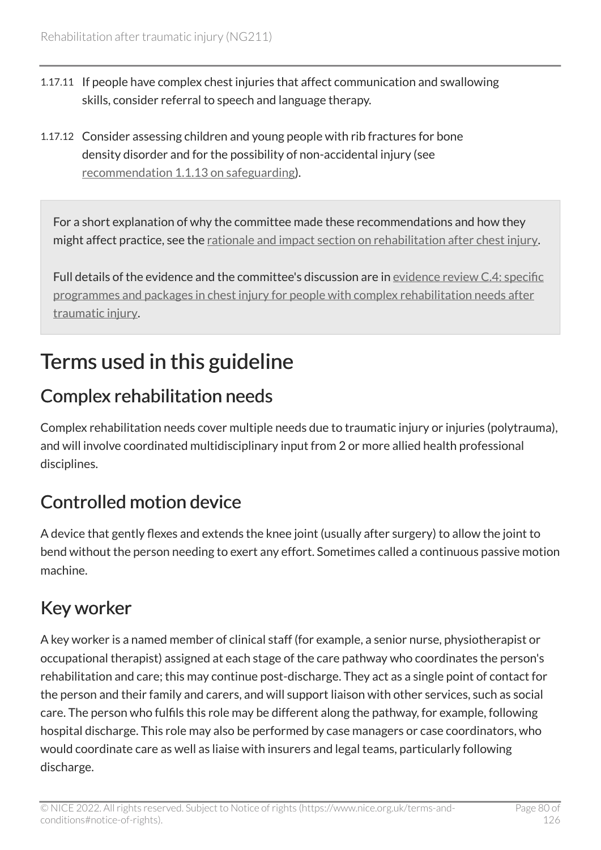- 1.17.11 If people have complex chest injuries that affect communication and swallowing skills, consider referral to speech and language therapy.
- 1.17.12 Consider assessing children and young people with rib fractures for bone density disorder and for the possibility of non-accidental injury (see [recommendation 1.1.13 on safeguarding](#page-11-0)).

For a short explanation of why the committee made these recommendations and how they might affect practice, see the [rationale and impact section on rehabilitation after chest injury.](#page-123-0)

Full details of the evidence and the committee's discussion are in [evidence review](https://www.nice.org.uk/guidance/ng211/evidence/c.4-specific-programmes-and-packages-in-chest-injury-for-people-with-complex-rehabilitation-needs-after-traumatic-injury-pdf-394123806036) C.4: specific [programmes and packages in chest injury for people with complex rehabilitation needs after](https://www.nice.org.uk/guidance/ng211/evidence/c.4-specific-programmes-and-packages-in-chest-injury-for-people-with-complex-rehabilitation-needs-after-traumatic-injury-pdf-394123806036) [traumatic injury](https://www.nice.org.uk/guidance/ng211/evidence/c.4-specific-programmes-and-packages-in-chest-injury-for-people-with-complex-rehabilitation-needs-after-traumatic-injury-pdf-394123806036).

# Terms used in this guideline

#### Complex rehabilitation needs

Complex rehabilitation needs cover multiple needs due to traumatic injury or injuries (polytrauma), and will involve coordinated multidisciplinary input from 2 or more allied health professional disciplines.

### Controlled motion device

A device that gently flexes and extends the knee joint (usually after surgery) to allow the joint to bend without the person needing to exert any effort. Sometimes called a continuous passive motion machine.

#### Key worker

A key worker is a named member of clinical staff (for example, a senior nurse, physiotherapist or occupational therapist) assigned at each stage of the care pathway who coordinates the person's rehabilitation and care; this may continue post-discharge. They act as a single point of contact for the person and their family and carers, and will support liaison with other services, such as social care. The person who fulfils this role may be different along the pathway, for example, following hospital discharge. This role may also be performed by case managers or case coordinators, who would coordinate care as well as liaise with insurers and legal teams, particularly following discharge.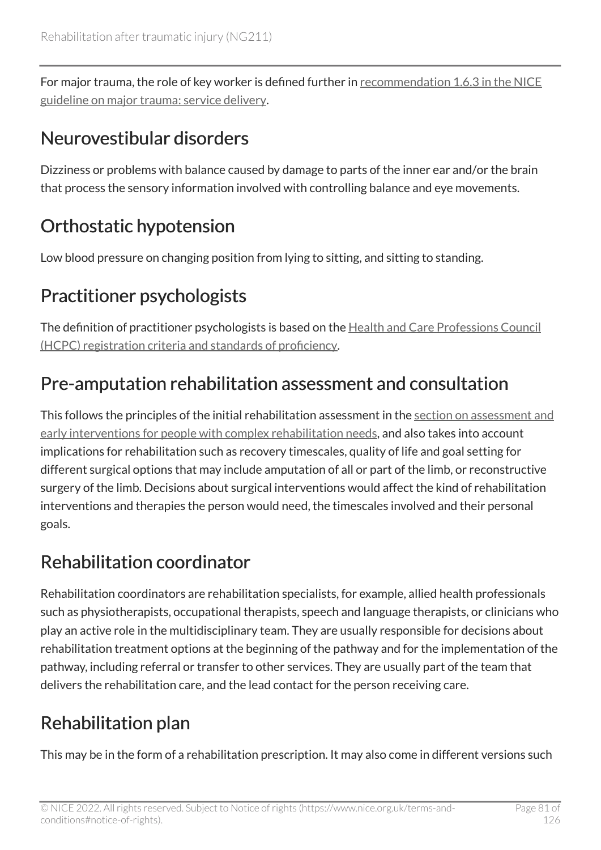For major trauma, the role of key worker is defined further in [recommendation 1.6.3 in the NICE](https://www.nice.org.uk/guidance/NG40/chapter/Recommendations#organisation-of-hospital-major-trauma-services)  [guideline on major trauma: service delivery](https://www.nice.org.uk/guidance/NG40/chapter/Recommendations#organisation-of-hospital-major-trauma-services).

### Neurovestibular disorders

Dizziness or problems with balance caused by damage to parts of the inner ear and/or the brain that process the sensory information involved with controlling balance and eye movements.

## <span id="page-80-0"></span>Orthostatic hypotension

Low blood pressure on changing position from lying to sitting, and sitting to standing.

## Practitioner psychologists

The definition of practitioner psychologists is based on the [Health and Care Professions Council](https://www.hcpc-uk.org/resources/standards/standards-of-proficiency-practitioner-psychologists/) [\(HCPC\) registration criteria and standards of proficiency](https://www.hcpc-uk.org/resources/standards/standards-of-proficiency-practitioner-psychologists/).

# Pre-amputation rehabilitation assessment and consultation

This follows the principles of the initial rehabilitation assessment in the [section on assessment and](#page-11-0)  [early interventions for people with complex rehabilitation needs,](#page-11-0) and also takes into account implications for rehabilitation such as recovery timescales, quality of life and goal setting for different surgical options that may include amputation of all or part of the limb, or reconstructive surgery of the limb. Decisions about surgical interventions would affect the kind of rehabilitation interventions and therapies the person would need, the timescales involved and their personal goals.

### Rehabilitation coordinator

Rehabilitation coordinators are rehabilitation specialists, for example, allied health professionals such as physiotherapists, occupational therapists, speech and language therapists, or clinicians who play an active role in the multidisciplinary team. They are usually responsible for decisions about rehabilitation treatment options at the beginning of the pathway and for the implementation of the pathway, including referral or transfer to other services. They are usually part of the team that delivers the rehabilitation care, and the lead contact for the person receiving care.

# Rehabilitation plan

This may be in the form of a rehabilitation prescription. It may also come in different versions such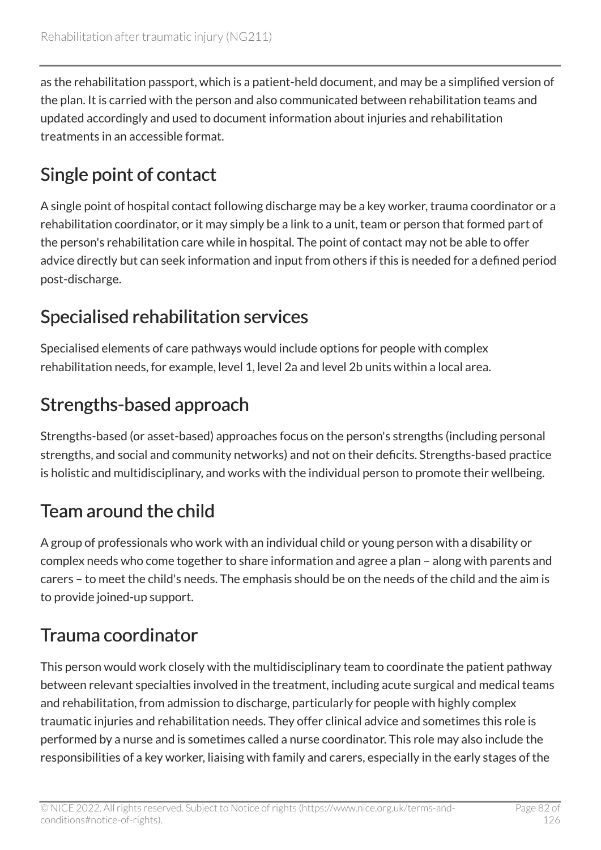as the rehabilitation passport, which is a patient-held document, and may be a simplified version of the plan. It is carried with the person and also communicated between rehabilitation teams and updated accordingly and used to document information about injuries and rehabilitation treatments in an accessible format.

## Single point of contact

A single point of hospital contact following discharge may be a key worker, trauma coordinator or a rehabilitation coordinator, or it may simply be a link to a unit, team or person that formed part of the person's rehabilitation care while in hospital. The point of contact may not be able to offer advice directly but can seek information and input from others if this is needed for a defined period post-discharge.

### Specialised rehabilitation services

Specialised elements of care pathways would include options for people with complex rehabilitation needs, for example, level 1, level 2a and level 2b units within a local area.

### Strengths-based approach

Strengths-based (or asset-based) approaches focus on the person's strengths (including personal strengths, and social and community networks) and not on their deficits. Strengths-based practice is holistic and multidisciplinary, and works with the individual person to promote their wellbeing.

# <span id="page-81-0"></span>Team around the child

A group of professionals who work with an individual child or young person with a disability or complex needs who come together to share information and agree a plan – along with parents and carers – to meet the child's needs. The emphasis should be on the needs of the child and the aim is to provide joined-up support.

### Trauma coordinator

This person would work closely with the multidisciplinary team to coordinate the patient pathway between relevant specialties involved in the treatment, including acute surgical and medical teams and rehabilitation, from admission to discharge, particularly for people with highly complex traumatic injuries and rehabilitation needs. They offer clinical advice and sometimes this role is performed by a nurse and is sometimes called a nurse coordinator. This role may also include the responsibilities of a key worker, liaising with family and carers, especially in the early stages of the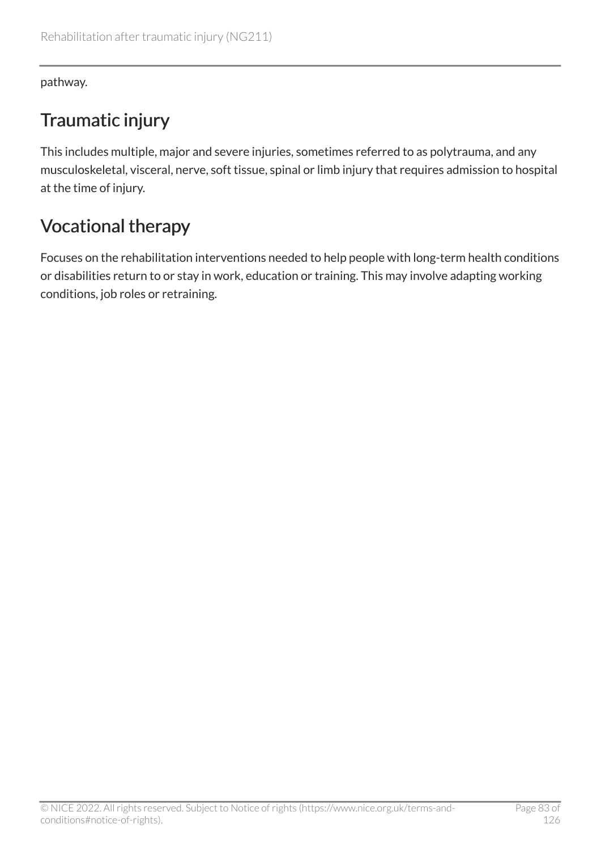pathway.

### Traumatic injury

This includes multiple, major and severe injuries, sometimes referred to as polytrauma, and any musculoskeletal, visceral, nerve, soft tissue, spinal or limb injury that requires admission to hospital at the time of injury.

### <span id="page-82-0"></span>Vocational therapy

Focuses on the rehabilitation interventions needed to help people with long-term health conditions or disabilities return to or stay in work, education or training. This may involve adapting working conditions, job roles or retraining.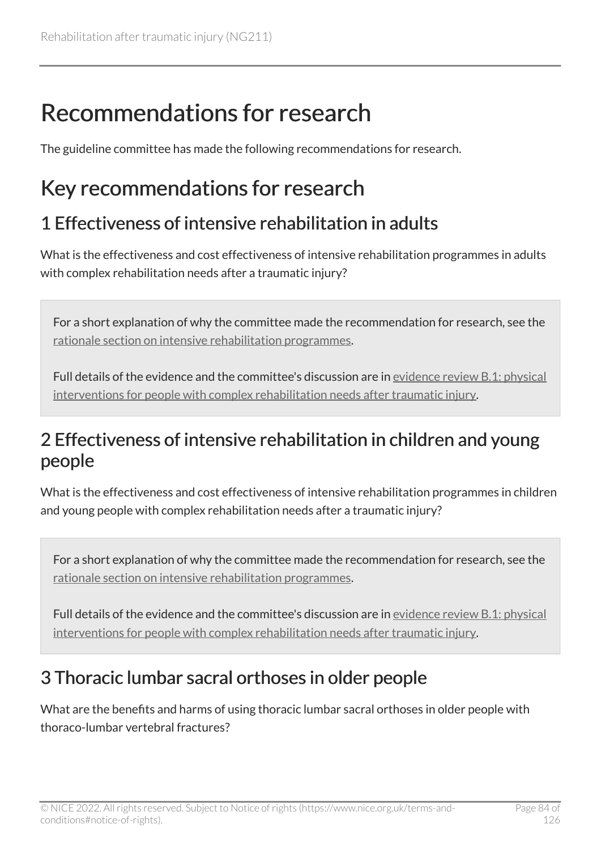# Recommendations for research

The guideline committee has made the following recommendations for research.

# Key recommendations for research

### <span id="page-83-0"></span>1 Effectiveness of intensive rehabilitation in adults

What is the effectiveness and cost effectiveness of intensive rehabilitation programmes in adults with complex rehabilitation needs after a traumatic injury?

For a short explanation of why the committee made the recommendation for research, see the [rationale section on intensive rehabilitation programmes.](#page-91-0)

Full details of the evidence and the committee's discussion are in [evidence review](https://www.nice.org.uk/guidance/ng211/evidence/b.1-physical-interventions-for-people-with-complex-rehabilitation-needs-after-traumatic-injury-pdf-10947883503) B.1: physical [interventions for people with complex rehabilitation needs after traumatic injury.](https://www.nice.org.uk/guidance/ng211/evidence/b.1-physical-interventions-for-people-with-complex-rehabilitation-needs-after-traumatic-injury-pdf-10947883503)

#### <span id="page-83-1"></span>2 Effectiveness of intensive rehabilitation in children and young people

What is the effectiveness and cost effectiveness of intensive rehabilitation programmes in children and young people with complex rehabilitation needs after a traumatic injury?

For a short explanation of why the committee made the recommendation for research, see the [rationale section on intensive rehabilitation programmes.](#page-91-0)

Full details of the evidence and the committee's discussion are in [evidence review](https://www.nice.org.uk/guidance/ng211/evidence/b.1-physical-interventions-for-people-with-complex-rehabilitation-needs-after-traumatic-injury-pdf-10947883503) B.1: physical [interventions for people with complex rehabilitation needs after traumatic injury.](https://www.nice.org.uk/guidance/ng211/evidence/b.1-physical-interventions-for-people-with-complex-rehabilitation-needs-after-traumatic-injury-pdf-10947883503)

#### <span id="page-83-2"></span>3 Thoracic lumbar sacral orthoses in older people

What are the benefits and harms of using thoracic lumbar sacral orthoses in older people with thoraco-lumbar vertebral fractures?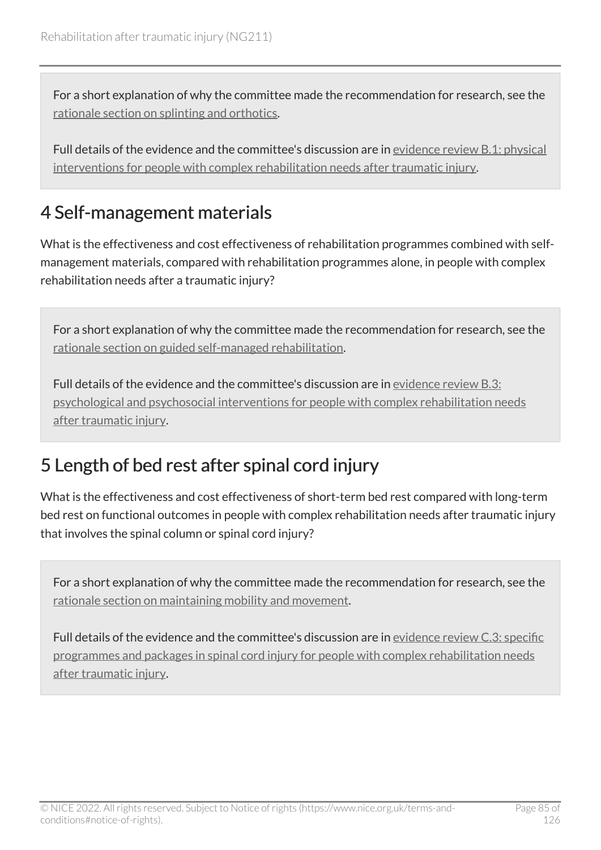For a short explanation of why the committee made the recommendation for research, see the [rationale section on splinting and orthotics.](#page-107-0)

Full details of the evidence and the committee's discussion are in [evidence review](https://www.nice.org.uk/guidance/ng211/evidence/b.1-physical-interventions-for-people-with-complex-rehabilitation-needs-after-traumatic-injury-pdf-10947883503) B.1: physical [interventions for people with complex rehabilitation needs after traumatic injury.](https://www.nice.org.uk/guidance/ng211/evidence/b.1-physical-interventions-for-people-with-complex-rehabilitation-needs-after-traumatic-injury-pdf-10947883503)

### <span id="page-84-0"></span>4 Self-management materials

What is the effectiveness and cost effectiveness of rehabilitation programmes combined with selfmanagement materials, compared with rehabilitation programmes alone, in people with complex rehabilitation needs after a traumatic injury?

For a short explanation of why the committee made the recommendation for research, see the [rationale section on guided self-managed rehabilitation](#page-92-0).

Full details of the evidence and the committee's discussion are in [evidence review](https://www.nice.org.uk/guidance/ng211/evidence/b.3-psychological-and-psychosocial-interventions-for-people-with-complex-rehabilitation-needs-after-traumatic-injury-pdf-10947883505) B.3: [psychological and psychosocial interventions for people with complex rehabilitation needs](https://www.nice.org.uk/guidance/ng211/evidence/b.3-psychological-and-psychosocial-interventions-for-people-with-complex-rehabilitation-needs-after-traumatic-injury-pdf-10947883505) [after traumatic injury](https://www.nice.org.uk/guidance/ng211/evidence/b.3-psychological-and-psychosocial-interventions-for-people-with-complex-rehabilitation-needs-after-traumatic-injury-pdf-10947883505).

#### 5 Length of bed rest after spinal cord injury

What is the effectiveness and cost effectiveness of short-term bed rest compared with long-term bed rest on functional outcomes in people with complex rehabilitation needs after traumatic injury that involves the spinal column or spinal cord injury?

For a short explanation of why the committee made the recommendation for research, see the [rationale section on maintaining mobility and movement](#page-120-0).

Full details of the evidence and the committee's discussion are in [evidence review C.3: specific](https://www.nice.org.uk/guidance/ng211/evidence/c.3-specific-programmes-and-packages-in-spinal-cord-injury-for-people-with-complex-rehabilitation-needs-after-traumatic-injury-pdf-10947883509)  [programmes and packages in spinal cord injury for people with complex rehabilitation needs](https://www.nice.org.uk/guidance/ng211/evidence/c.3-specific-programmes-and-packages-in-spinal-cord-injury-for-people-with-complex-rehabilitation-needs-after-traumatic-injury-pdf-10947883509)  [after traumatic injury](https://www.nice.org.uk/guidance/ng211/evidence/c.3-specific-programmes-and-packages-in-spinal-cord-injury-for-people-with-complex-rehabilitation-needs-after-traumatic-injury-pdf-10947883509).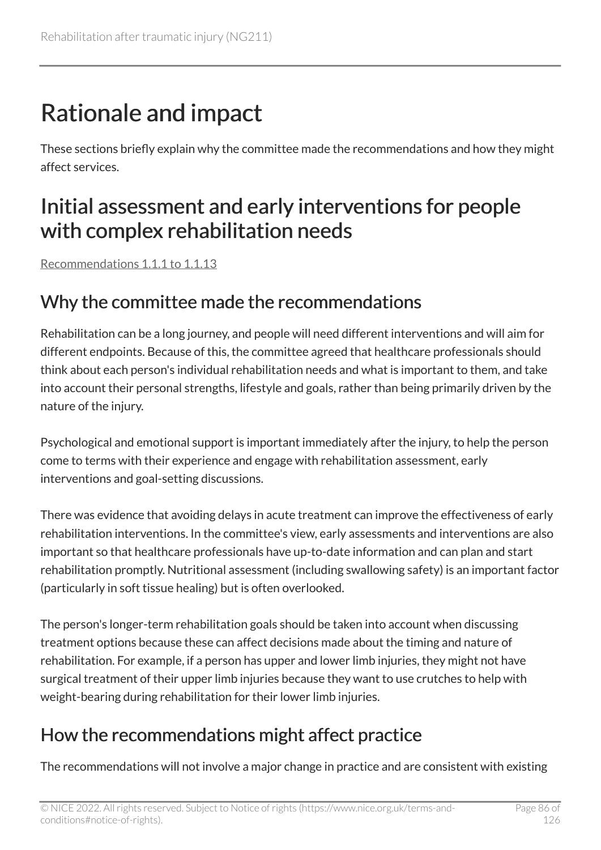# Rationale and impact

These sections briefly explain why the committee made the recommendations and how they might affect services.

# Initial assessment and early interventions for people with complex rehabilitation needs

[Recommendations 1.1.1 to 1.1.13](#page-11-0) 

#### Why the committee made the recommendations

Rehabilitation can be a long journey, and people will need different interventions and will aim for different endpoints. Because of this, the committee agreed that healthcare professionals should think about each person's individual rehabilitation needs and what is important to them, and take into account their personal strengths, lifestyle and goals, rather than being primarily driven by the nature of the injury.

Psychological and emotional support is important immediately after the injury, to help the person come to terms with their experience and engage with rehabilitation assessment, early interventions and goal-setting discussions.

There was evidence that avoiding delays in acute treatment can improve the effectiveness of early rehabilitation interventions. In the committee's view, early assessments and interventions are also important so that healthcare professionals have up-to-date information and can plan and start rehabilitation promptly. Nutritional assessment (including swallowing safety) is an important factor (particularly in soft tissue healing) but is often overlooked.

The person's longer-term rehabilitation goals should be taken into account when discussing treatment options because these can affect decisions made about the timing and nature of rehabilitation. For example, if a person has upper and lower limb injuries, they might not have surgical treatment of their upper limb injuries because they want to use crutches to help with weight-bearing during rehabilitation for their lower limb injuries.

#### How the recommendations might affect practice

The recommendations will not involve a major change in practice and are consistent with existing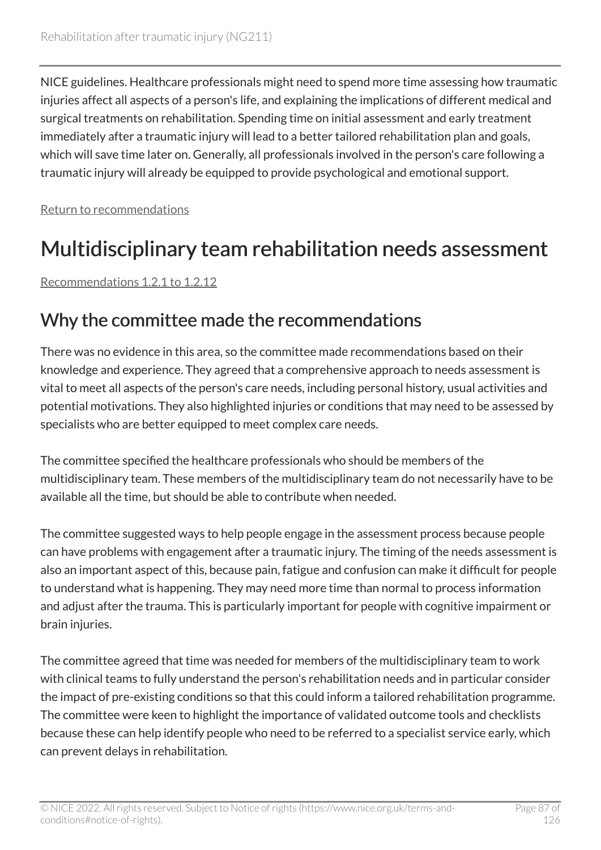NICE guidelines. Healthcare professionals might need to spend more time assessing how traumatic injuries affect all aspects of a person's life, and explaining the implications of different medical and surgical treatments on rehabilitation. Spending time on initial assessment and early treatment immediately after a traumatic injury will lead to a better tailored rehabilitation plan and goals, which will save time later on. Generally, all professionals involved in the person's care following a traumatic injury will already be equipped to provide psychological and emotional support.

[Return to recommendations](#page-11-0)

# Multidisciplinary team rehabilitation needs assessment

[Recommendations 1.2.1 to 1.2.12](#page-14-0) 

#### Why the committee made the recommendations

There was no evidence in this area, so the committee made recommendations based on their knowledge and experience. They agreed that a comprehensive approach to needs assessment is vital to meet all aspects of the person's care needs, including personal history, usual activities and potential motivations. They also highlighted injuries or conditions that may need to be assessed by specialists who are better equipped to meet complex care needs.

The committee specified the healthcare professionals who should be members of the multidisciplinary team. These members of the multidisciplinary team do not necessarily have to be available all the time, but should be able to contribute when needed.

The committee suggested ways to help people engage in the assessment process because people can have problems with engagement after a traumatic injury. The timing of the needs assessment is also an important aspect of this, because pain, fatigue and confusion can make it difficult for people to understand what is happening. They may need more time than normal to process information and adjust after the trauma. This is particularly important for people with cognitive impairment or brain injuries.

The committee agreed that time was needed for members of the multidisciplinary team to work with clinical teams to fully understand the person's rehabilitation needs and in particular consider the impact of pre-existing conditions so that this could inform a tailored rehabilitation programme. The committee were keen to highlight the importance of validated outcome tools and checklists because these can help identify people who need to be referred to a specialist service early, which can prevent delays in rehabilitation.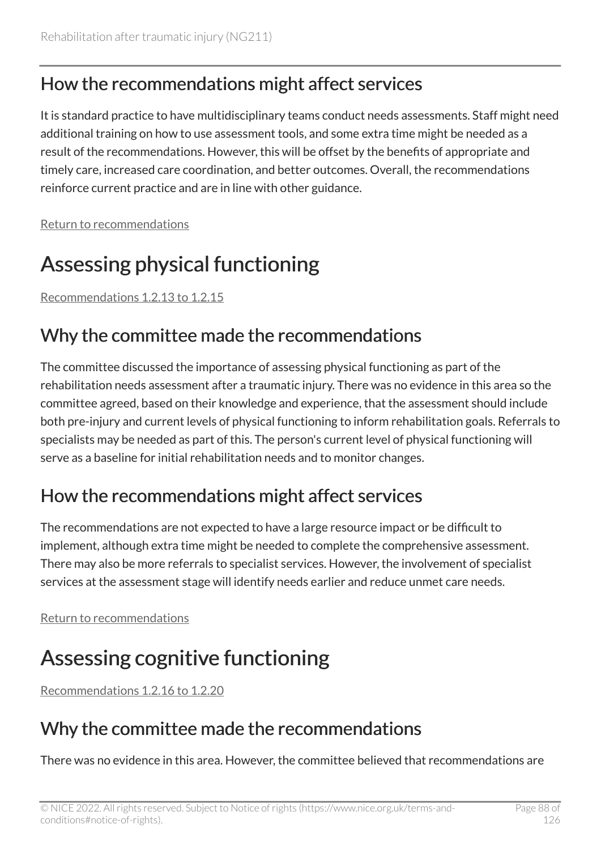#### How the recommendations might affect services

It is standard practice to have multidisciplinary teams conduct needs assessments. Staff might need additional training on how to use assessment tools, and some extra time might be needed as a result of the recommendations. However, this will be offset by the benefits of appropriate and timely care, increased care coordination, and better outcomes. Overall, the recommendations reinforce current practice and are in line with other guidance.

[Return to recommendations](#page-14-0)

# Assessing physical functioning

[Recommendations 1.2.13 to 1.2.15](#page-18-0) 

#### Why the committee made the recommendations

The committee discussed the importance of assessing physical functioning as part of the rehabilitation needs assessment after a traumatic injury. There was no evidence in this area so the committee agreed, based on their knowledge and experience, that the assessment should include both pre-injury and current levels of physical functioning to inform rehabilitation goals. Referrals to specialists may be needed as part of this. The person's current level of physical functioning will serve as a baseline for initial rehabilitation needs and to monitor changes.

#### How the recommendations might affect services

The recommendations are not expected to have a large resource impact or be difficult to implement, although extra time might be needed to complete the comprehensive assessment. There may also be more referrals to specialist services. However, the involvement of specialist services at the assessment stage will identify needs earlier and reduce unmet care needs.

[Return to recommendations](#page-18-0)

# Assessing cognitive functioning

[Recommendations 1.2.16 to 1.2.20](#page-20-0) 

### Why the committee made the recommendations

There was no evidence in this area. However, the committee believed that recommendations are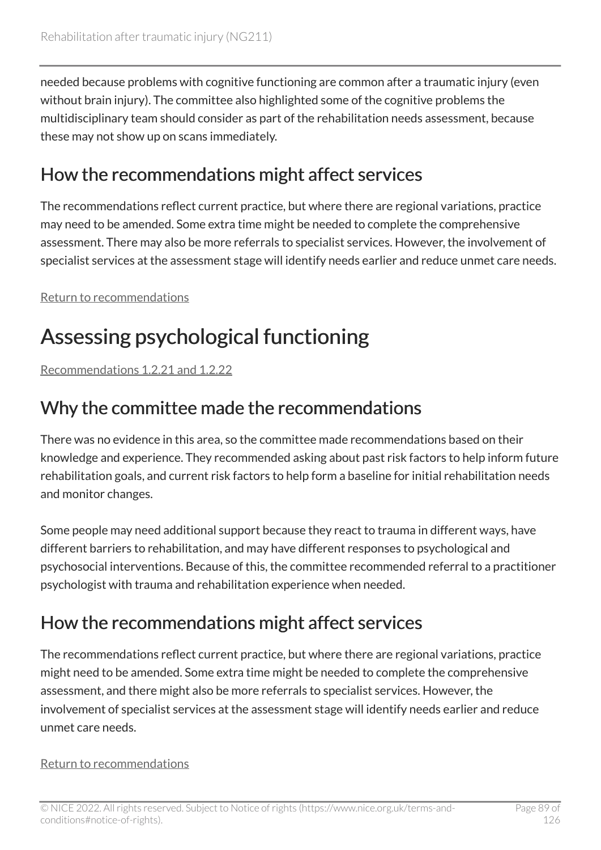needed because problems with cognitive functioning are common after a traumatic injury (even without brain injury). The committee also highlighted some of the cognitive problems the multidisciplinary team should consider as part of the rehabilitation needs assessment, because these may not show up on scans immediately.

#### How the recommendations might affect services

The recommendations reflect current practice, but where there are regional variations, practice may need to be amended. Some extra time might be needed to complete the comprehensive assessment. There may also be more referrals to specialist services. However, the involvement of specialist services at the assessment stage will identify needs earlier and reduce unmet care needs.

[Return to recommendations](#page-20-0)

# Assessing psychological functioning

[Recommendations 1.2.21 and 1.2.22](#page-21-0)

#### Why the committee made the recommendations

There was no evidence in this area, so the committee made recommendations based on their knowledge and experience. They recommended asking about past risk factors to help inform future rehabilitation goals, and current risk factors to help form a baseline for initial rehabilitation needs and monitor changes.

Some people may need additional support because they react to trauma in different ways, have different barriers to rehabilitation, and may have different responses to psychological and psychosocial interventions. Because of this, the committee recommended referral to a practitioner psychologist with trauma and rehabilitation experience when needed.

### How the recommendations might affect services

The recommendations reflect current practice, but where there are regional variations, practice might need to be amended. Some extra time might be needed to complete the comprehensive assessment, and there might also be more referrals to specialist services. However, the involvement of specialist services at the assessment stage will identify needs earlier and reduce unmet care needs.

#### [Return to recommendations](#page-21-0)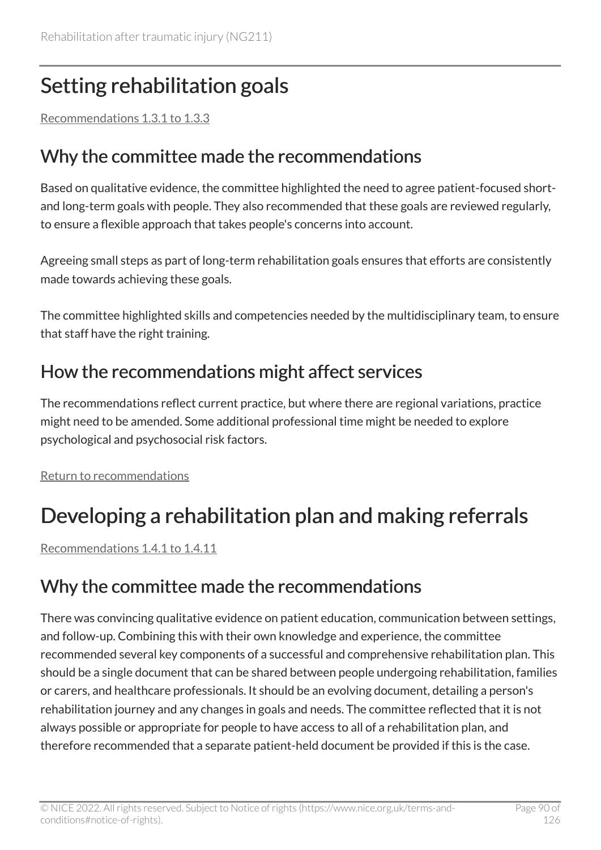# Setting rehabilitation goals

[Recommendations 1.3.1 to 1.3.3](#page-22-0) 

#### Why the committee made the recommendations

Based on qualitative evidence, the committee highlighted the need to agree patient-focused shortand long-term goals with people. They also recommended that these goals are reviewed regularly, to ensure a flexible approach that takes people's concerns into account.

Agreeing small steps as part of long-term rehabilitation goals ensures that efforts are consistently made towards achieving these goals.

The committee highlighted skills and competencies needed by the multidisciplinary team, to ensure that staff have the right training.

#### How the recommendations might affect services

The recommendations reflect current practice, but where there are regional variations, practice might need to be amended. Some additional professional time might be needed to explore psychological and psychosocial risk factors.

[Return to recommendations](#page-22-0)

# Developing a rehabilitation plan and making referrals

[Recommendations 1.4.1 to 1.4.11](#page-24-0) 

#### Why the committee made the recommendations

There was convincing qualitative evidence on patient education, communication between settings, and follow-up. Combining this with their own knowledge and experience, the committee recommended several key components of a successful and comprehensive rehabilitation plan. This should be a single document that can be shared between people undergoing rehabilitation, families or carers, and healthcare professionals. It should be an evolving document, detailing a person's rehabilitation journey and any changes in goals and needs. The committee reflected that it is not always possible or appropriate for people to have access to all of a rehabilitation plan, and therefore recommended that a separate patient-held document be provided if this is the case.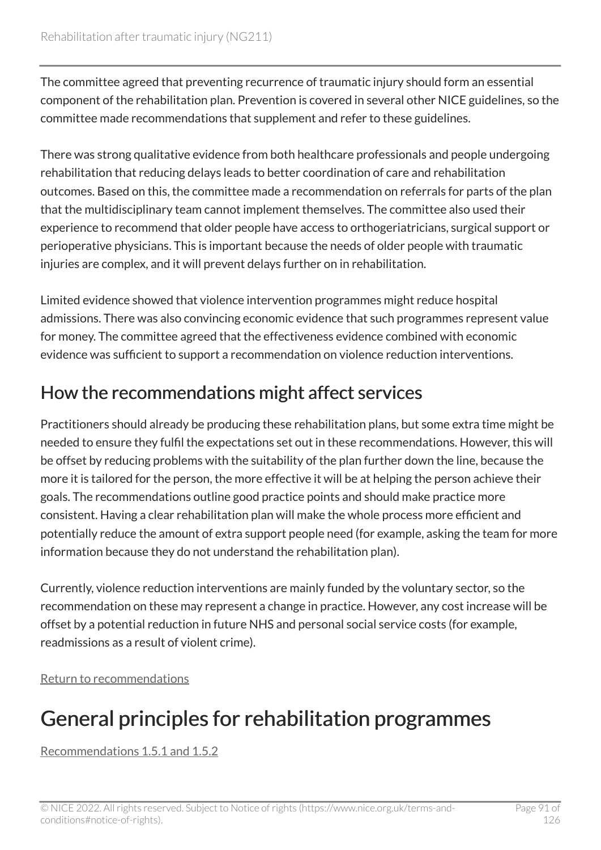The committee agreed that preventing recurrence of traumatic injury should form an essential component of the rehabilitation plan. Prevention is covered in several other NICE guidelines, so the committee made recommendations that supplement and refer to these guidelines.

There was strong qualitative evidence from both healthcare professionals and people undergoing rehabilitation that reducing delays leads to better coordination of care and rehabilitation outcomes. Based on this, the committee made a recommendation on referrals for parts of the plan that the multidisciplinary team cannot implement themselves. The committee also used their experience to recommend that older people have access to orthogeriatricians, surgical support or perioperative physicians. This is important because the needs of older people with traumatic injuries are complex, and it will prevent delays further on in rehabilitation.

Limited evidence showed that violence intervention programmes might reduce hospital admissions. There was also convincing economic evidence that such programmes represent value for money. The committee agreed that the effectiveness evidence combined with economic evidence was sufficient to support a recommendation on violence reduction interventions.

#### How the recommendations might affect services

Practitioners should already be producing these rehabilitation plans, but some extra time might be needed to ensure they fulfil the expectations set out in these recommendations. However, this will be offset by reducing problems with the suitability of the plan further down the line, because the more it is tailored for the person, the more effective it will be at helping the person achieve their goals. The recommendations outline good practice points and should make practice more consistent. Having a clear rehabilitation plan will make the whole process more efficient and potentially reduce the amount of extra support people need (for example, asking the team for more information because they do not understand the rehabilitation plan).

Currently, violence reduction interventions are mainly funded by the voluntary sector, so the recommendation on these may represent a change in practice. However, any cost increase will be offset by a potential reduction in future NHS and personal social service costs (for example, readmissions as a result of violent crime).

[Return to recommendations](#page-24-0)

# General principles for rehabilitation programmes

[Recommendations 1.5.1 and 1.5.2](#page-27-0)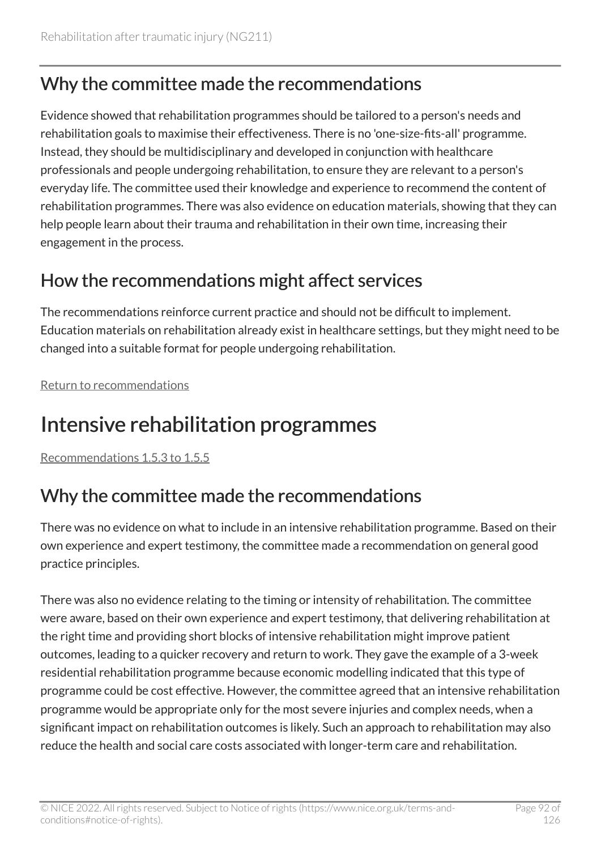#### Why the committee made the recommendations

Evidence showed that rehabilitation programmes should be tailored to a person's needs and rehabilitation goals to maximise their effectiveness. There is no 'one-size-fits-all' programme. Instead, they should be multidisciplinary and developed in conjunction with healthcare professionals and people undergoing rehabilitation, to ensure they are relevant to a person's everyday life. The committee used their knowledge and experience to recommend the content of rehabilitation programmes. There was also evidence on education materials, showing that they can help people learn about their trauma and rehabilitation in their own time, increasing their engagement in the process.

#### How the recommendations might affect services

The recommendations reinforce current practice and should not be difficult to implement. Education materials on rehabilitation already exist in healthcare settings, but they might need to be changed into a suitable format for people undergoing rehabilitation.

[Return to recommendations](#page-27-0)

# <span id="page-91-0"></span>Intensive rehabilitation programmes

[Recommendations 1.5.3 to 1.5.5](#page-29-0) 

#### Why the committee made the recommendations

There was no evidence on what to include in an intensive rehabilitation programme. Based on their own experience and expert testimony, the committee made a recommendation on general good practice principles.

There was also no evidence relating to the timing or intensity of rehabilitation. The committee were aware, based on their own experience and expert testimony, that delivering rehabilitation at the right time and providing short blocks of intensive rehabilitation might improve patient outcomes, leading to a quicker recovery and return to work. They gave the example of a 3-week residential rehabilitation programme because economic modelling indicated that this type of programme could be cost effective. However, the committee agreed that an intensive rehabilitation programme would be appropriate only for the most severe injuries and complex needs, when a significant impact on rehabilitation outcomes is likely. Such an approach to rehabilitation may also reduce the health and social care costs associated with longer-term care and rehabilitation.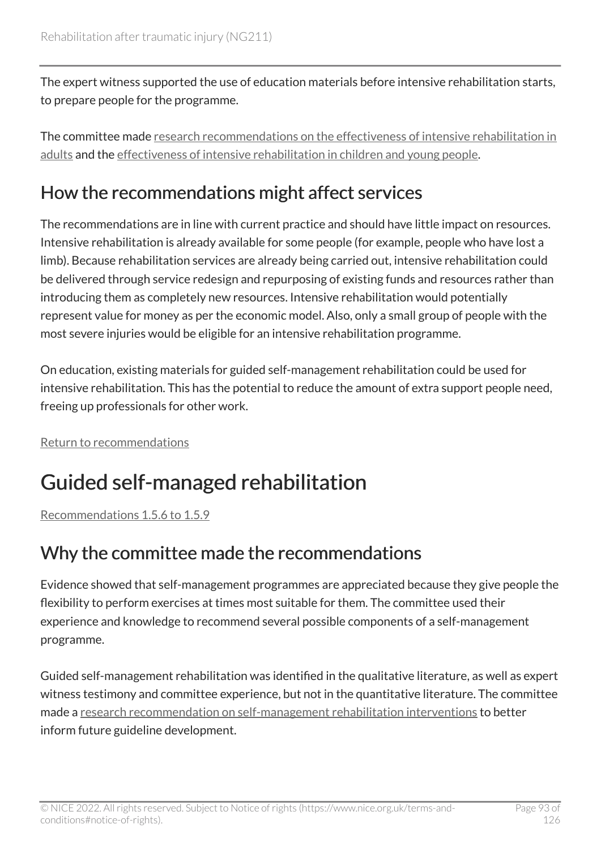The expert witness supported the use of education materials before intensive rehabilitation starts, to prepare people for the programme.

The committee made [research recommendations on the effectiveness of intensive rehabilitation in](#page-83-0)  [adults](#page-83-0) and the [effectiveness of intensive rehabilitation in children and young people.](#page-83-1)

#### How the recommendations might affect services

The recommendations are in line with current practice and should have little impact on resources. Intensive rehabilitation is already available for some people (for example, people who have lost a limb). Because rehabilitation services are already being carried out, intensive rehabilitation could be delivered through service redesign and repurposing of existing funds and resources rather than introducing them as completely new resources. Intensive rehabilitation would potentially represent value for money as per the economic model. Also, only a small group of people with the most severe injuries would be eligible for an intensive rehabilitation programme.

On education, existing materials for guided self-management rehabilitation could be used for intensive rehabilitation. This has the potential to reduce the amount of extra support people need, freeing up professionals for other work.

[Return to recommendations](#page-29-0)

# <span id="page-92-0"></span>Guided self-managed rehabilitation

[Recommendations 1.5.6 to 1.5.9](#page-30-0) 

#### Why the committee made the recommendations

Evidence showed that self-management programmes are appreciated because they give people the flexibility to perform exercises at times most suitable for them. The committee used their experience and knowledge to recommend several possible components of a self-management programme.

Guided self-management rehabilitation was identified in the qualitative literature, as well as expert witness testimony and committee experience, but not in the quantitative literature. The committee made a [research recommendation on self-management rehabilitation interventions](#page-84-0) to better inform future guideline development.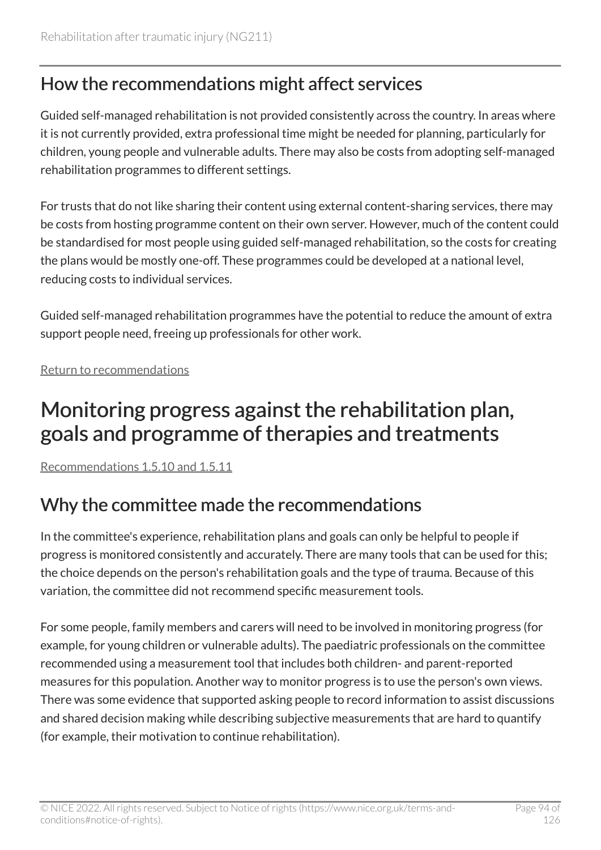#### How the recommendations might affect services

Guided self-managed rehabilitation is not provided consistently across the country. In areas where it is not currently provided, extra professional time might be needed for planning, particularly for children, young people and vulnerable adults. There may also be costs from adopting self-managed rehabilitation programmes to different settings.

For trusts that do not like sharing their content using external content-sharing services, there may be costs from hosting programme content on their own server. However, much of the content could be standardised for most people using guided self-managed rehabilitation, so the costs for creating the plans would be mostly one-off. These programmes could be developed at a national level, reducing costs to individual services.

Guided self-managed rehabilitation programmes have the potential to reduce the amount of extra support people need, freeing up professionals for other work.

[Return to recommendations](#page-30-0)

### Monitoring progress against the rehabilitation plan, goals and programme of therapies and treatments

[Recommendations 1.5.10 and 1.5.11](#page-31-0)

#### Why the committee made the recommendations

In the committee's experience, rehabilitation plans and goals can only be helpful to people if progress is monitored consistently and accurately. There are many tools that can be used for this; the choice depends on the person's rehabilitation goals and the type of trauma. Because of this variation, the committee did not recommend specific measurement tools.

For some people, family members and carers will need to be involved in monitoring progress (for example, for young children or vulnerable adults). The paediatric professionals on the committee recommended using a measurement tool that includes both children- and parent-reported measures for this population. Another way to monitor progress is to use the person's own views. There was some evidence that supported asking people to record information to assist discussions and shared decision making while describing subjective measurements that are hard to quantify (for example, their motivation to continue rehabilitation).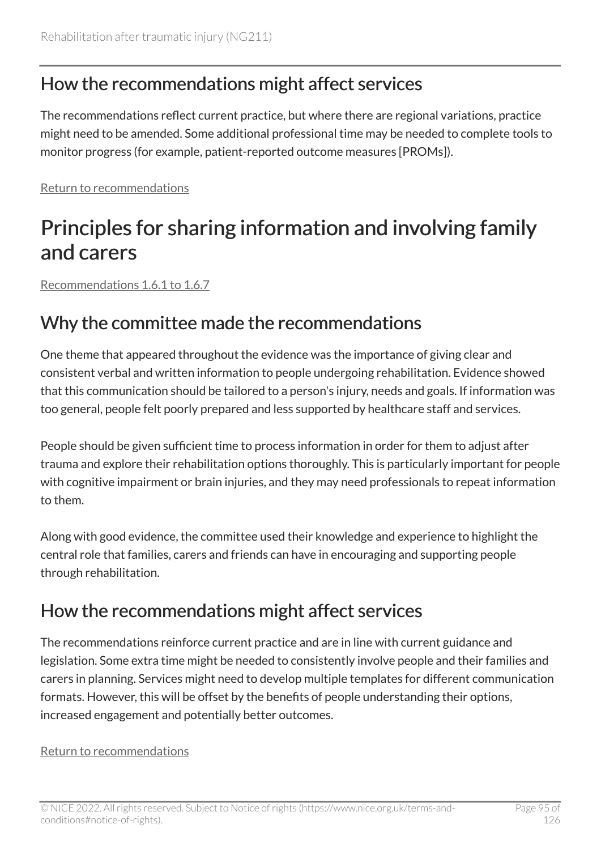#### How the recommendations might affect services

The recommendations reflect current practice, but where there are regional variations, practice might need to be amended. Some additional professional time may be needed to complete tools to monitor progress (for example, patient-reported outcome measures [PROMs]).

[Return to recommendations](#page-31-0)

# Principles for sharing information and involving family and carers

[Recommendations 1.6.1 to 1.6.7](#page-32-0) 

#### Why the committee made the recommendations

One theme that appeared throughout the evidence was the importance of giving clear and consistent verbal and written information to people undergoing rehabilitation. Evidence showed that this communication should be tailored to a person's injury, needs and goals. If information was too general, people felt poorly prepared and less supported by healthcare staff and services.

People should be given sufficient time to process information in order for them to adjust after trauma and explore their rehabilitation options thoroughly. This is particularly important for people with cognitive impairment or brain injuries, and they may need professionals to repeat information to them.

Along with good evidence, the committee used their knowledge and experience to highlight the central role that families, carers and friends can have in encouraging and supporting people through rehabilitation.

#### How the recommendations might affect services

The recommendations reinforce current practice and are in line with current guidance and legislation. Some extra time might be needed to consistently involve people and their families and carers in planning. Services might need to develop multiple templates for different communication formats. However, this will be offset by the benefits of people understanding their options, increased engagement and potentially better outcomes.

#### [Return to recommendations](#page-32-0)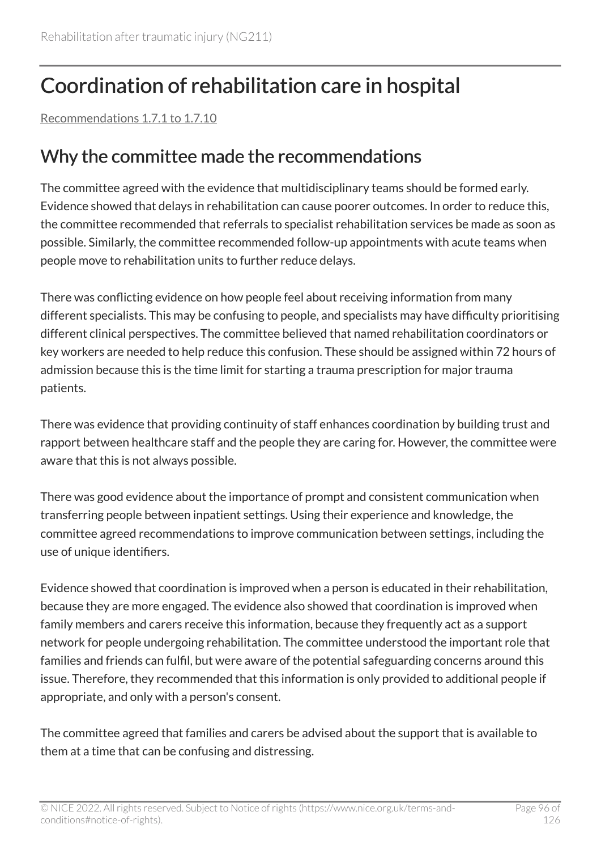# Coordination of rehabilitation care in hospital

[Recommendations 1.7.1 to 1.7.10](#page-34-0) 

#### Why the committee made the recommendations

The committee agreed with the evidence that multidisciplinary teams should be formed early. Evidence showed that delays in rehabilitation can cause poorer outcomes. In order to reduce this, the committee recommended that referrals to specialist rehabilitation services be made as soon as possible. Similarly, the committee recommended follow-up appointments with acute teams when people move to rehabilitation units to further reduce delays.

There was conflicting evidence on how people feel about receiving information from many different specialists. This may be confusing to people, and specialists may have difficulty prioritising different clinical perspectives. The committee believed that named rehabilitation coordinators or key workers are needed to help reduce this confusion. These should be assigned within 72 hours of admission because this is the time limit for starting a trauma prescription for major trauma patients.

There was evidence that providing continuity of staff enhances coordination by building trust and rapport between healthcare staff and the people they are caring for. However, the committee were aware that this is not always possible.

There was good evidence about the importance of prompt and consistent communication when transferring people between inpatient settings. Using their experience and knowledge, the committee agreed recommendations to improve communication between settings, including the use of unique identifiers.

Evidence showed that coordination is improved when a person is educated in their rehabilitation, because they are more engaged. The evidence also showed that coordination is improved when family members and carers receive this information, because they frequently act as a support network for people undergoing rehabilitation. The committee understood the important role that families and friends can fulfil, but were aware of the potential safeguarding concerns around this issue. Therefore, they recommended that this information is only provided to additional people if appropriate, and only with a person's consent.

The committee agreed that families and carers be advised about the support that is available to them at a time that can be confusing and distressing.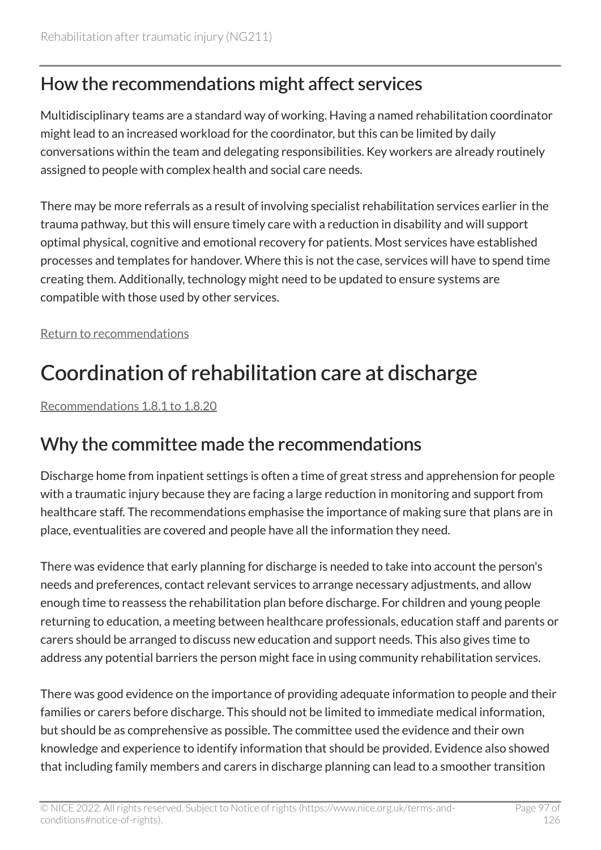#### How the recommendations might affect services

Multidisciplinary teams are a standard way of working. Having a named rehabilitation coordinator might lead to an increased workload for the coordinator, but this can be limited by daily conversations within the team and delegating responsibilities. Key workers are already routinely assigned to people with complex health and social care needs.

There may be more referrals as a result of involving specialist rehabilitation services earlier in the trauma pathway, but this will ensure timely care with a reduction in disability and will support optimal physical, cognitive and emotional recovery for patients. Most services have established processes and templates for handover. Where this is not the case, services will have to spend time creating them. Additionally, technology might need to be updated to ensure systems are compatible with those used by other services.

[Return to recommendations](#page-34-0)

# Coordination of rehabilitation care at discharge

[Recommendations 1.8.1 to 1.8.20](#page-37-0) 

#### Why the committee made the recommendations

Discharge home from inpatient settings is often a time of great stress and apprehension for people with a traumatic injury because they are facing a large reduction in monitoring and support from healthcare staff. The recommendations emphasise the importance of making sure that plans are in place, eventualities are covered and people have all the information they need.

There was evidence that early planning for discharge is needed to take into account the person's needs and preferences, contact relevant services to arrange necessary adjustments, and allow enough time to reassess the rehabilitation plan before discharge. For children and young people returning to education, a meeting between healthcare professionals, education staff and parents or carers should be arranged to discuss new education and support needs. This also gives time to address any potential barriers the person might face in using community rehabilitation services.

There was good evidence on the importance of providing adequate information to people and their families or carers before discharge. This should not be limited to immediate medical information, but should be as comprehensive as possible. The committee used the evidence and their own knowledge and experience to identify information that should be provided. Evidence also showed that including family members and carers in discharge planning can lead to a smoother transition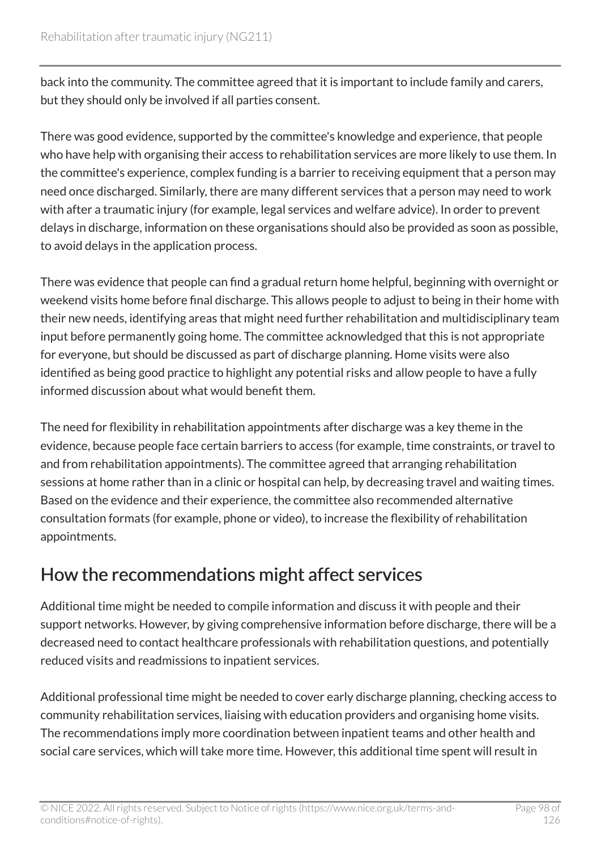back into the community. The committee agreed that it is important to include family and carers, but they should only be involved if all parties consent.

There was good evidence, supported by the committee's knowledge and experience, that people who have help with organising their access to rehabilitation services are more likely to use them. In the committee's experience, complex funding is a barrier to receiving equipment that a person may need once discharged. Similarly, there are many different services that a person may need to work with after a traumatic injury (for example, legal services and welfare advice). In order to prevent delays in discharge, information on these organisations should also be provided as soon as possible, to avoid delays in the application process.

There was evidence that people can find a gradual return home helpful, beginning with overnight or weekend visits home before final discharge. This allows people to adjust to being in their home with their new needs, identifying areas that might need further rehabilitation and multidisciplinary team input before permanently going home. The committee acknowledged that this is not appropriate for everyone, but should be discussed as part of discharge planning. Home visits were also identified as being good practice to highlight any potential risks and allow people to have a fully informed discussion about what would benefit them.

The need for flexibility in rehabilitation appointments after discharge was a key theme in the evidence, because people face certain barriers to access (for example, time constraints, or travel to and from rehabilitation appointments). The committee agreed that arranging rehabilitation sessions at home rather than in a clinic or hospital can help, by decreasing travel and waiting times. Based on the evidence and their experience, the committee also recommended alternative consultation formats (for example, phone or video), to increase the flexibility of rehabilitation appointments.

#### How the recommendations might affect services

Additional time might be needed to compile information and discuss it with people and their support networks. However, by giving comprehensive information before discharge, there will be a decreased need to contact healthcare professionals with rehabilitation questions, and potentially reduced visits and readmissions to inpatient services.

Additional professional time might be needed to cover early discharge planning, checking access to community rehabilitation services, liaising with education providers and organising home visits. The recommendations imply more coordination between inpatient teams and other health and social care services, which will take more time. However, this additional time spent will result in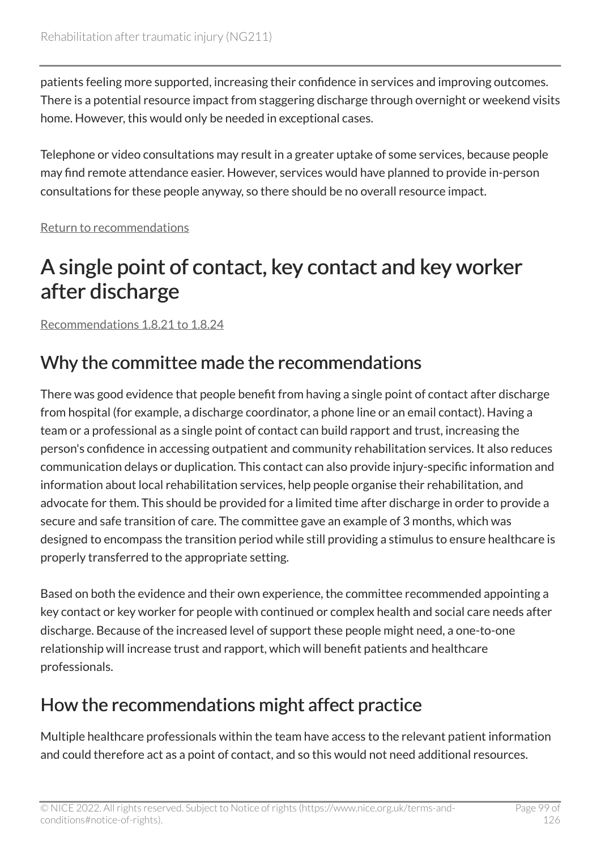patients feeling more supported, increasing their confidence in services and improving outcomes. There is a potential resource impact from staggering discharge through overnight or weekend visits home. However, this would only be needed in exceptional cases.

Telephone or video consultations may result in a greater uptake of some services, because people may find remote attendance easier. However, services would have planned to provide in-person consultations for these people anyway, so there should be no overall resource impact.

[Return to recommendations](#page-37-0)

# A single point of contact, key contact and key worker after discharge

[Recommendations 1.8.21 to 1.8.24](#page-41-0) 

### Why the committee made the recommendations

There was good evidence that people benefit from having a single point of contact after discharge from hospital (for example, a discharge coordinator, a phone line or an email contact). Having a team or a professional as a single point of contact can build rapport and trust, increasing the person's confidence in accessing outpatient and community rehabilitation services. It also reduces communication delays or duplication. This contact can also provide injury-specific information and information about local rehabilitation services, help people organise their rehabilitation, and advocate for them. This should be provided for a limited time after discharge in order to provide a secure and safe transition of care. The committee gave an example of 3 months, which was designed to encompass the transition period while still providing a stimulus to ensure healthcare is properly transferred to the appropriate setting.

Based on both the evidence and their own experience, the committee recommended appointing a key contact or key worker for people with continued or complex health and social care needs after discharge. Because of the increased level of support these people might need, a one-to-one relationship will increase trust and rapport, which will benefit patients and healthcare professionals.

### How the recommendations might affect practice

Multiple healthcare professionals within the team have access to the relevant patient information and could therefore act as a point of contact, and so this would not need additional resources.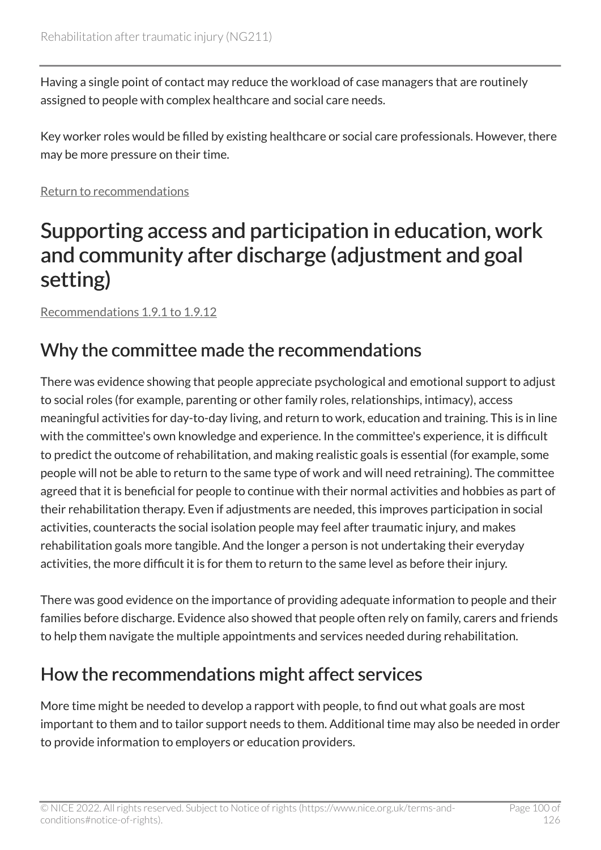Having a single point of contact may reduce the workload of case managers that are routinely assigned to people with complex healthcare and social care needs.

Key worker roles would be filled by existing healthcare or social care professionals. However, there may be more pressure on their time.

[Return to recommendations](#page-41-0)

### Supporting access and participation in education, work and community after discharge (adjustment and goal setting)

[Recommendations 1.9.1 to 1.9.12](#page-42-0) 

#### Why the committee made the recommendations

There was evidence showing that people appreciate psychological and emotional support to adjust to social roles (for example, parenting or other family roles, relationships, intimacy), access meaningful activities for day-to-day living, and return to work, education and training. This is in line with the committee's own knowledge and experience. In the committee's experience, it is difficult to predict the outcome of rehabilitation, and making realistic goals is essential (for example, some people will not be able to return to the same type of work and will need retraining). The committee agreed that it is beneficial for people to continue with their normal activities and hobbies as part of their rehabilitation therapy. Even if adjustments are needed, this improves participation in social activities, counteracts the social isolation people may feel after traumatic injury, and makes rehabilitation goals more tangible. And the longer a person is not undertaking their everyday activities, the more difficult it is for them to return to the same level as before their injury.

There was good evidence on the importance of providing adequate information to people and their families before discharge. Evidence also showed that people often rely on family, carers and friends to help them navigate the multiple appointments and services needed during rehabilitation.

#### How the recommendations might affect services

More time might be needed to develop a rapport with people, to find out what goals are most important to them and to tailor support needs to them. Additional time may also be needed in order to provide information to employers or education providers.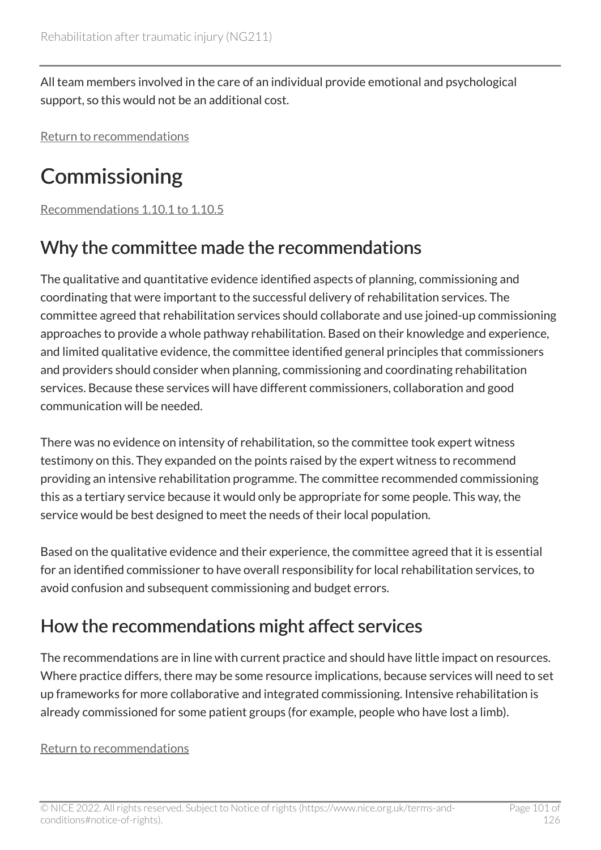All team members involved in the care of an individual provide emotional and psychological support, so this would not be an additional cost.

[Return to recommendations](#page-42-0)

# **Commissioning**

[Recommendations 1.10.1 to 1.10.5](#page-45-0) 

#### Why the committee made the recommendations

The qualitative and quantitative evidence identified aspects of planning, commissioning and coordinating that were important to the successful delivery of rehabilitation services. The committee agreed that rehabilitation services should collaborate and use joined-up commissioning approaches to provide a whole pathway rehabilitation. Based on their knowledge and experience, and limited qualitative evidence, the committee identified general principles that commissioners and providers should consider when planning, commissioning and coordinating rehabilitation services. Because these services will have different commissioners, collaboration and good communication will be needed.

There was no evidence on intensity of rehabilitation, so the committee took expert witness testimony on this. They expanded on the points raised by the expert witness to recommend providing an intensive rehabilitation programme. The committee recommended commissioning this as a tertiary service because it would only be appropriate for some people. This way, the service would be best designed to meet the needs of their local population.

Based on the qualitative evidence and their experience, the committee agreed that it is essential for an identified commissioner to have overall responsibility for local rehabilitation services, to avoid confusion and subsequent commissioning and budget errors.

### How the recommendations might affect services

The recommendations are in line with current practice and should have little impact on resources. Where practice differs, there may be some resource implications, because services will need to set up frameworks for more collaborative and integrated commissioning. Intensive rehabilitation is already commissioned for some patient groups (for example, people who have lost a limb).

#### [Return to recommendations](#page-45-0)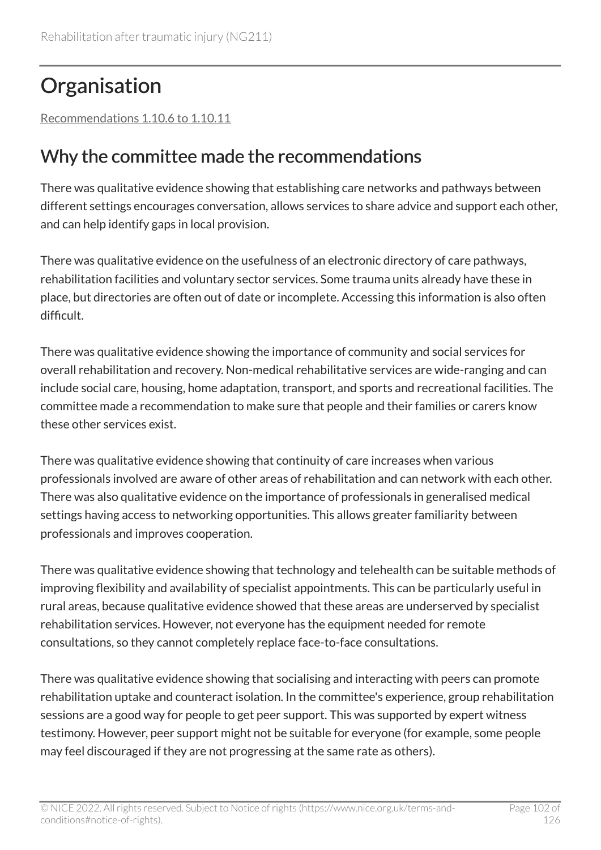# **Organisation**

[Recommendations 1.10.6 to 1.10.11](#page-46-0) 

#### Why the committee made the recommendations

There was qualitative evidence showing that establishing care networks and pathways between different settings encourages conversation, allows services to share advice and support each other, and can help identify gaps in local provision.

There was qualitative evidence on the usefulness of an electronic directory of care pathways, rehabilitation facilities and voluntary sector services. Some trauma units already have these in place, but directories are often out of date or incomplete. Accessing this information is also often difficult.

There was qualitative evidence showing the importance of community and social services for overall rehabilitation and recovery. Non-medical rehabilitative services are wide-ranging and can include social care, housing, home adaptation, transport, and sports and recreational facilities. The committee made a recommendation to make sure that people and their families or carers know these other services exist.

There was qualitative evidence showing that continuity of care increases when various professionals involved are aware of other areas of rehabilitation and can network with each other. There was also qualitative evidence on the importance of professionals in generalised medical settings having access to networking opportunities. This allows greater familiarity between professionals and improves cooperation.

There was qualitative evidence showing that technology and telehealth can be suitable methods of improving flexibility and availability of specialist appointments. This can be particularly useful in rural areas, because qualitative evidence showed that these areas are underserved by specialist rehabilitation services. However, not everyone has the equipment needed for remote consultations, so they cannot completely replace face-to-face consultations.

There was qualitative evidence showing that socialising and interacting with peers can promote rehabilitation uptake and counteract isolation. In the committee's experience, group rehabilitation sessions are a good way for people to get peer support. This was supported by expert witness testimony. However, peer support might not be suitable for everyone (for example, some people may feel discouraged if they are not progressing at the same rate as others).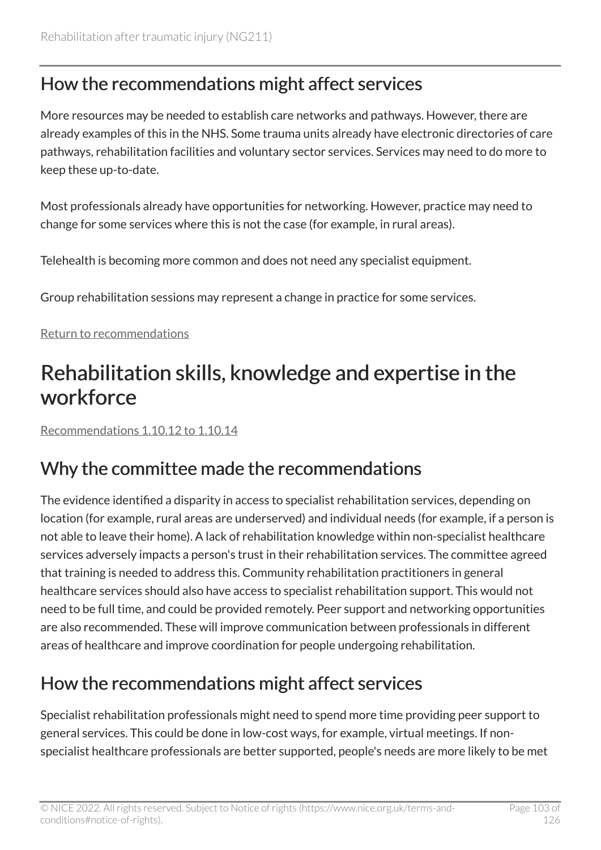#### How the recommendations might affect services

More resources may be needed to establish care networks and pathways. However, there are already examples of this in the NHS. Some trauma units already have electronic directories of care pathways, rehabilitation facilities and voluntary sector services. Services may need to do more to keep these up-to-date.

Most professionals already have opportunities for networking. However, practice may need to change for some services where this is not the case (for example, in rural areas).

Telehealth is becoming more common and does not need any specialist equipment.

Group rehabilitation sessions may represent a change in practice for some services.

#### [Return to recommendations](#page-46-0)

# Rehabilitation skills, knowledge and expertise in the workforce

[Recommendations 1.10.12 to 1.10.14](#page-47-0) 

#### Why the committee made the recommendations

The evidence identified a disparity in access to specialist rehabilitation services, depending on location (for example, rural areas are underserved) and individual needs (for example, if a person is not able to leave their home). A lack of rehabilitation knowledge within non-specialist healthcare services adversely impacts a person's trust in their rehabilitation services. The committee agreed that training is needed to address this. Community rehabilitation practitioners in general healthcare services should also have access to specialist rehabilitation support. This would not need to be full time, and could be provided remotely. Peer support and networking opportunities are also recommended. These will improve communication between professionals in different areas of healthcare and improve coordination for people undergoing rehabilitation.

### How the recommendations might affect services

Specialist rehabilitation professionals might need to spend more time providing peer support to general services. This could be done in low-cost ways, for example, virtual meetings. If nonspecialist healthcare professionals are better supported, people's needs are more likely to be met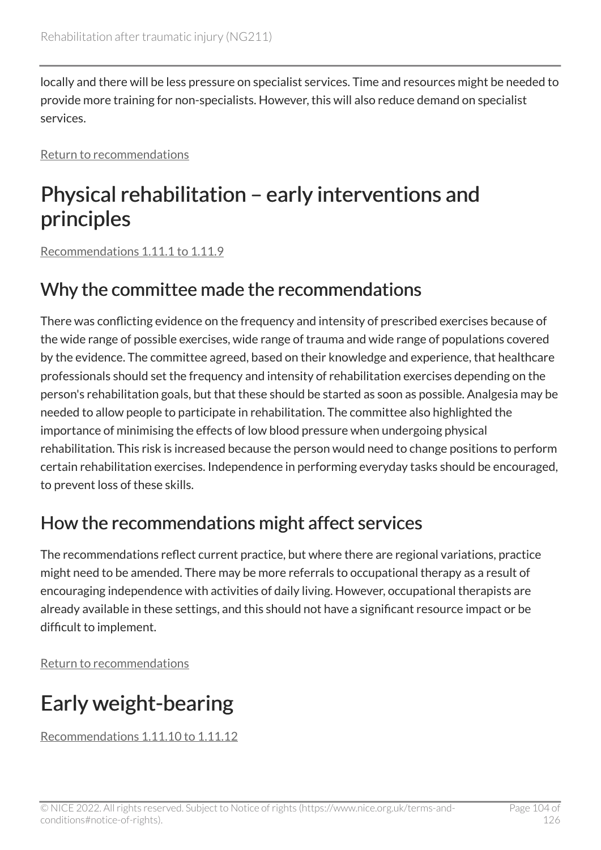locally and there will be less pressure on specialist services. Time and resources might be needed to provide more training for non-specialists. However, this will also reduce demand on specialist services.

[Return to recommendations](#page-47-0)

## Physical rehabilitation – early interventions and principles

[Recommendations 1.11.1 to 1.11.9](#page-48-0) 

#### Why the committee made the recommendations

There was conflicting evidence on the frequency and intensity of prescribed exercises because of the wide range of possible exercises, wide range of trauma and wide range of populations covered by the evidence. The committee agreed, based on their knowledge and experience, that healthcare professionals should set the frequency and intensity of rehabilitation exercises depending on the person's rehabilitation goals, but that these should be started as soon as possible. Analgesia may be needed to allow people to participate in rehabilitation. The committee also highlighted the importance of minimising the effects of low blood pressure when undergoing physical rehabilitation. This risk is increased because the person would need to change positions to perform certain rehabilitation exercises. Independence in performing everyday tasks should be encouraged, to prevent loss of these skills.

#### How the recommendations might affect services

The recommendations reflect current practice, but where there are regional variations, practice might need to be amended. There may be more referrals to occupational therapy as a result of encouraging independence with activities of daily living. However, occupational therapists are already available in these settings, and this should not have a significant resource impact or be difficult to implement.

[Return to recommendations](#page-48-0)

# Early weight-bearing

[Recommendations 1.11.10 to 1.11.12](#page-50-0)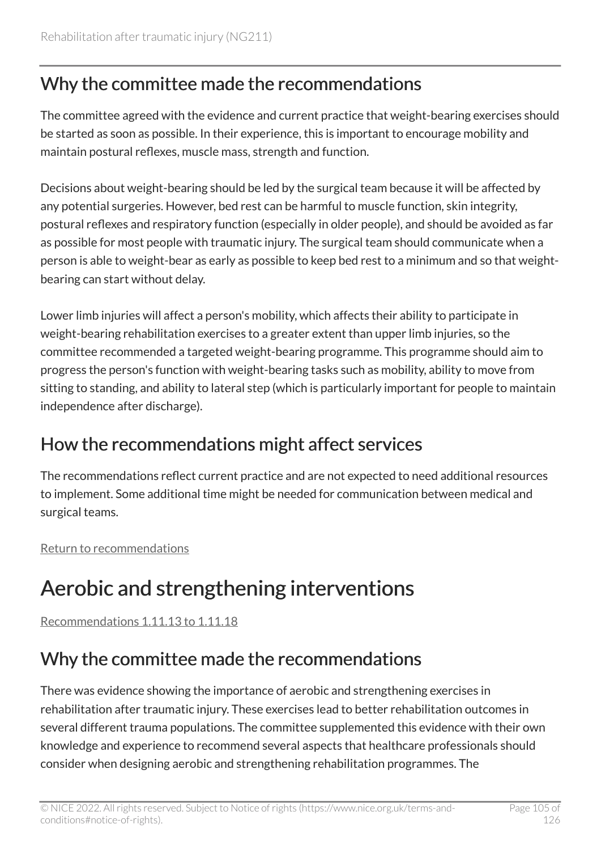#### Why the committee made the recommendations

The committee agreed with the evidence and current practice that weight-bearing exercises should be started as soon as possible. In their experience, this is important to encourage mobility and maintain postural reflexes, muscle mass, strength and function.

Decisions about weight-bearing should be led by the surgical team because it will be affected by any potential surgeries. However, bed rest can be harmful to muscle function, skin integrity, postural reflexes and respiratory function (especially in older people), and should be avoided as far as possible for most people with traumatic injury. The surgical team should communicate when a person is able to weight-bear as early as possible to keep bed rest to a minimum and so that weightbearing can start without delay.

Lower limb injuries will affect a person's mobility, which affects their ability to participate in weight-bearing rehabilitation exercises to a greater extent than upper limb injuries, so the committee recommended a targeted weight-bearing programme. This programme should aim to progress the person's function with weight-bearing tasks such as mobility, ability to move from sitting to standing, and ability to lateral step (which is particularly important for people to maintain independence after discharge).

#### How the recommendations might affect services

The recommendations reflect current practice and are not expected to need additional resources to implement. Some additional time might be needed for communication between medical and surgical teams.

[Return to recommendations](#page-50-0)

# Aerobic and strengthening interventions

[Recommendations 1.11.13 to 1.11.18](#page-50-1) 

#### Why the committee made the recommendations

There was evidence showing the importance of aerobic and strengthening exercises in rehabilitation after traumatic injury. These exercises lead to better rehabilitation outcomes in several different trauma populations. The committee supplemented this evidence with their own knowledge and experience to recommend several aspects that healthcare professionals should consider when designing aerobic and strengthening rehabilitation programmes. The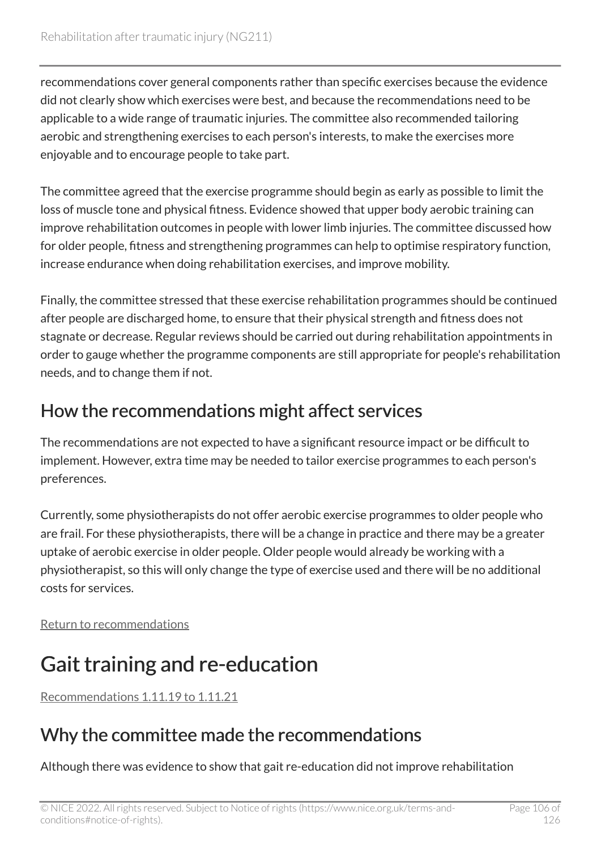recommendations cover general components rather than specific exercises because the evidence did not clearly show which exercises were best, and because the recommendations need to be applicable to a wide range of traumatic injuries. The committee also recommended tailoring aerobic and strengthening exercises to each person's interests, to make the exercises more enjoyable and to encourage people to take part.

The committee agreed that the exercise programme should begin as early as possible to limit the loss of muscle tone and physical fitness. Evidence showed that upper body aerobic training can improve rehabilitation outcomes in people with lower limb injuries. The committee discussed how for older people, fitness and strengthening programmes can help to optimise respiratory function, increase endurance when doing rehabilitation exercises, and improve mobility.

Finally, the committee stressed that these exercise rehabilitation programmes should be continued after people are discharged home, to ensure that their physical strength and fitness does not stagnate or decrease. Regular reviews should be carried out during rehabilitation appointments in order to gauge whether the programme components are still appropriate for people's rehabilitation needs, and to change them if not.

#### How the recommendations might affect services

The recommendations are not expected to have a significant resource impact or be difficult to implement. However, extra time may be needed to tailor exercise programmes to each person's preferences.

Currently, some physiotherapists do not offer aerobic exercise programmes to older people who are frail. For these physiotherapists, there will be a change in practice and there may be a greater uptake of aerobic exercise in older people. Older people would already be working with a physiotherapist, so this will only change the type of exercise used and there will be no additional costs for services.

[Return to recommendations](#page-50-1)

# Gait training and re-education

[Recommendations 1.11.19 to 1.11.21](#page-52-0) 

### Why the committee made the recommendations

Although there was evidence to show that gait re-education did not improve rehabilitation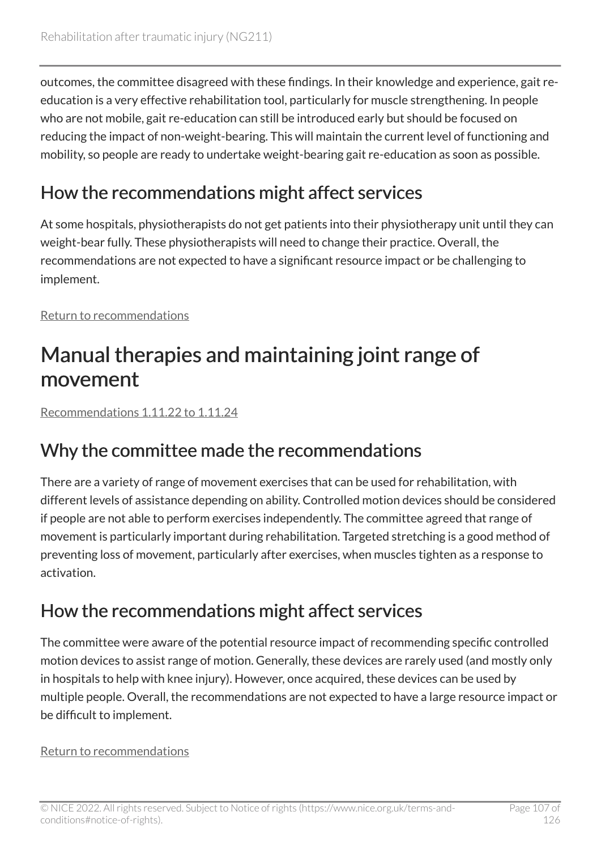outcomes, the committee disagreed with these findings. In their knowledge and experience, gait reeducation is a very effective rehabilitation tool, particularly for muscle strengthening. In people who are not mobile, gait re-education can still be introduced early but should be focused on reducing the impact of non-weight-bearing. This will maintain the current level of functioning and mobility, so people are ready to undertake weight-bearing gait re-education as soon as possible.

### How the recommendations might affect services

At some hospitals, physiotherapists do not get patients into their physiotherapy unit until they can weight-bear fully. These physiotherapists will need to change their practice. Overall, the recommendations are not expected to have a significant resource impact or be challenging to implement.

[Return to recommendations](#page-52-0)

# Manual therapies and maintaining joint range of movement

[Recommendations 1.11.22 to 1.11.24](#page-52-1) 

#### Why the committee made the recommendations

There are a variety of range of movement exercises that can be used for rehabilitation, with different levels of assistance depending on ability. Controlled motion devices should be considered if people are not able to perform exercises independently. The committee agreed that range of movement is particularly important during rehabilitation. Targeted stretching is a good method of preventing loss of movement, particularly after exercises, when muscles tighten as a response to activation.

### How the recommendations might affect services

The committee were aware of the potential resource impact of recommending specific controlled motion devices to assist range of motion. Generally, these devices are rarely used (and mostly only in hospitals to help with knee injury). However, once acquired, these devices can be used by multiple people. Overall, the recommendations are not expected to have a large resource impact or be difficult to implement.

#### [Return to recommendations](#page-52-1)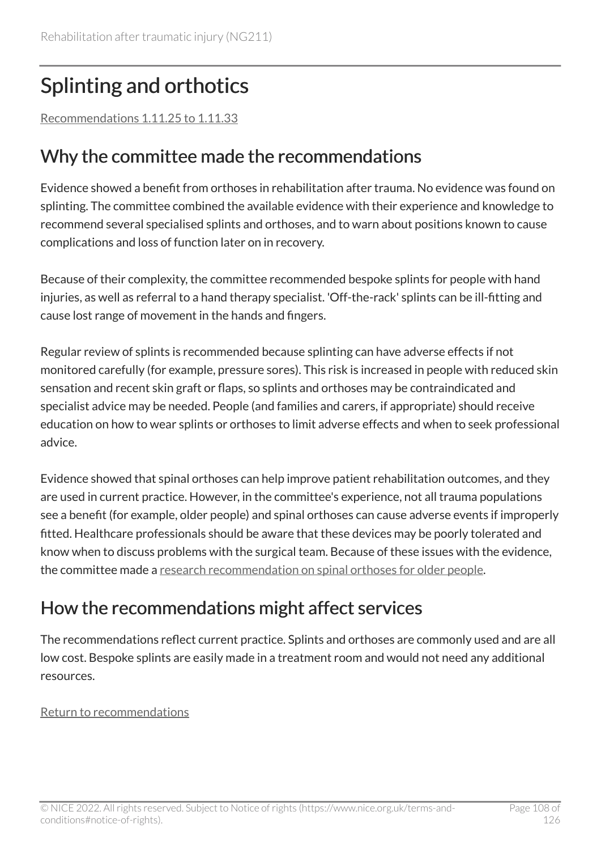# <span id="page-107-0"></span>Splinting and orthotics

[Recommendations 1.11.25 to 1.11.33](#page-53-0) 

#### Why the committee made the recommendations

Evidence showed a benefit from orthoses in rehabilitation after trauma. No evidence was found on splinting. The committee combined the available evidence with their experience and knowledge to recommend several specialised splints and orthoses, and to warn about positions known to cause complications and loss of function later on in recovery.

Because of their complexity, the committee recommended bespoke splints for people with hand injuries, as well as referral to a hand therapy specialist. 'Off-the-rack' splints can be ill-fitting and cause lost range of movement in the hands and fingers.

Regular review of splints is recommended because splinting can have adverse effects if not monitored carefully (for example, pressure sores). This risk is increased in people with reduced skin sensation and recent skin graft or flaps, so splints and orthoses may be contraindicated and specialist advice may be needed. People (and families and carers, if appropriate) should receive education on how to wear splints or orthoses to limit adverse effects and when to seek professional advice.

Evidence showed that spinal orthoses can help improve patient rehabilitation outcomes, and they are used in current practice. However, in the committee's experience, not all trauma populations see a benefit (for example, older people) and spinal orthoses can cause adverse events if improperly fitted. Healthcare professionals should be aware that these devices may be poorly tolerated and know when to discuss problems with the surgical team. Because of these issues with the evidence, the committee made a [research recommendation on spinal orthoses for older people.](#page-83-2)

#### How the recommendations might affect services

The recommendations reflect current practice. Splints and orthoses are commonly used and are all low cost. Bespoke splints are easily made in a treatment room and would not need any additional resources.

#### [Return to recommendations](#page-53-0)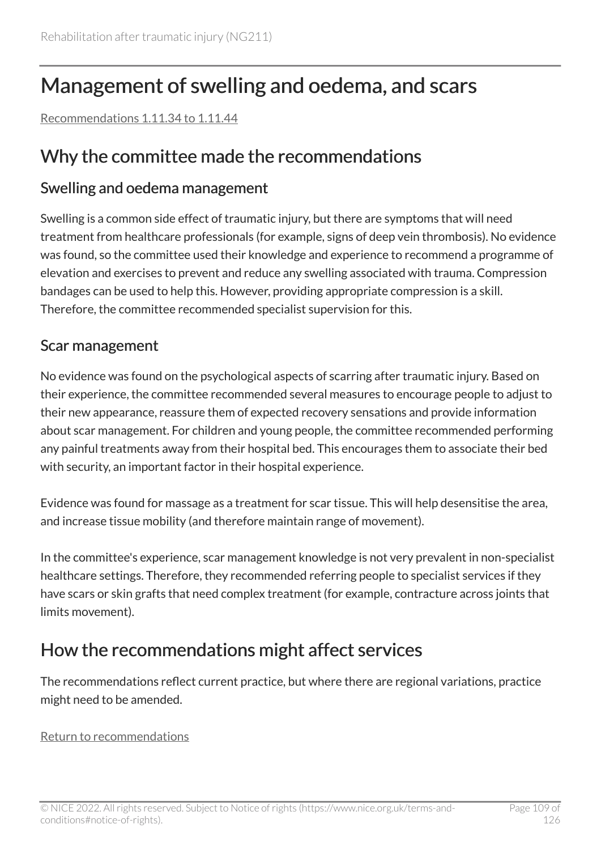# Management of swelling and oedema, and scars

[Recommendations 1.11.34 to 1.11.44](#page-54-0) 

### Why the committee made the recommendations

#### Swelling and oedema management

Swelling is a common side effect of traumatic injury, but there are symptoms that will need treatment from healthcare professionals (for example, signs of deep vein thrombosis). No evidence was found, so the committee used their knowledge and experience to recommend a programme of elevation and exercises to prevent and reduce any swelling associated with trauma. Compression bandages can be used to help this. However, providing appropriate compression is a skill. Therefore, the committee recommended specialist supervision for this.

#### Scar management

No evidence was found on the psychological aspects of scarring after traumatic injury. Based on their experience, the committee recommended several measures to encourage people to adjust to their new appearance, reassure them of expected recovery sensations and provide information about scar management. For children and young people, the committee recommended performing any painful treatments away from their hospital bed. This encourages them to associate their bed with security, an important factor in their hospital experience.

Evidence was found for massage as a treatment for scar tissue. This will help desensitise the area, and increase tissue mobility (and therefore maintain range of movement).

In the committee's experience, scar management knowledge is not very prevalent in non-specialist healthcare settings. Therefore, they recommended referring people to specialist services if they have scars or skin grafts that need complex treatment (for example, contracture across joints that limits movement).

# How the recommendations might affect services

The recommendations reflect current practice, but where there are regional variations, practice might need to be amended.

[Return to recommendations](#page-54-0)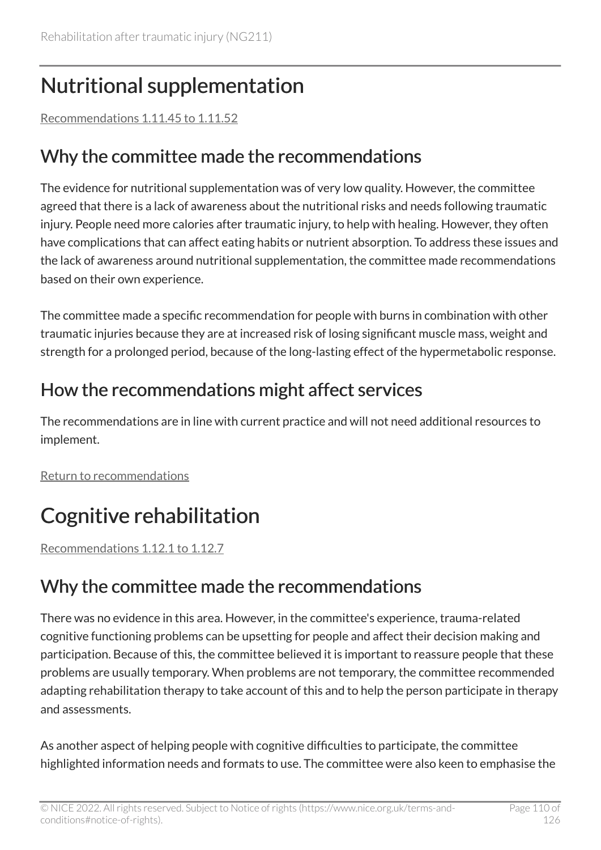# Nutritional supplementation

[Recommendations 1.11.45 to 1.11.52](#page-55-0) 

## Why the committee made the recommendations

The evidence for nutritional supplementation was of very low quality. However, the committee agreed that there is a lack of awareness about the nutritional risks and needs following traumatic injury. People need more calories after traumatic injury, to help with healing. However, they often have complications that can affect eating habits or nutrient absorption. To address these issues and the lack of awareness around nutritional supplementation, the committee made recommendations based on their own experience.

The committee made a specific recommendation for people with burns in combination with other traumatic injuries because they are at increased risk of losing significant muscle mass, weight and strength for a prolonged period, because of the long-lasting effect of the hypermetabolic response.

# How the recommendations might affect services

The recommendations are in line with current practice and will not need additional resources to implement.

[Return to recommendations](#page-55-0)

# Cognitive rehabilitation

[Recommendations 1.12.1 to 1.12.7](#page-57-0) 

# Why the committee made the recommendations

There was no evidence in this area. However, in the committee's experience, trauma-related cognitive functioning problems can be upsetting for people and affect their decision making and participation. Because of this, the committee believed it is important to reassure people that these problems are usually temporary. When problems are not temporary, the committee recommended adapting rehabilitation therapy to take account of this and to help the person participate in therapy and assessments.

As another aspect of helping people with cognitive difficulties to participate, the committee highlighted information needs and formats to use. The committee were also keen to emphasise the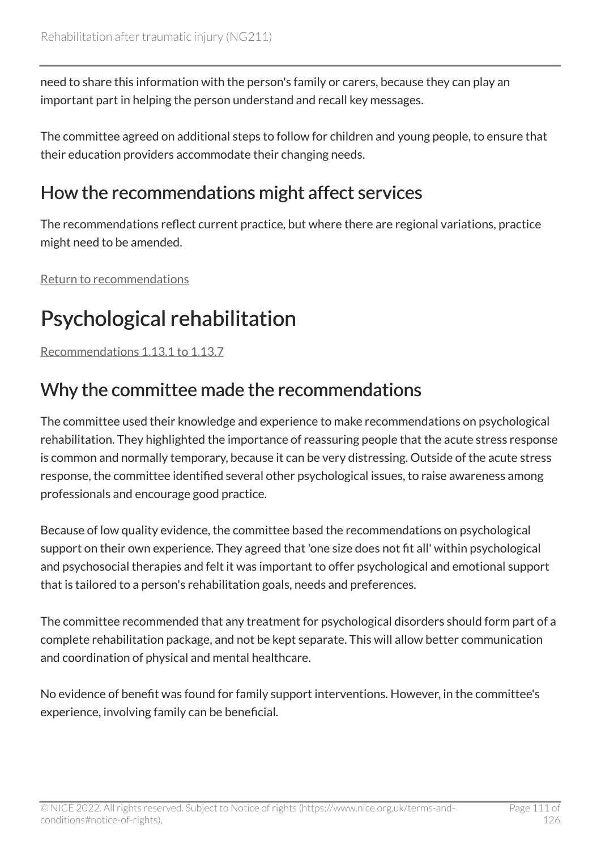need to share this information with the person's family or carers, because they can play an important part in helping the person understand and recall key messages.

The committee agreed on additional steps to follow for children and young people, to ensure that their education providers accommodate their changing needs.

## How the recommendations might affect services

The recommendations reflect current practice, but where there are regional variations, practice might need to be amended.

[Return to recommendations](#page-57-0)

# Psychological rehabilitation

[Recommendations 1.13.1 to 1.13.7](#page-58-0) 

# Why the committee made the recommendations

The committee used their knowledge and experience to make recommendations on psychological rehabilitation. They highlighted the importance of reassuring people that the acute stress response is common and normally temporary, because it can be very distressing. Outside of the acute stress response, the committee identified several other psychological issues, to raise awareness among professionals and encourage good practice.

Because of low quality evidence, the committee based the recommendations on psychological support on their own experience. They agreed that 'one size does not fit all' within psychological and psychosocial therapies and felt it was important to offer psychological and emotional support that is tailored to a person's rehabilitation goals, needs and preferences.

The committee recommended that any treatment for psychological disorders should form part of a complete rehabilitation package, and not be kept separate. This will allow better communication and coordination of physical and mental healthcare.

No evidence of benefit was found for family support interventions. However, in the committee's experience, involving family can be beneficial.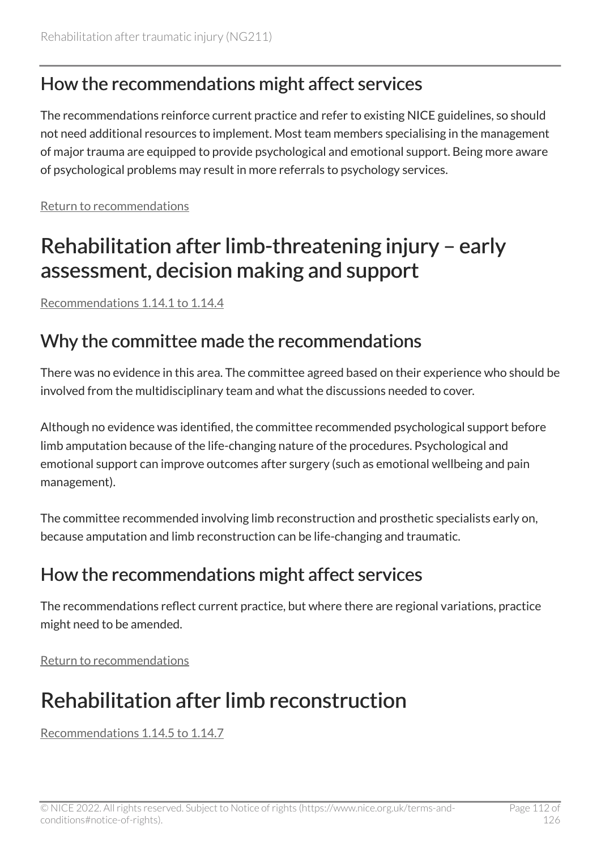### How the recommendations might affect services

The recommendations reinforce current practice and refer to existing NICE guidelines, so should not need additional resources to implement. Most team members specialising in the management of major trauma are equipped to provide psychological and emotional support. Being more aware of psychological problems may result in more referrals to psychology services.

[Return to recommendations](#page-58-0)

# Rehabilitation after limb-threatening injury – early assessment, decision making and support

[Recommendations 1.14.1 to 1.14.4](#page-60-0) 

### Why the committee made the recommendations

There was no evidence in this area. The committee agreed based on their experience who should be involved from the multidisciplinary team and what the discussions needed to cover.

Although no evidence was identified, the committee recommended psychological support before limb amputation because of the life-changing nature of the procedures. Psychological and emotional support can improve outcomes after surgery (such as emotional wellbeing and pain management).

The committee recommended involving limb reconstruction and prosthetic specialists early on, because amputation and limb reconstruction can be life-changing and traumatic.

### How the recommendations might affect services

The recommendations reflect current practice, but where there are regional variations, practice might need to be amended.

[Return to recommendations](#page-60-0)

# Rehabilitation after limb reconstruction

[Recommendations 1.14.5 to 1.14.7](#page-61-0)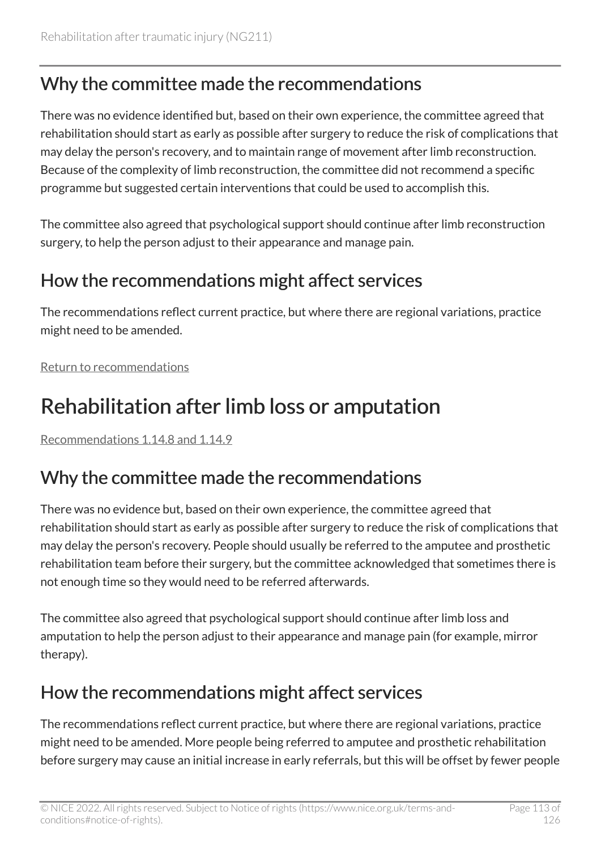# Why the committee made the recommendations

There was no evidence identified but, based on their own experience, the committee agreed that rehabilitation should start as early as possible after surgery to reduce the risk of complications that may delay the person's recovery, and to maintain range of movement after limb reconstruction. Because of the complexity of limb reconstruction, the committee did not recommend a specific programme but suggested certain interventions that could be used to accomplish this.

The committee also agreed that psychological support should continue after limb reconstruction surgery, to help the person adjust to their appearance and manage pain.

### How the recommendations might affect services

The recommendations reflect current practice, but where there are regional variations, practice might need to be amended.

[Return to recommendations](#page-61-0)

# Rehabilitation after limb loss or amputation

[Recommendations 1.14.8 and 1.14.9](#page-62-0)

# Why the committee made the recommendations

There was no evidence but, based on their own experience, the committee agreed that rehabilitation should start as early as possible after surgery to reduce the risk of complications that may delay the person's recovery. People should usually be referred to the amputee and prosthetic rehabilitation team before their surgery, but the committee acknowledged that sometimes there is not enough time so they would need to be referred afterwards.

The committee also agreed that psychological support should continue after limb loss and amputation to help the person adjust to their appearance and manage pain (for example, mirror therapy).

# How the recommendations might affect services

The recommendations reflect current practice, but where there are regional variations, practice might need to be amended. More people being referred to amputee and prosthetic rehabilitation before surgery may cause an initial increase in early referrals, but this will be offset by fewer people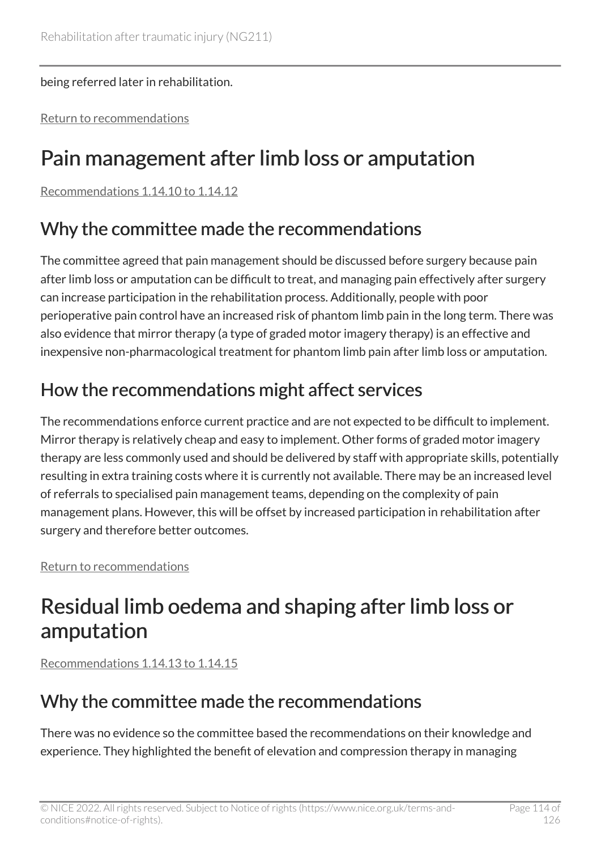#### being referred later in rehabilitation.

[Return to recommendations](#page-62-0)

# Pain management after limb loss or amputation

[Recommendations 1.14.10 to 1.14.12](#page-63-0) 

## Why the committee made the recommendations

The committee agreed that pain management should be discussed before surgery because pain after limb loss or amputation can be difficult to treat, and managing pain effectively after surgery can increase participation in the rehabilitation process. Additionally, people with poor perioperative pain control have an increased risk of phantom limb pain in the long term. There was also evidence that mirror therapy (a type of graded motor imagery therapy) is an effective and inexpensive non-pharmacological treatment for phantom limb pain after limb loss or amputation.

# How the recommendations might affect services

The recommendations enforce current practice and are not expected to be difficult to implement. Mirror therapy is relatively cheap and easy to implement. Other forms of graded motor imagery therapy are less commonly used and should be delivered by staff with appropriate skills, potentially resulting in extra training costs where it is currently not available. There may be an increased level of referrals to specialised pain management teams, depending on the complexity of pain management plans. However, this will be offset by increased participation in rehabilitation after surgery and therefore better outcomes.

[Return to recommendations](#page-63-0)

# Residual limb oedema and shaping after limb loss or amputation

[Recommendations 1.14.13 to 1.14.15](#page-64-0) 

# Why the committee made the recommendations

There was no evidence so the committee based the recommendations on their knowledge and experience. They highlighted the benefit of elevation and compression therapy in managing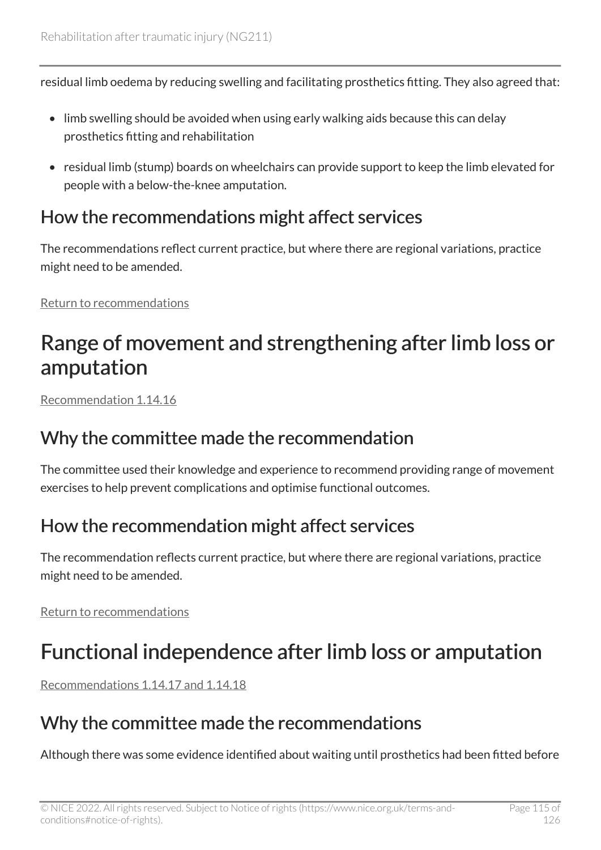residual limb oedema by reducing swelling and facilitating prosthetics fitting. They also agreed that:

- limb swelling should be avoided when using early walking aids because this can delay prosthetics fitting and rehabilitation
- residual limb (stump) boards on wheelchairs can provide support to keep the limb elevated for people with a below-the-knee amputation.

### How the recommendations might affect services

The recommendations reflect current practice, but where there are regional variations, practice might need to be amended.

[Return to recommendations](#page-64-0)

# Range of movement and strengthening after limb loss or amputation

[Recommendation 1.14.16](#page-64-1) 

### Why the committee made the recommendation

The committee used their knowledge and experience to recommend providing range of movement exercises to help prevent complications and optimise functional outcomes.

# How the recommendation might affect services

The recommendation reflects current practice, but where there are regional variations, practice might need to be amended.

[Return to recommendations](#page-64-1)

# Functional independence after limb loss or amputation

[Recommendations 1.14.17 and 1.14.18](#page-65-0)

# Why the committee made the recommendations

Although there was some evidence identified about waiting until prosthetics had been fitted before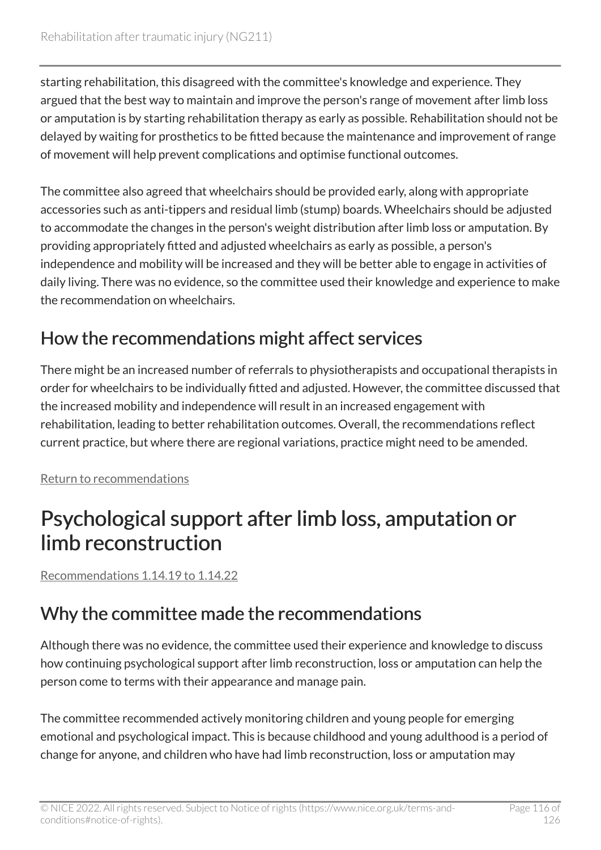starting rehabilitation, this disagreed with the committee's knowledge and experience. They argued that the best way to maintain and improve the person's range of movement after limb loss or amputation is by starting rehabilitation therapy as early as possible. Rehabilitation should not be delayed by waiting for prosthetics to be fitted because the maintenance and improvement of range of movement will help prevent complications and optimise functional outcomes.

The committee also agreed that wheelchairs should be provided early, along with appropriate accessories such as anti-tippers and residual limb (stump) boards. Wheelchairs should be adjusted to accommodate the changes in the person's weight distribution after limb loss or amputation. By providing appropriately fitted and adjusted wheelchairs as early as possible, a person's independence and mobility will be increased and they will be better able to engage in activities of daily living. There was no evidence, so the committee used their knowledge and experience to make the recommendation on wheelchairs.

# How the recommendations might affect services

There might be an increased number of referrals to physiotherapists and occupational therapists in order for wheelchairs to be individually fitted and adjusted. However, the committee discussed that the increased mobility and independence will result in an increased engagement with rehabilitation, leading to better rehabilitation outcomes. Overall, the recommendations reflect current practice, but where there are regional variations, practice might need to be amended.

[Return to recommendations](#page-65-0)

# Psychological support after limb loss, amputation or limb reconstruction

[Recommendations 1.14.19 to 1.14.22](#page-65-1) 

# Why the committee made the recommendations

Although there was no evidence, the committee used their experience and knowledge to discuss how continuing psychological support after limb reconstruction, loss or amputation can help the person come to terms with their appearance and manage pain.

The committee recommended actively monitoring children and young people for emerging emotional and psychological impact. This is because childhood and young adulthood is a period of change for anyone, and children who have had limb reconstruction, loss or amputation may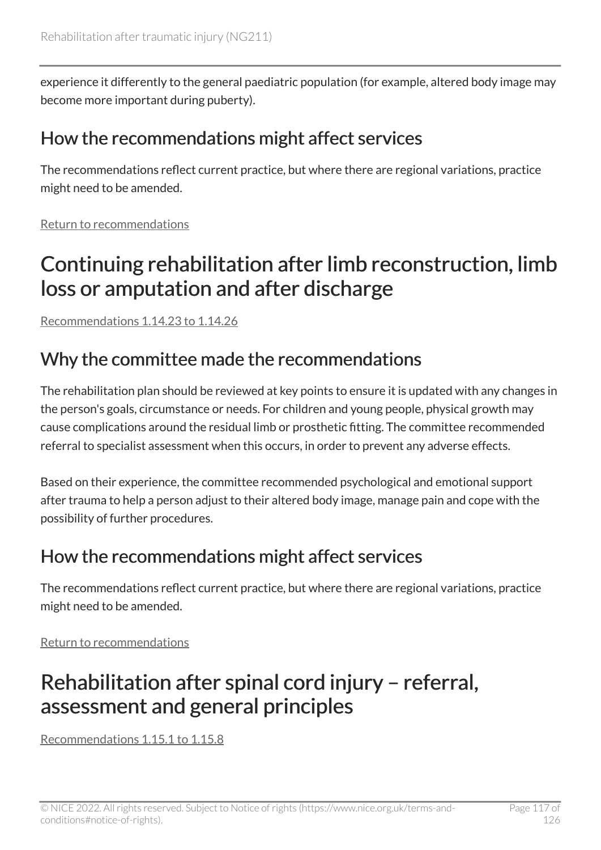experience it differently to the general paediatric population (for example, altered body image may become more important during puberty).

### How the recommendations might affect services

The recommendations reflect current practice, but where there are regional variations, practice might need to be amended.

[Return to recommendations](#page-65-1)

# Continuing rehabilitation after limb reconstruction, limb loss or amputation and after discharge

[Recommendations 1.14.23 to 1.14.26](#page-66-0) 

### Why the committee made the recommendations

The rehabilitation plan should be reviewed at key points to ensure it is updated with any changes in the person's goals, circumstance or needs. For children and young people, physical growth may cause complications around the residual limb or prosthetic fitting. The committee recommended referral to specialist assessment when this occurs, in order to prevent any adverse effects.

Based on their experience, the committee recommended psychological and emotional support after trauma to help a person adjust to their altered body image, manage pain and cope with the possibility of further procedures.

### How the recommendations might affect services

The recommendations reflect current practice, but where there are regional variations, practice might need to be amended.

[Return to recommendations](#page-66-0)

# Rehabilitation after spinal cord injury – referral, assessment and general principles

[Recommendations 1.15.1 to 1.15.8](#page-68-0)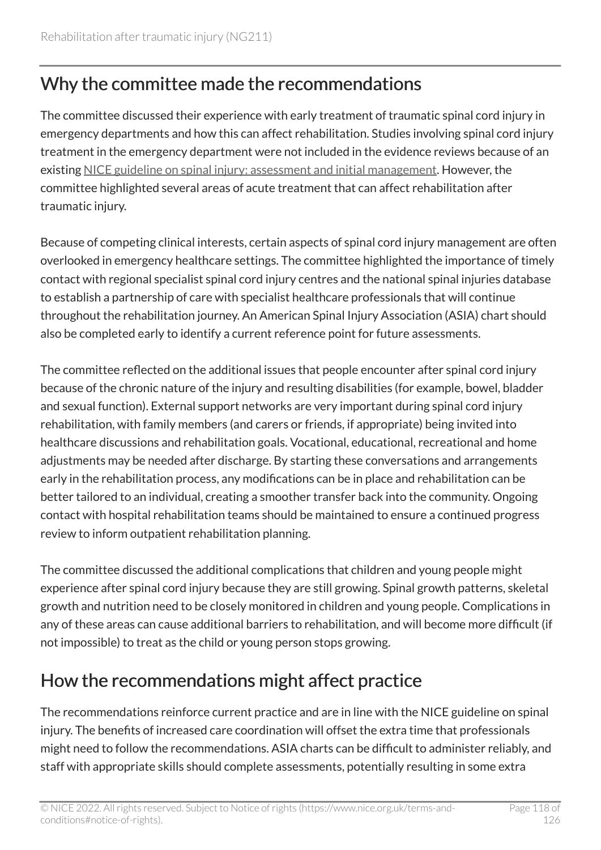# Why the committee made the recommendations

The committee discussed their experience with early treatment of traumatic spinal cord injury in emergency departments and how this can affect rehabilitation. Studies involving spinal cord injury treatment in the emergency department were not included in the evidence reviews because of an existing [NICE guideline on spinal injury: assessment and initial management.](https://www.nice.org.uk/guidance/ng41) However, the committee highlighted several areas of acute treatment that can affect rehabilitation after traumatic injury.

Because of competing clinical interests, certain aspects of spinal cord injury management are often overlooked in emergency healthcare settings. The committee highlighted the importance of timely contact with regional specialist spinal cord injury centres and the national spinal injuries database to establish a partnership of care with specialist healthcare professionals that will continue throughout the rehabilitation journey. An American Spinal Injury Association (ASIA) chart should also be completed early to identify a current reference point for future assessments.

The committee reflected on the additional issues that people encounter after spinal cord injury because of the chronic nature of the injury and resulting disabilities (for example, bowel, bladder and sexual function). External support networks are very important during spinal cord injury rehabilitation, with family members (and carers or friends, if appropriate) being invited into healthcare discussions and rehabilitation goals. Vocational, educational, recreational and home adjustments may be needed after discharge. By starting these conversations and arrangements early in the rehabilitation process, any modifications can be in place and rehabilitation can be better tailored to an individual, creating a smoother transfer back into the community. Ongoing contact with hospital rehabilitation teams should be maintained to ensure a continued progress review to inform outpatient rehabilitation planning.

The committee discussed the additional complications that children and young people might experience after spinal cord injury because they are still growing. Spinal growth patterns, skeletal growth and nutrition need to be closely monitored in children and young people. Complications in any of these areas can cause additional barriers to rehabilitation, and will become more difficult (if not impossible) to treat as the child or young person stops growing.

# How the recommendations might affect practice

The recommendations reinforce current practice and are in line with the NICE guideline on spinal injury. The benefits of increased care coordination will offset the extra time that professionals might need to follow the recommendations. ASIA charts can be difficult to administer reliably, and staff with appropriate skills should complete assessments, potentially resulting in some extra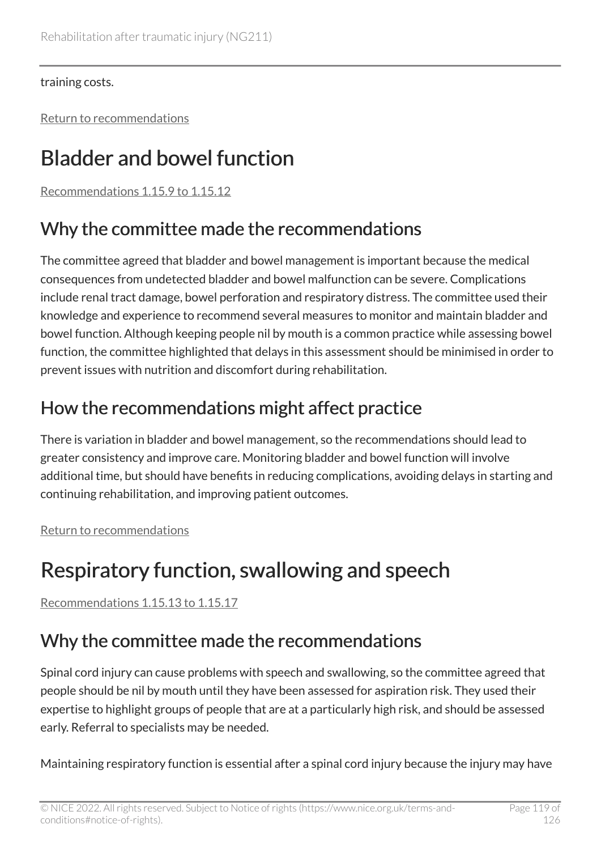training costs.

[Return to recommendations](#page-68-0)

# Bladder and bowel function

[Recommendations 1.15.9 to 1.15.12](#page-69-0) 

# Why the committee made the recommendations

The committee agreed that bladder and bowel management is important because the medical consequences from undetected bladder and bowel malfunction can be severe. Complications include renal tract damage, bowel perforation and respiratory distress. The committee used their knowledge and experience to recommend several measures to monitor and maintain bladder and bowel function. Although keeping people nil by mouth is a common practice while assessing bowel function, the committee highlighted that delays in this assessment should be minimised in order to prevent issues with nutrition and discomfort during rehabilitation.

# How the recommendations might affect practice

There is variation in bladder and bowel management, so the recommendations should lead to greater consistency and improve care. Monitoring bladder and bowel function will involve additional time, but should have benefits in reducing complications, avoiding delays in starting and continuing rehabilitation, and improving patient outcomes.

[Return to recommendations](#page-69-0)

# Respiratory function, swallowing and speech

[Recommendations 1.15.13 to 1.15.17](#page-70-0) 

# Why the committee made the recommendations

Spinal cord injury can cause problems with speech and swallowing, so the committee agreed that people should be nil by mouth until they have been assessed for aspiration risk. They used their expertise to highlight groups of people that are at a particularly high risk, and should be assessed early. Referral to specialists may be needed.

Maintaining respiratory function is essential after a spinal cord injury because the injury may have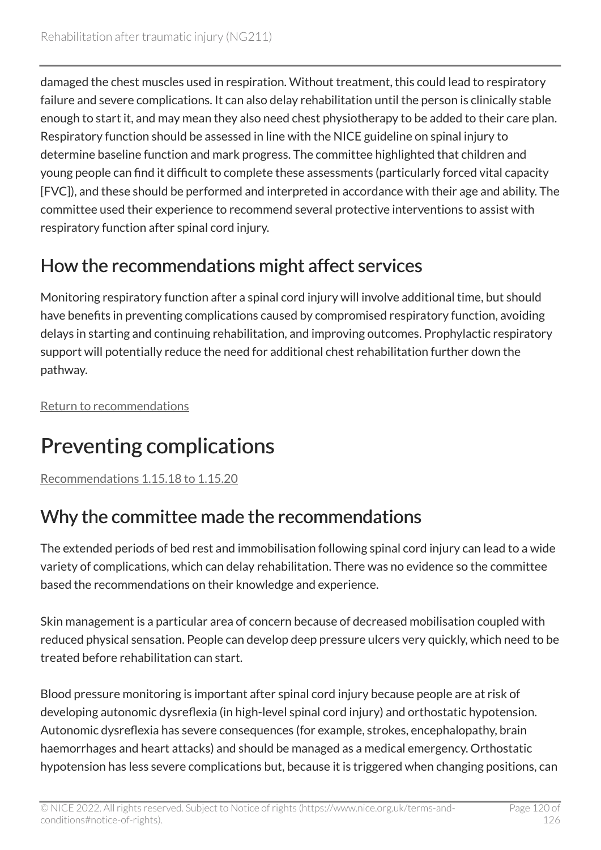damaged the chest muscles used in respiration. Without treatment, this could lead to respiratory failure and severe complications. It can also delay rehabilitation until the person is clinically stable enough to start it, and may mean they also need chest physiotherapy to be added to their care plan. Respiratory function should be assessed in line with the NICE guideline on spinal injury to determine baseline function and mark progress. The committee highlighted that children and young people can find it difficult to complete these assessments (particularly forced vital capacity [FVC]), and these should be performed and interpreted in accordance with their age and ability. The committee used their experience to recommend several protective interventions to assist with respiratory function after spinal cord injury.

# How the recommendations might affect services

Monitoring respiratory function after a spinal cord injury will involve additional time, but should have benefits in preventing complications caused by compromised respiratory function, avoiding delays in starting and continuing rehabilitation, and improving outcomes. Prophylactic respiratory support will potentially reduce the need for additional chest rehabilitation further down the pathway.

[Return to recommendations](#page-70-0)

# Preventing complications

[Recommendations 1.15.18 to 1.15.20](#page-71-0) 

# Why the committee made the recommendations

The extended periods of bed rest and immobilisation following spinal cord injury can lead to a wide variety of complications, which can delay rehabilitation. There was no evidence so the committee based the recommendations on their knowledge and experience.

Skin management is a particular area of concern because of decreased mobilisation coupled with reduced physical sensation. People can develop deep pressure ulcers very quickly, which need to be treated before rehabilitation can start.

Blood pressure monitoring is important after spinal cord injury because people are at risk of developing autonomic dysreflexia (in high-level spinal cord injury) and orthostatic hypotension. Autonomic dysreflexia has severe consequences (for example, strokes, encephalopathy, brain haemorrhages and heart attacks) and should be managed as a medical emergency. Orthostatic hypotension has less severe complications but, because it is triggered when changing positions, can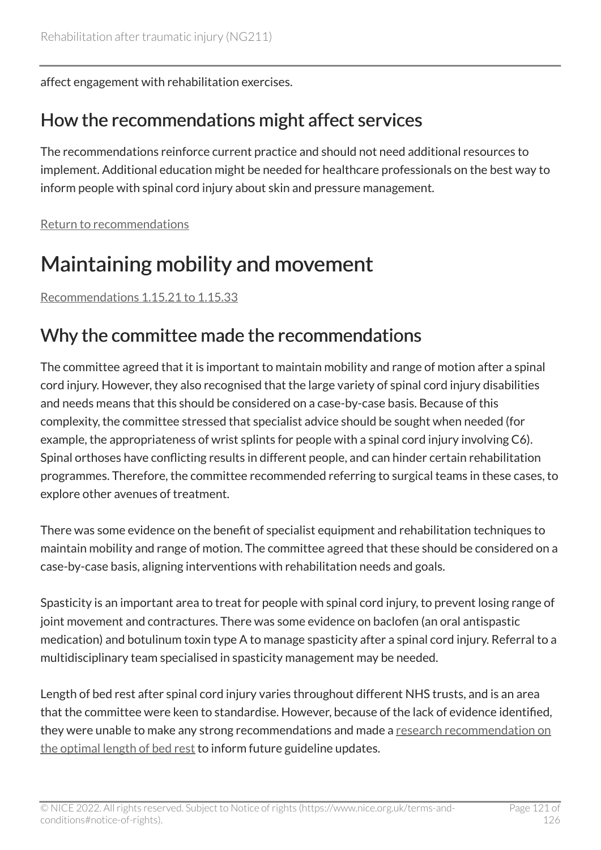affect engagement with rehabilitation exercises.

### How the recommendations might affect services

The recommendations reinforce current practice and should not need additional resources to implement. Additional education might be needed for healthcare professionals on the best way to inform people with spinal cord injury about skin and pressure management.

[Return to recommendations](#page-71-0)

# Maintaining mobility and movement

[Recommendations 1.15.21 to 1.15.33](#page-72-0) 

### Why the committee made the recommendations

The committee agreed that it is important to maintain mobility and range of motion after a spinal cord injury. However, they also recognised that the large variety of spinal cord injury disabilities and needs means that this should be considered on a case-by-case basis. Because of this complexity, the committee stressed that specialist advice should be sought when needed (for example, the appropriateness of wrist splints for people with a spinal cord injury involving C6). Spinal orthoses have conflicting results in different people, and can hinder certain rehabilitation programmes. Therefore, the committee recommended referring to surgical teams in these cases, to explore other avenues of treatment.

There was some evidence on the benefit of specialist equipment and rehabilitation techniques to maintain mobility and range of motion. The committee agreed that these should be considered on a case-by-case basis, aligning interventions with rehabilitation needs and goals.

Spasticity is an important area to treat for people with spinal cord injury, to prevent losing range of joint movement and contractures. There was some evidence on baclofen (an oral antispastic medication) and botulinum toxin type A to manage spasticity after a spinal cord injury. Referral to a multidisciplinary team specialised in spasticity management may be needed.

Length of bed rest after spinal cord injury varies throughout different NHS trusts, and is an area that the committee were keen to standardise. However, because of the lack of evidence identified, they were unable to make any strong recommendations and made a research recommendation on [the optimal length of bed rest](#page-84-0) to inform future guideline updates.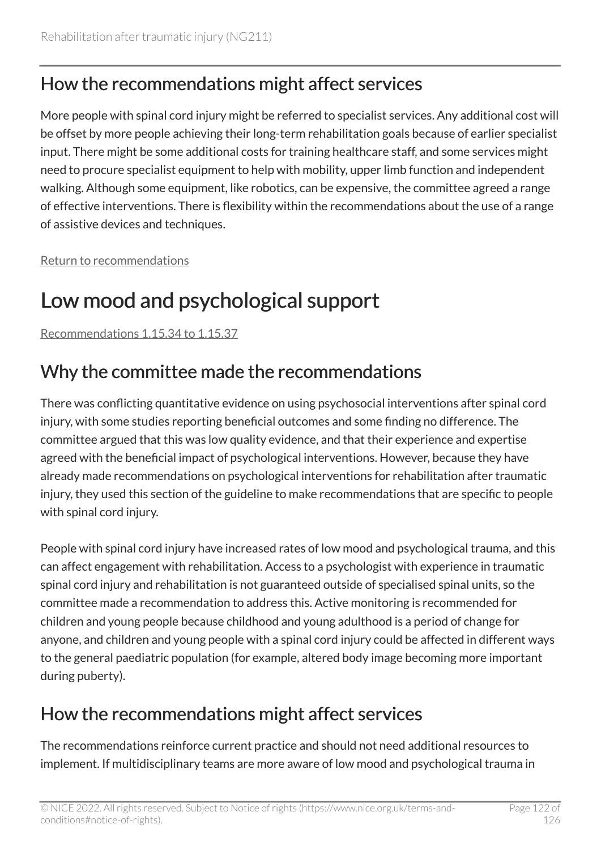## How the recommendations might affect services

More people with spinal cord injury might be referred to specialist services. Any additional cost will be offset by more people achieving their long-term rehabilitation goals because of earlier specialist input. There might be some additional costs for training healthcare staff, and some services might need to procure specialist equipment to help with mobility, upper limb function and independent walking. Although some equipment, like robotics, can be expensive, the committee agreed a range of effective interventions. There is flexibility within the recommendations about the use of a range of assistive devices and techniques.

[Return to recommendations](#page-72-0)

# Low mood and psychological support

[Recommendations 1.15.34 to 1.15.37](#page-74-0) 

# Why the committee made the recommendations

There was conflicting quantitative evidence on using psychosocial interventions after spinal cord injury, with some studies reporting beneficial outcomes and some finding no difference. The committee argued that this was low quality evidence, and that their experience and expertise agreed with the beneficial impact of psychological interventions. However, because they have already made recommendations on psychological interventions for rehabilitation after traumatic injury, they used this section of the guideline to make recommendations that are specific to people with spinal cord injury.

People with spinal cord injury have increased rates of low mood and psychological trauma, and this can affect engagement with rehabilitation. Access to a psychologist with experience in traumatic spinal cord injury and rehabilitation is not guaranteed outside of specialised spinal units, so the committee made a recommendation to address this. Active monitoring is recommended for children and young people because childhood and young adulthood is a period of change for anyone, and children and young people with a spinal cord injury could be affected in different ways to the general paediatric population (for example, altered body image becoming more important during puberty).

### How the recommendations might affect services

The recommendations reinforce current practice and should not need additional resources to implement. If multidisciplinary teams are more aware of low mood and psychological trauma in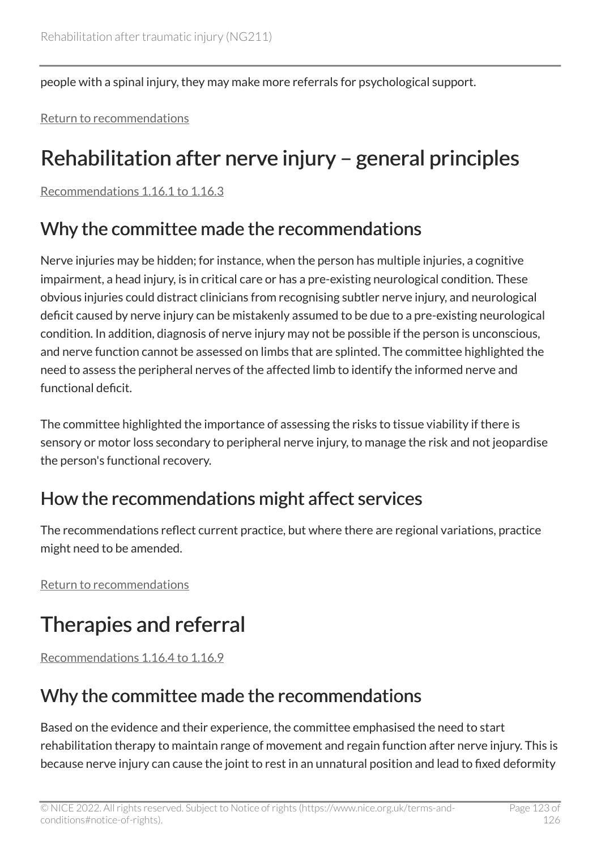people with a spinal injury, they may make more referrals for psychological support.

[Return to recommendations](#page-74-0)

# Rehabilitation after nerve injury – general principles

[Recommendations 1.16.1 to 1.16.3](#page-75-0) 

## Why the committee made the recommendations

Nerve injuries may be hidden; for instance, when the person has multiple injuries, a cognitive impairment, a head injury, is in critical care or has a pre-existing neurological condition. These obvious injuries could distract clinicians from recognising subtler nerve injury, and neurological deficit caused by nerve injury can be mistakenly assumed to be due to a pre-existing neurological condition. In addition, diagnosis of nerve injury may not be possible if the person is unconscious, and nerve function cannot be assessed on limbs that are splinted. The committee highlighted the need to assess the peripheral nerves of the affected limb to identify the informed nerve and functional deficit.

The committee highlighted the importance of assessing the risks to tissue viability if there is sensory or motor loss secondary to peripheral nerve injury, to manage the risk and not jeopardise the person's functional recovery.

### How the recommendations might affect services

The recommendations reflect current practice, but where there are regional variations, practice might need to be amended.

[Return to recommendations](#page-75-0)

# Therapies and referral

[Recommendations 1.16.4 to 1.16.9](#page-76-0) 

# Why the committee made the recommendations

Based on the evidence and their experience, the committee emphasised the need to start rehabilitation therapy to maintain range of movement and regain function after nerve injury. This is because nerve injury can cause the joint to rest in an unnatural position and lead to fixed deformity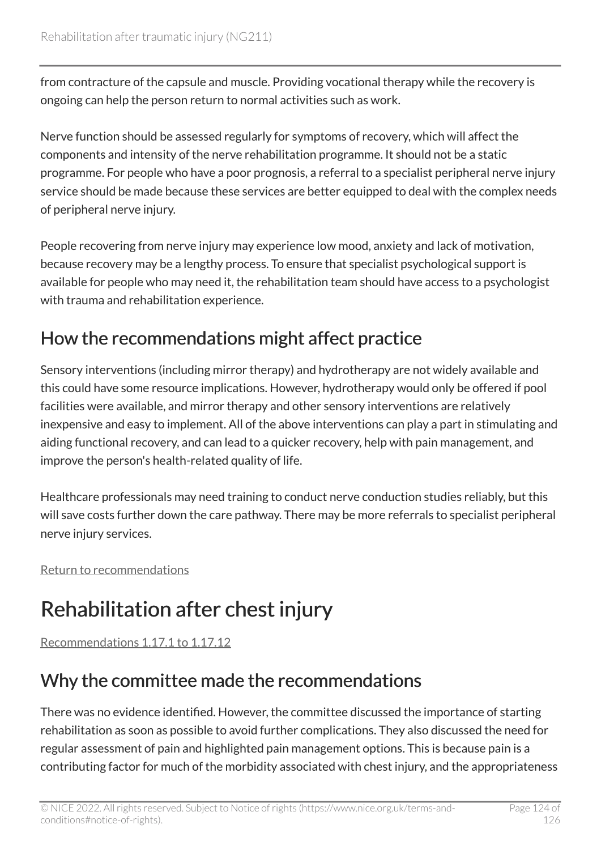from contracture of the capsule and muscle. Providing vocational therapy while the recovery is ongoing can help the person return to normal activities such as work.

Nerve function should be assessed regularly for symptoms of recovery, which will affect the components and intensity of the nerve rehabilitation programme. It should not be a static programme. For people who have a poor prognosis, a referral to a specialist peripheral nerve injury service should be made because these services are better equipped to deal with the complex needs of peripheral nerve injury.

People recovering from nerve injury may experience low mood, anxiety and lack of motivation, because recovery may be a lengthy process. To ensure that specialist psychological support is available for people who may need it, the rehabilitation team should have access to a psychologist with trauma and rehabilitation experience.

# How the recommendations might affect practice

Sensory interventions (including mirror therapy) and hydrotherapy are not widely available and this could have some resource implications. However, hydrotherapy would only be offered if pool facilities were available, and mirror therapy and other sensory interventions are relatively inexpensive and easy to implement. All of the above interventions can play a part in stimulating and aiding functional recovery, and can lead to a quicker recovery, help with pain management, and improve the person's health-related quality of life.

Healthcare professionals may need training to conduct nerve conduction studies reliably, but this will save costs further down the care pathway. There may be more referrals to specialist peripheral nerve injury services.

[Return to recommendations](#page-76-0)

# Rehabilitation after chest injury

[Recommendations 1.17.1 to 1.17.12](#page-77-0) 

# Why the committee made the recommendations

There was no evidence identified. However, the committee discussed the importance of starting rehabilitation as soon as possible to avoid further complications. They also discussed the need for regular assessment of pain and highlighted pain management options. This is because pain is a contributing factor for much of the morbidity associated with chest injury, and the appropriateness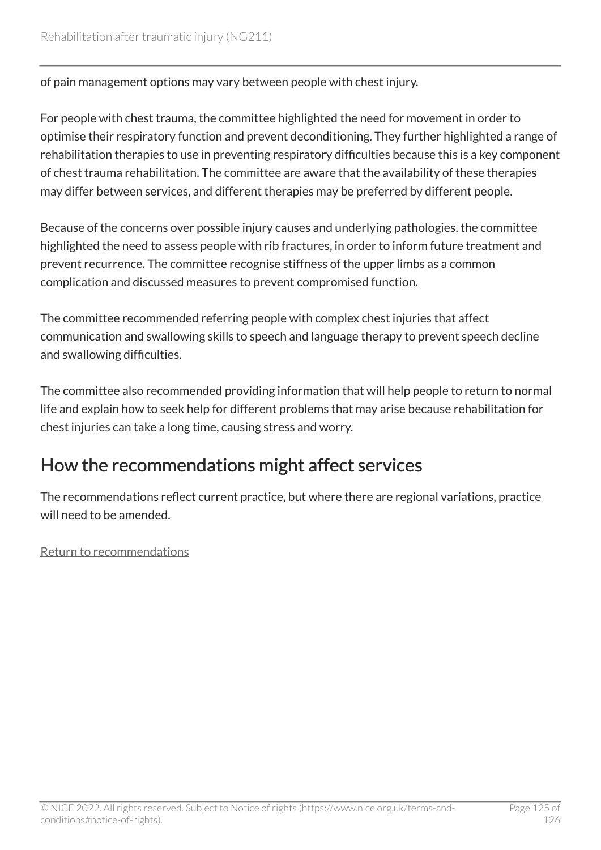of pain management options may vary between people with chest injury.

For people with chest trauma, the committee highlighted the need for movement in order to optimise their respiratory function and prevent deconditioning. They further highlighted a range of rehabilitation therapies to use in preventing respiratory difficulties because this is a key component of chest trauma rehabilitation. The committee are aware that the availability of these therapies may differ between services, and different therapies may be preferred by different people.

Because of the concerns over possible injury causes and underlying pathologies, the committee highlighted the need to assess people with rib fractures, in order to inform future treatment and prevent recurrence. The committee recognise stiffness of the upper limbs as a common complication and discussed measures to prevent compromised function.

The committee recommended referring people with complex chest injuries that affect communication and swallowing skills to speech and language therapy to prevent speech decline and swallowing difficulties.

The committee also recommended providing information that will help people to return to normal life and explain how to seek help for different problems that may arise because rehabilitation for chest injuries can take a long time, causing stress and worry.

### How the recommendations might affect services

The recommendations reflect current practice, but where there are regional variations, practice will need to be amended.

[Return to recommendations](#page-77-0)